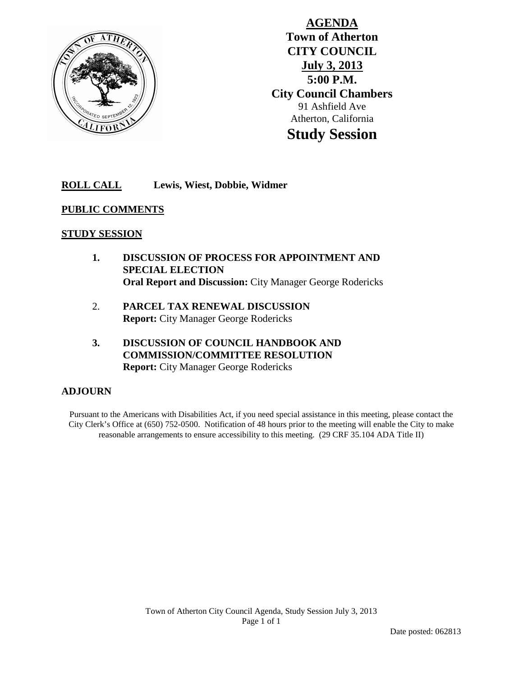

**AGENDA Town of Atherton CITY COUNCIL July 3, 2013 5:00 P.M. City Council Chambers** 91 Ashfield Ave Atherton, California **Study Session**

## **ROLL CALL Lewis, Wiest, Dobbie, Widmer**

## **PUBLIC COMMENTS**

## **STUDY SESSION**

- **1. DISCUSSION OF PROCESS FOR APPOINTMENT AND SPECIAL ELECTION Oral Report and Discussion:** City Manager George Rodericks
- 2. **PARCEL TAX RENEWAL DISCUSSION Report:** City Manager George Rodericks
- **3. DISCUSSION OF COUNCIL HANDBOOK AND COMMISSION/COMMITTEE RESOLUTION Report:** City Manager George Rodericks

## **ADJOURN**

Pursuant to the Americans with Disabilities Act, if you need special assistance in this meeting, please contact the City Clerk's Office at (650) 752-0500. Notification of 48 hours prior to the meeting will enable the City to make reasonable arrangements to ensure accessibility to this meeting. (29 CRF 35.104 ADA Title II)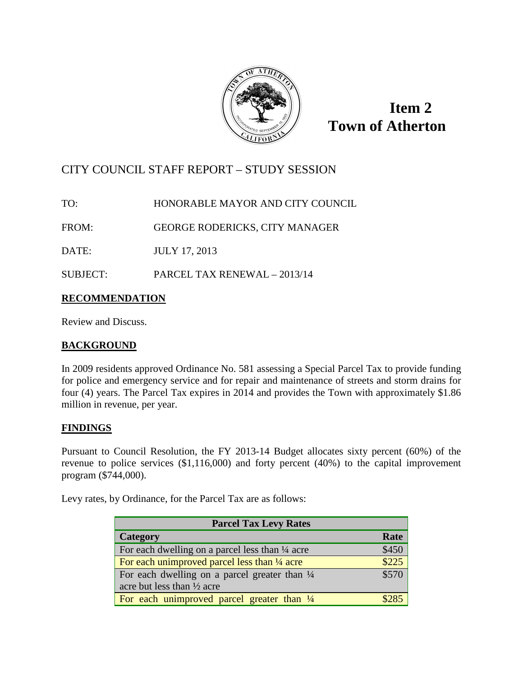

**Item 2 Town of Atherton**

# CITY COUNCIL STAFF REPORT – STUDY SESSION

TO: HONORABLE MAYOR AND CITY COUNCIL

FROM: GEORGE RODERICKS, CITY MANAGER

DATE: JULY 17, 2013

SUBJECT: PARCEL TAX RENEWAL – 2013/14

## **RECOMMENDATION**

Review and Discuss.

## **BACKGROUND**

In 2009 residents approved Ordinance No. 581 assessing a Special Parcel Tax to provide funding for police and emergency service and for repair and maintenance of streets and storm drains for four (4) years. The Parcel Tax expires in 2014 and provides the Town with approximately \$1.86 million in revenue, per year.

## **FINDINGS**

Pursuant to Council Resolution, the FY 2013-14 Budget allocates sixty percent (60%) of the revenue to police services (\$1,116,000) and forty percent (40%) to the capital improvement program (\$744,000).

Levy rates, by Ordinance, for the Parcel Tax are as follows:

| <b>Parcel Tax Levy Rates</b>                               |       |  |
|------------------------------------------------------------|-------|--|
| Category                                                   | Rate  |  |
| For each dwelling on a parcel less than $\frac{1}{4}$ acre | \$450 |  |
| For each unimproved parcel less than 1/4 acre              | \$225 |  |
| For each dwelling on a parcel greater than $\frac{1}{4}$   |       |  |
| acre but less than $\frac{1}{2}$ acre                      |       |  |
| For each unimproved parcel greater than 1/4                |       |  |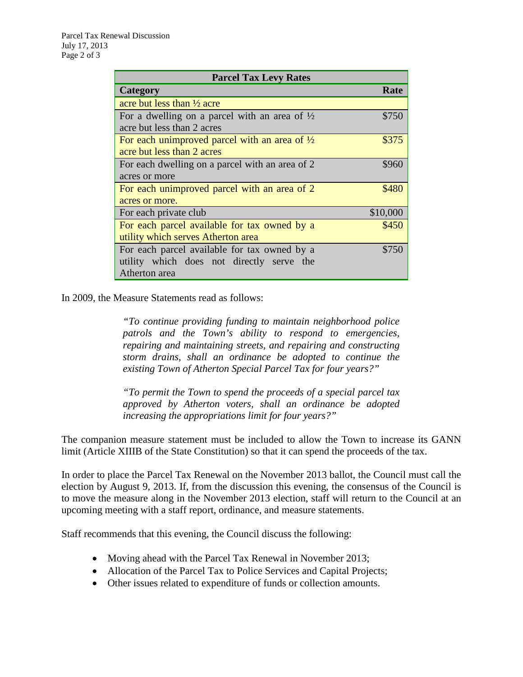| <b>Parcel Tax Levy Rates</b>                             |          |  |
|----------------------------------------------------------|----------|--|
| Category                                                 | Rate     |  |
| acre but less than $\frac{1}{2}$ acre                    |          |  |
| For a dwelling on a parcel with an area of $\frac{1}{2}$ | \$750    |  |
| acre but less than 2 acres                               |          |  |
| For each unimproved parcel with an area of $\frac{1}{2}$ | \$375    |  |
| acre but less than 2 acres                               |          |  |
| For each dwelling on a parcel with an area of 2          | \$960    |  |
| acres or more                                            |          |  |
| For each unimproved parcel with an area of 2             | \$480    |  |
| acres or more.                                           |          |  |
| For each private club                                    | \$10,000 |  |
| For each parcel available for tax owned by a             | \$450    |  |
| utility which serves Atherton area                       |          |  |
| For each parcel available for tax owned by a             | \$750    |  |
| utility which does not directly serve the                |          |  |
| Atherton area                                            |          |  |

In 2009, the Measure Statements read as follows:

*"To continue providing funding to maintain neighborhood police patrols and the Town's ability to respond to emergencies, repairing and maintaining streets, and repairing and constructing storm drains, shall an ordinance be adopted to continue the existing Town of Atherton Special Parcel Tax for four years?"*

*"To permit the Town to spend the proceeds of a special parcel tax approved by Atherton voters, shall an ordinance be adopted increasing the appropriations limit for four years?"*

The companion measure statement must be included to allow the Town to increase its GANN limit (Article XIIIB of the State Constitution) so that it can spend the proceeds of the tax.

In order to place the Parcel Tax Renewal on the November 2013 ballot, the Council must call the election by August 9, 2013. If, from the discussion this evening, the consensus of the Council is to move the measure along in the November 2013 election, staff will return to the Council at an upcoming meeting with a staff report, ordinance, and measure statements.

Staff recommends that this evening, the Council discuss the following:

- Moving ahead with the Parcel Tax Renewal in November 2013;
- Allocation of the Parcel Tax to Police Services and Capital Projects;
- Other issues related to expenditure of funds or collection amounts.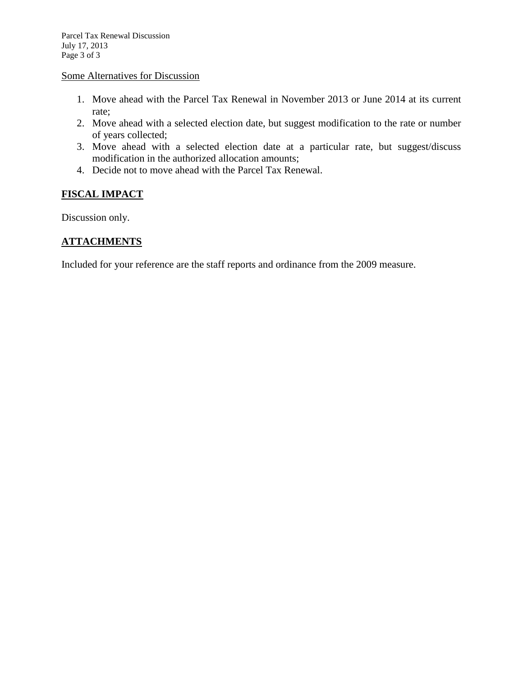## Some Alternatives for Discussion

- 1. Move ahead with the Parcel Tax Renewal in November 2013 or June 2014 at its current rate;
- 2. Move ahead with a selected election date, but suggest modification to the rate or number of years collected;
- 3. Move ahead with a selected election date at a particular rate, but suggest/discuss modification in the authorized allocation amounts;
- 4. Decide not to move ahead with the Parcel Tax Renewal.

## **FISCAL IMPACT**

Discussion only.

## **ATTACHMENTS**

Included for your reference are the staff reports and ordinance from the 2009 measure.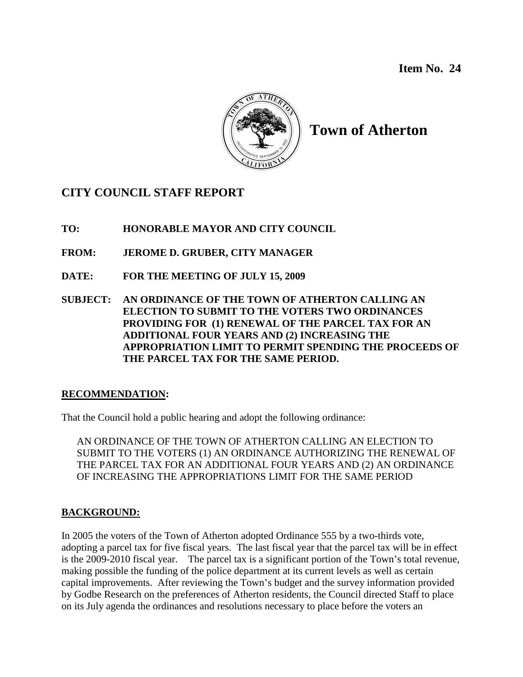

# **Town of Atherton**

# **CITY COUNCIL STAFF REPORT**

- **TO: HONORABLE MAYOR AND CITY COUNCIL**
- **FROM: JEROME D. GRUBER, CITY MANAGER**
- **DATE: FOR THE MEETING OF JULY 15, 2009**
- **SUBJECT: AN ORDINANCE OF THE TOWN OF ATHERTON CALLING AN ELECTION TO SUBMIT TO THE VOTERS TWO ORDINANCES PROVIDING FOR (1) RENEWAL OF THE PARCEL TAX FOR AN ADDITIONAL FOUR YEARS AND (2) INCREASING THE APPROPRIATION LIMIT TO PERMIT SPENDING THE PROCEEDS OF THE PARCEL TAX FOR THE SAME PERIOD.**

## **RECOMMENDATION:**

That the Council hold a public hearing and adopt the following ordinance:

AN ORDINANCE OF THE TOWN OF ATHERTON CALLING AN ELECTION TO SUBMIT TO THE VOTERS (1) AN ORDINANCE AUTHORIZING THE RENEWAL OF THE PARCEL TAX FOR AN ADDITIONAL FOUR YEARS AND (2) AN ORDINANCE OF INCREASING THE APPROPRIATIONS LIMIT FOR THE SAME PERIOD

## **BACKGROUND:**

In 2005 the voters of the Town of Atherton adopted Ordinance 555 by a two-thirds vote, adopting a parcel tax for five fiscal years. The last fiscal year that the parcel tax will be in effect is the 2009-2010 fiscal year. The parcel tax is a significant portion of the Town's total revenue, making possible the funding of the police department at its current levels as well as certain capital improvements. After reviewing the Town's budget and the survey information provided by Godbe Research on the preferences of Atherton residents, the Council directed Staff to place on its July agenda the ordinances and resolutions necessary to place before the voters an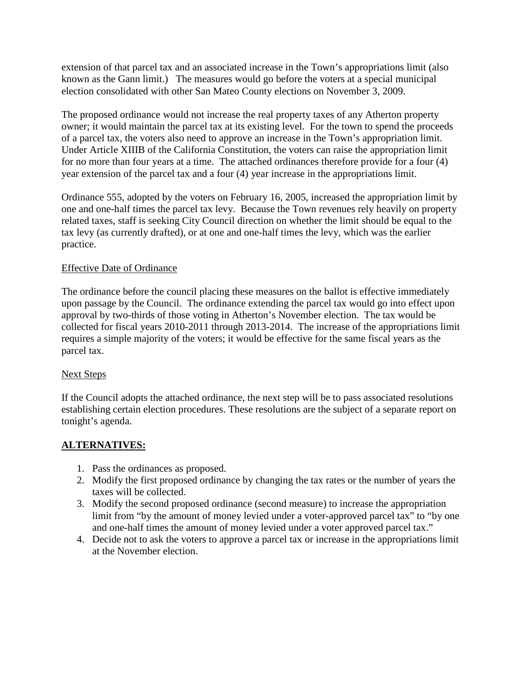extension of that parcel tax and an associated increase in the Town's appropriations limit (also known as the Gann limit.) The measures would go before the voters at a special municipal election consolidated with other San Mateo County elections on November 3, 2009.

The proposed ordinance would not increase the real property taxes of any Atherton property owner; it would maintain the parcel tax at its existing level. For the town to spend the proceeds of a parcel tax, the voters also need to approve an increase in the Town's appropriation limit. Under Article XIIIB of the California Constitution, the voters can raise the appropriation limit for no more than four years at a time. The attached ordinances therefore provide for a four (4) year extension of the parcel tax and a four (4) year increase in the appropriations limit.

Ordinance 555, adopted by the voters on February 16, 2005, increased the appropriation limit by one and one-half times the parcel tax levy. Because the Town revenues rely heavily on property related taxes, staff is seeking City Council direction on whether the limit should be equal to the tax levy (as currently drafted), or at one and one-half times the levy, which was the earlier practice.

## Effective Date of Ordinance

The ordinance before the council placing these measures on the ballot is effective immediately upon passage by the Council. The ordinance extending the parcel tax would go into effect upon approval by two-thirds of those voting in Atherton's November election. The tax would be collected for fiscal years 2010-2011 through 2013-2014. The increase of the appropriations limit requires a simple majority of the voters; it would be effective for the same fiscal years as the parcel tax.

## Next Steps

If the Council adopts the attached ordinance, the next step will be to pass associated resolutions establishing certain election procedures. These resolutions are the subject of a separate report on tonight's agenda.

## **ALTERNATIVES:**

- 1. Pass the ordinances as proposed.
- 2. Modify the first proposed ordinance by changing the tax rates or the number of years the taxes will be collected.
- 3. Modify the second proposed ordinance (second measure) to increase the appropriation limit from "by the amount of money levied under a voter-approved parcel tax" to "by one and one-half times the amount of money levied under a voter approved parcel tax."
- 4. Decide not to ask the voters to approve a parcel tax or increase in the appropriations limit at the November election.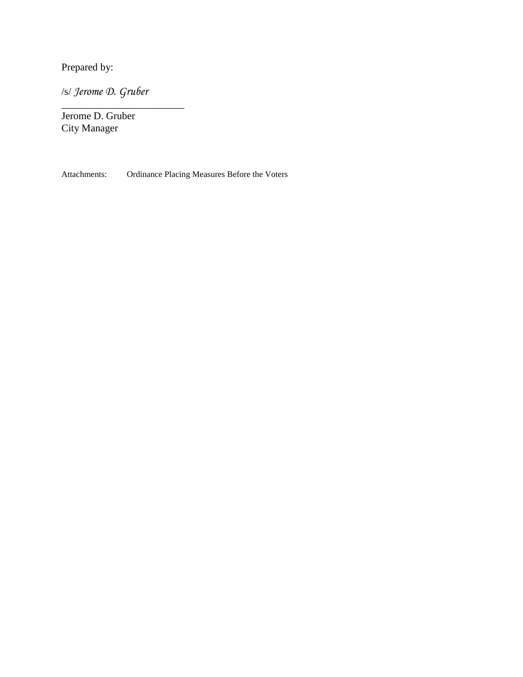Prepared by:

/s/ *Jerome D. Gruber*

\_\_\_\_\_\_\_\_\_\_\_\_\_\_\_\_\_\_\_\_\_\_\_\_

Jerome D. Gruber City Manager

Attachments: Ordinance Placing Measures Before the Voters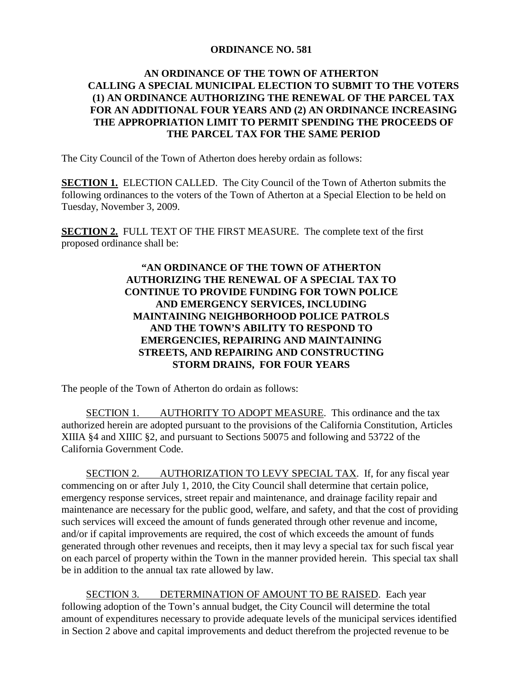## **ORDINANCE NO. 581**

## **AN ORDINANCE OF THE TOWN OF ATHERTON CALLING A SPECIAL MUNICIPAL ELECTION TO SUBMIT TO THE VOTERS (1) AN ORDINANCE AUTHORIZING THE RENEWAL OF THE PARCEL TAX FOR AN ADDITIONAL FOUR YEARS AND (2) AN ORDINANCE INCREASING THE APPROPRIATION LIMIT TO PERMIT SPENDING THE PROCEEDS OF THE PARCEL TAX FOR THE SAME PERIOD**

The City Council of the Town of Atherton does hereby ordain as follows:

**SECTION 1.** ELECTION CALLED. The City Council of the Town of Atherton submits the following ordinances to the voters of the Town of Atherton at a Special Election to be held on Tuesday, November 3, 2009.

**SECTION 2.** FULL TEXT OF THE FIRST MEASURE. The complete text of the first proposed ordinance shall be:

## **"AN ORDINANCE OF THE TOWN OF ATHERTON AUTHORIZING THE RENEWAL OF A SPECIAL TAX TO CONTINUE TO PROVIDE FUNDING FOR TOWN POLICE AND EMERGENCY SERVICES, INCLUDING MAINTAINING NEIGHBORHOOD POLICE PATROLS AND THE TOWN'S ABILITY TO RESPOND TO EMERGENCIES, REPAIRING AND MAINTAINING STREETS, AND REPAIRING AND CONSTRUCTING STORM DRAINS, FOR FOUR YEARS**

The people of the Town of Atherton do ordain as follows:

SECTION 1. AUTHORITY TO ADOPT MEASURE. This ordinance and the tax authorized herein are adopted pursuant to the provisions of the California Constitution, Articles XIIIA §4 and XIIIC §2, and pursuant to Sections 50075 and following and 53722 of the California Government Code.

SECTION 2. AUTHORIZATION TO LEVY SPECIAL TAX. If, for any fiscal year commencing on or after July 1, 2010, the City Council shall determine that certain police, emergency response services, street repair and maintenance, and drainage facility repair and maintenance are necessary for the public good, welfare, and safety, and that the cost of providing such services will exceed the amount of funds generated through other revenue and income, and/or if capital improvements are required, the cost of which exceeds the amount of funds generated through other revenues and receipts, then it may levy a special tax for such fiscal year on each parcel of property within the Town in the manner provided herein. This special tax shall be in addition to the annual tax rate allowed by law.

SECTION 3. DETERMINATION OF AMOUNT TO BE RAISED. Each year following adoption of the Town's annual budget, the City Council will determine the total amount of expenditures necessary to provide adequate levels of the municipal services identified in Section 2 above and capital improvements and deduct therefrom the projected revenue to be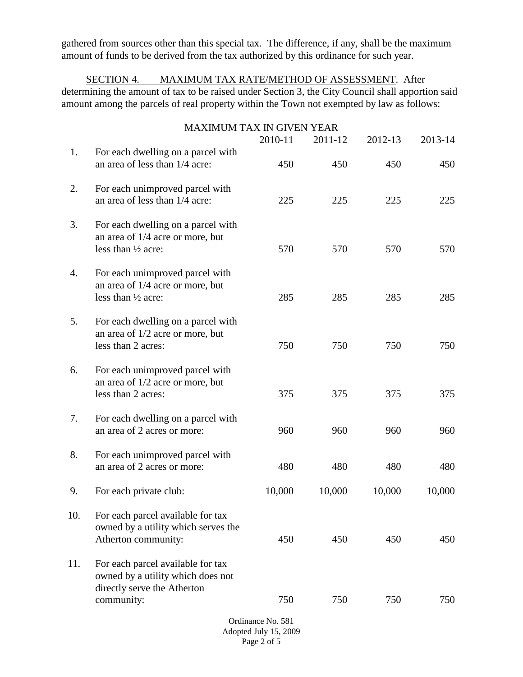gathered from sources other than this special tax. The difference, if any, shall be the maximum amount of funds to be derived from the tax authorized by this ordinance for such year.

SECTION 4. MAXIMUM TAX RATE/METHOD OF ASSESSMENT. After determining the amount of tax to be raised under Section 3, the City Council shall apportion said amount among the parcels of real property within the Town not exempted by law as follows:

|                                                           | <b>MAXIMUM TAX IN GIVEN YEAR</b>                                                                                    |         |         |         |         |
|-----------------------------------------------------------|---------------------------------------------------------------------------------------------------------------------|---------|---------|---------|---------|
|                                                           |                                                                                                                     | 2010-11 | 2011-12 | 2012-13 | 2013-14 |
| 1.                                                        | For each dwelling on a parcel with<br>an area of less than 1/4 acre:                                                | 450     | 450     | 450     | 450     |
| 2.                                                        | For each unimproved parcel with<br>an area of less than 1/4 acre:                                                   | 225     | 225     | 225     | 225     |
| 3.                                                        | For each dwelling on a parcel with<br>an area of 1/4 acre or more, but<br>less than $\frac{1}{2}$ acre:             | 570     | 570     | 570     | 570     |
| 4.                                                        | For each unimproved parcel with<br>an area of 1/4 acre or more, but<br>less than $\frac{1}{2}$ acre:                | 285     | 285     | 285     | 285     |
| 5.                                                        | For each dwelling on a parcel with<br>an area of 1/2 acre or more, but<br>less than 2 acres:                        | 750     | 750     | 750     | 750     |
| 6.                                                        | For each unimproved parcel with<br>an area of 1/2 acre or more, but<br>less than 2 acres:                           | 375     | 375     | 375     | 375     |
| 7.                                                        | For each dwelling on a parcel with<br>an area of 2 acres or more:                                                   | 960     | 960     | 960     | 960     |
| 8.                                                        | For each unimproved parcel with<br>an area of 2 acres or more:                                                      | 480     | 480     | 480     | 480     |
| 9.                                                        | For each private club:                                                                                              | 10,000  | 10,000  | 10,000  | 10,000  |
| 10.                                                       | For each parcel available for tax<br>owned by a utility which serves the<br>Atherton community:                     | 450     | 450     | 450     | 450     |
| 11.                                                       | For each parcel available for tax<br>owned by a utility which does not<br>directly serve the Atherton<br>community: | 750     | 750     | 750     | 750     |
|                                                           |                                                                                                                     |         |         |         |         |
| Ordinance No. 581<br>Adopted July 15, 2009<br>Page 2 of 5 |                                                                                                                     |         |         |         |         |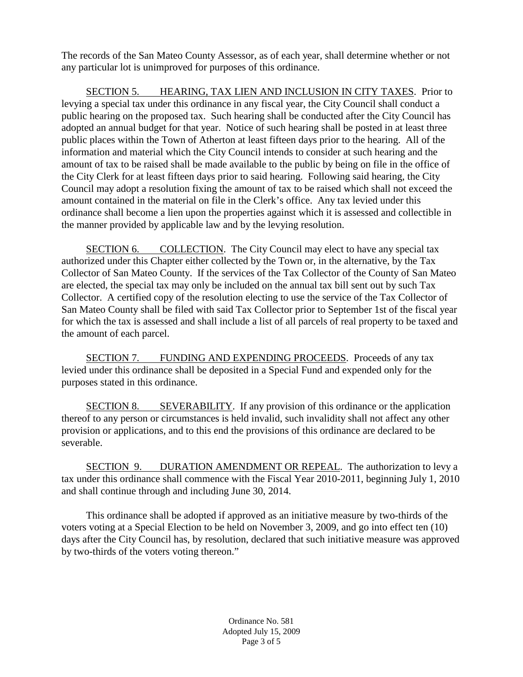The records of the San Mateo County Assessor, as of each year, shall determine whether or not any particular lot is unimproved for purposes of this ordinance.

SECTION 5. HEARING, TAX LIEN AND INCLUSION IN CITY TAXES. Prior to levying a special tax under this ordinance in any fiscal year, the City Council shall conduct a public hearing on the proposed tax. Such hearing shall be conducted after the City Council has adopted an annual budget for that year. Notice of such hearing shall be posted in at least three public places within the Town of Atherton at least fifteen days prior to the hearing. All of the information and material which the City Council intends to consider at such hearing and the amount of tax to be raised shall be made available to the public by being on file in the office of the City Clerk for at least fifteen days prior to said hearing. Following said hearing, the City Council may adopt a resolution fixing the amount of tax to be raised which shall not exceed the amount contained in the material on file in the Clerk's office. Any tax levied under this ordinance shall become a lien upon the properties against which it is assessed and collectible in the manner provided by applicable law and by the levying resolution.

SECTION 6. COLLECTION. The City Council may elect to have any special tax authorized under this Chapter either collected by the Town or, in the alternative, by the Tax Collector of San Mateo County. If the services of the Tax Collector of the County of San Mateo are elected, the special tax may only be included on the annual tax bill sent out by such Tax Collector. A certified copy of the resolution electing to use the service of the Tax Collector of San Mateo County shall be filed with said Tax Collector prior to September 1st of the fiscal year for which the tax is assessed and shall include a list of all parcels of real property to be taxed and the amount of each parcel.

SECTION 7. FUNDING AND EXPENDING PROCEEDS. Proceeds of any tax levied under this ordinance shall be deposited in a Special Fund and expended only for the purposes stated in this ordinance.

SECTION 8. SEVERABILITY. If any provision of this ordinance or the application thereof to any person or circumstances is held invalid, such invalidity shall not affect any other provision or applications, and to this end the provisions of this ordinance are declared to be severable.

SECTION 9. DURATION AMENDMENT OR REPEAL. The authorization to levy a tax under this ordinance shall commence with the Fiscal Year 2010-2011, beginning July 1, 2010 and shall continue through and including June 30, 2014.

This ordinance shall be adopted if approved as an initiative measure by two-thirds of the voters voting at a Special Election to be held on November 3, 2009, and go into effect ten (10) days after the City Council has, by resolution, declared that such initiative measure was approved by two-thirds of the voters voting thereon."

> Ordinance No. 581 Adopted July 15, 2009 Page 3 of 5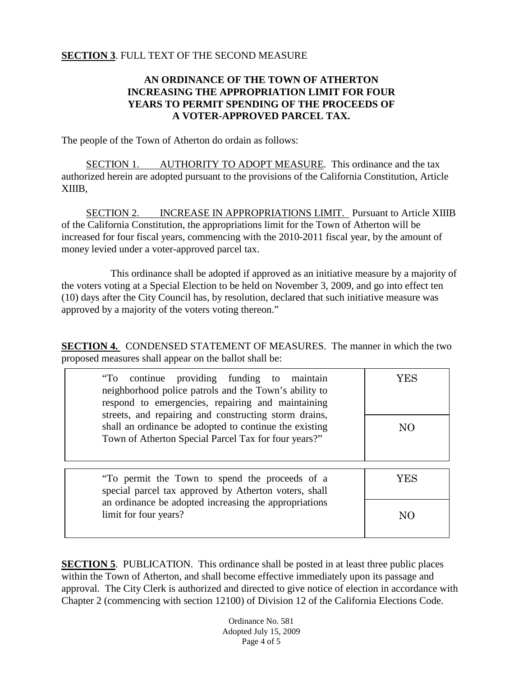## **SECTION 3**. FULL TEXT OF THE SECOND MEASURE

## **AN ORDINANCE OF THE TOWN OF ATHERTON INCREASING THE APPROPRIATION LIMIT FOR FOUR YEARS TO PERMIT SPENDING OF THE PROCEEDS OF A VOTER-APPROVED PARCEL TAX.**

The people of the Town of Atherton do ordain as follows:

SECTION 1. AUTHORITY TO ADOPT MEASURE. This ordinance and the tax authorized herein are adopted pursuant to the provisions of the California Constitution, Article XIIIB,

SECTION 2. INCREASE IN APPROPRIATIONS LIMIT. Pursuant to Article XIIIB of the California Constitution, the appropriations limit for the Town of Atherton will be increased for four fiscal years, commencing with the 2010-2011 fiscal year, by the amount of money levied under a voter-approved parcel tax.

This ordinance shall be adopted if approved as an initiative measure by a majority of the voters voting at a Special Election to be held on November 3, 2009, and go into effect ten (10) days after the City Council has, by resolution, declared that such initiative measure was approved by a majority of the voters voting thereon."

**SECTION 4.** CONDENSED STATEMENT OF MEASURES. The manner in which the two proposed measures shall appear on the ballot shall be:

| "To continue providing funding to maintain<br>neighborhood police patrols and the Town's ability to<br>respond to emergencies, repairing and maintaining<br>streets, and repairing and constructing storm drains,<br>shall an ordinance be adopted to continue the existing<br>Town of Atherton Special Parcel Tax for four years?" | 7 E.S<br>NO |
|-------------------------------------------------------------------------------------------------------------------------------------------------------------------------------------------------------------------------------------------------------------------------------------------------------------------------------------|-------------|
| "To permit the Town to spend the proceeds of a<br>special parcel tax approved by Atherton voters, shall                                                                                                                                                                                                                             | YES         |
| an ordinance be adopted increasing the appropriations<br>limit for four years?                                                                                                                                                                                                                                                      | NC          |

**SECTION 5**. PUBLICATION. This ordinance shall be posted in at least three public places within the Town of Atherton, and shall become effective immediately upon its passage and approval. The City Clerk is authorized and directed to give notice of election in accordance with Chapter 2 (commencing with section 12100) of Division 12 of the California Elections Code.

> Ordinance No. 581 Adopted July 15, 2009 Page 4 of 5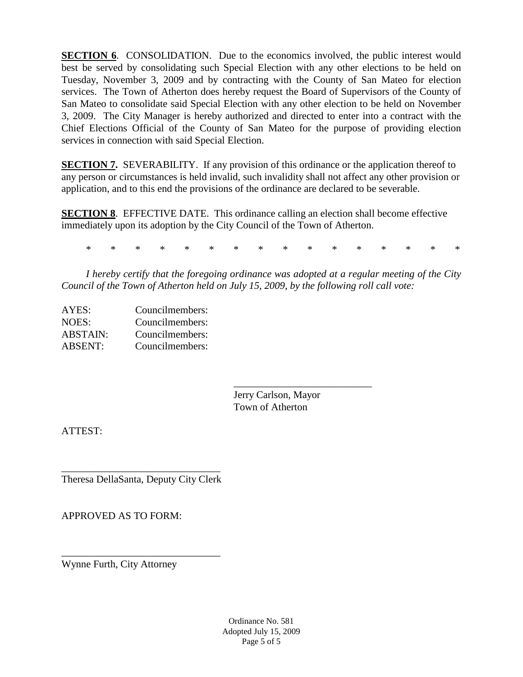**SECTION 6.** CONSOLIDATION. Due to the economics involved, the public interest would best be served by consolidating such Special Election with any other elections to be held on Tuesday, November 3, 2009 and by contracting with the County of San Mateo for election services. The Town of Atherton does hereby request the Board of Supervisors of the County of San Mateo to consolidate said Special Election with any other election to be held on November 3, 2009. The City Manager is hereby authorized and directed to enter into a contract with the Chief Elections Official of the County of San Mateo for the purpose of providing election services in connection with said Special Election.

**SECTION 7.** SEVERABILITY. If any provision of this ordinance or the application thereof to any person or circumstances is held invalid, such invalidity shall not affect any other provision or application, and to this end the provisions of the ordinance are declared to be severable.

**SECTION 8**. EFFECTIVE DATE. This ordinance calling an election shall become effective immediately upon its adoption by the City Council of the Town of Atherton.

\* \* \* \* \* \* \* \* \* \* \* \* \* \* \* \*

*I hereby certify that the foregoing ordinance was adopted at a regular meeting of the City Council of the Town of Atherton held on July 15, 2009, by the following roll call vote:*

| AYES:           | Councilmembers: |
|-----------------|-----------------|
| NOES:           | Councilmembers: |
| <b>ABSTAIN:</b> | Councilmembers: |
| <b>ABSENT:</b>  | Councilmembers: |

\_\_\_\_\_\_\_\_\_\_\_\_\_\_\_\_\_\_\_\_\_\_\_\_\_\_\_ Jerry Carlson, Mayor Town of Atherton

ATTEST:

\_\_\_\_\_\_\_\_\_\_\_\_\_\_\_\_\_\_\_\_\_\_\_\_\_\_\_\_\_\_\_ Theresa DellaSanta, Deputy City Clerk

\_\_\_\_\_\_\_\_\_\_\_\_\_\_\_\_\_\_\_\_\_\_\_\_\_\_\_\_\_\_\_

APPROVED AS TO FORM:

Wynne Furth, City Attorney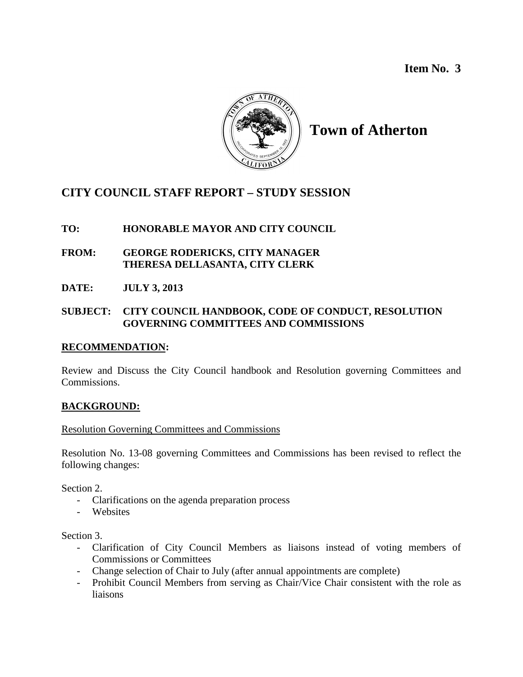**Item No. 3**



# **Town of Atherton**

## **CITY COUNCIL STAFF REPORT – STUDY SESSION**

## **TO: HONORABLE MAYOR AND CITY COUNCIL**

- **FROM: GEORGE RODERICKS, CITY MANAGER THERESA DELLASANTA, CITY CLERK**
- **DATE: JULY 3, 2013**

## **SUBJECT: CITY COUNCIL HANDBOOK, CODE OF CONDUCT, RESOLUTION GOVERNING COMMITTEES AND COMMISSIONS**

## **RECOMMENDATION:**

Review and Discuss the City Council handbook and Resolution governing Committees and Commissions.

## **BACKGROUND:**

## Resolution Governing Committees and Commissions

Resolution No. 13-08 governing Committees and Commissions has been revised to reflect the following changes:

Section 2.

- Clarifications on the agenda preparation process
- Websites

Section 3.

- Clarification of City Council Members as liaisons instead of voting members of Commissions or Committees
- Change selection of Chair to July (after annual appointments are complete)
- Prohibit Council Members from serving as Chair/Vice Chair consistent with the role as liaisons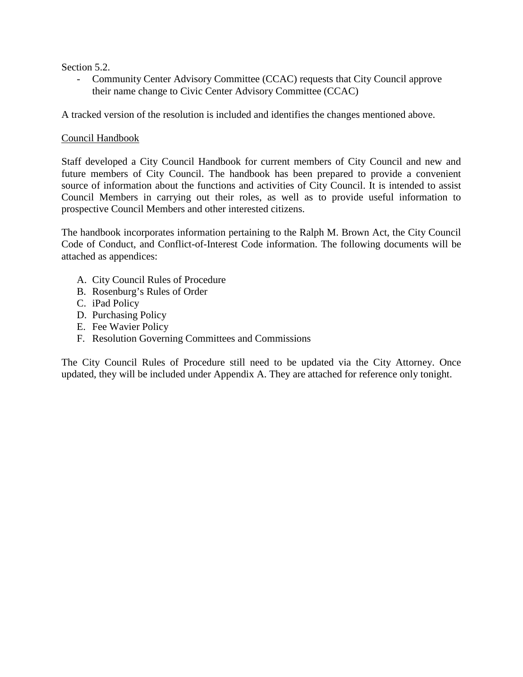Section 5.2.

- Community Center Advisory Committee (CCAC) requests that City Council approve their name change to Civic Center Advisory Committee (CCAC)

A tracked version of the resolution is included and identifies the changes mentioned above.

## Council Handbook

Staff developed a City Council Handbook for current members of City Council and new and future members of City Council. The handbook has been prepared to provide a convenient source of information about the functions and activities of City Council. It is intended to assist Council Members in carrying out their roles, as well as to provide useful information to prospective Council Members and other interested citizens.

The handbook incorporates information pertaining to the Ralph M. Brown Act, the City Council Code of Conduct, and Conflict-of-Interest Code information. The following documents will be attached as appendices:

- A. City Council Rules of Procedure
- B. Rosenburg's Rules of Order
- C. iPad Policy
- D. Purchasing Policy
- E. Fee Wavier Policy
- F. Resolution Governing Committees and Commissions

The City Council Rules of Procedure still need to be updated via the City Attorney. Once updated, they will be included under Appendix A. They are attached for reference only tonight.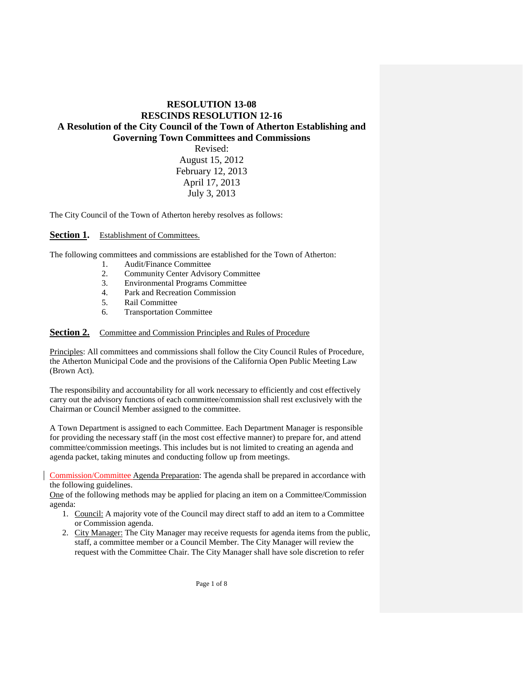### **RESOLUTION 13-08 RESCINDS RESOLUTION 12-16 A Resolution of the City Council of the Town of Atherton Establishing and Governing Town Committees and Commissions** Revised: August 15, 2012 February 12, 2013 April 17, 2013

July 3, 2013

The City Council of the Town of Atherton hereby resolves as follows:

#### Section 1. Establishment of Committees.

The following committees and commissions are established for the Town of Atherton:

- 1. Audit/Finance Committee<br>2. Community Center Advise
- 2. Community Center Advisory Committee<br>3. Environmental Programs Committee
- 3. Environmental Programs Committee
- 4. Park and Recreation Commission
- 5. Rail Committee
- 6. Transportation Committee

#### **Section 2.** Committee and Commission Principles and Rules of Procedure

Principles: All committees and commissions shall follow the City Council Rules of Procedure, the Atherton Municipal Code and the provisions of the California Open Public Meeting Law (Brown Act).

The responsibility and accountability for all work necessary to efficiently and cost effectively carry out the advisory functions of each committee/commission shall rest exclusively with the Chairman or Council Member assigned to the committee.

A Town Department is assigned to each Committee. Each Department Manager is responsible for providing the necessary staff (in the most cost effective manner) to prepare for, and attend committee/commission meetings. This includes but is not limited to creating an agenda and agenda packet, taking minutes and conducting follow up from meetings.

Commission/Committee Agenda Preparation: The agenda shall be prepared in accordance with the following guidelines.

One of the following methods may be applied for placing an item on a Committee/Commission agenda:

- 1. Council: A majority vote of the Council may direct staff to add an item to a Committee or Commission agenda.
- 2. City Manager: The City Manager may receive requests for agenda items from the public, staff, a committee member or a Council Member. The City Manager will review the request with the Committee Chair. The City Manager shall have sole discretion to refer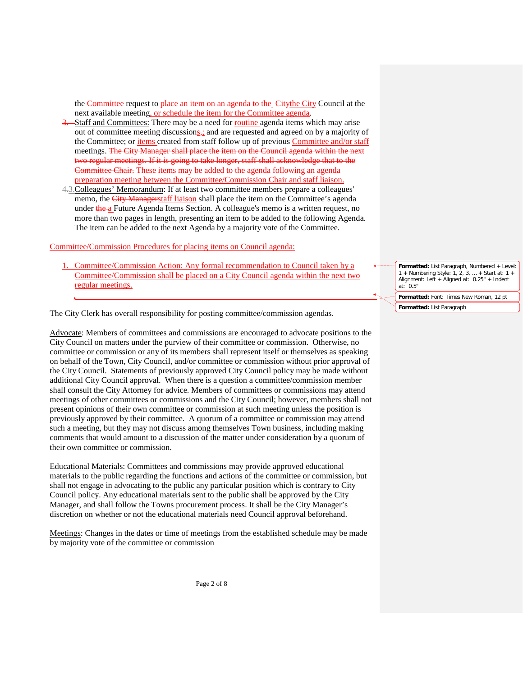the Committee request to place an item on an agenda to the Citythe City Council at the next available meeting, or schedule the item for the Committee agenda.

- Staff and Committees: There may be a need for routine agenda items which may arise out of committee meeting discussions<sub>5</sub>; and are requested and agreed on by a majority of the Committee; or *items* created from staff follow up of previous *Committee and/or staff* meetings. The City Manager shall place the item on the Council agenda within the next two regular meetings. If it is going to take longer, staff shall acknowledge that to the Committee Chair. These items may be added to the agenda following an agenda preparation meeting between the Committee/Commission Chair and staff liaison.
- 4.3.Colleagues' Memorandum: If at least two committee members prepare a colleagues' memo, the City Managerstaff liaison shall place the item on the Committee's agenda under the a Future Agenda Items Section. A colleague's memo is a written request, no more than two pages in length, presenting an item to be added to the following Agenda. The item can be added to the next Agenda by a majority vote of the Committee.

#### Committee/Commission Procedures for placing items on Council agenda:

1. Committee/Commission Action: Any formal recommendation to Council taken by a Committee/Commission shall be placed on a City Council agenda within the next two regular meetings.

The City Clerk has overall responsibility for posting committee/commission agendas.

Advocate: Members of committees and commissions are encouraged to advocate positions to the City Council on matters under the purview of their committee or commission. Otherwise, no committee or commission or any of its members shall represent itself or themselves as speaking on behalf of the Town, City Council, and/or committee or commission without prior approval of the City Council. Statements of previously approved City Council policy may be made without additional City Council approval. When there is a question a committee/commission member shall consult the City Attorney for advice. Members of committees or commissions may attend meetings of other committees or commissions and the City Council; however, members shall not present opinions of their own committee or commission at such meeting unless the position is previously approved by their committee. A quorum of a committee or commission may attend such a meeting, but they may not discuss among themselves Town business, including making comments that would amount to a discussion of the matter under consideration by a quorum of their own committee or commission.

Educational Materials: Committees and commissions may provide approved educational materials to the public regarding the functions and actions of the committee or commission, but shall not engage in advocating to the public any particular position which is contrary to City Council policy. Any educational materials sent to the public shall be approved by the City Manager, and shall follow the Towns procurement process. It shall be the City Manager's discretion on whether or not the educational materials need Council approval beforehand.

Meetings: Changes in the dates or time of meetings from the established schedule may be made by majority vote of the committee or commission

**Formatted:** List Paragraph, Numbered + Level: 1 + Numbering Style: 1, 2, 3, … + Start at: 1 + Alignment: Left + Aligned at: 0.25" + Indent at: 0.5"

**Formatted:** Font: Times New Roman, 12 pt **Formatted:** List Paragraph

Page 2 of 8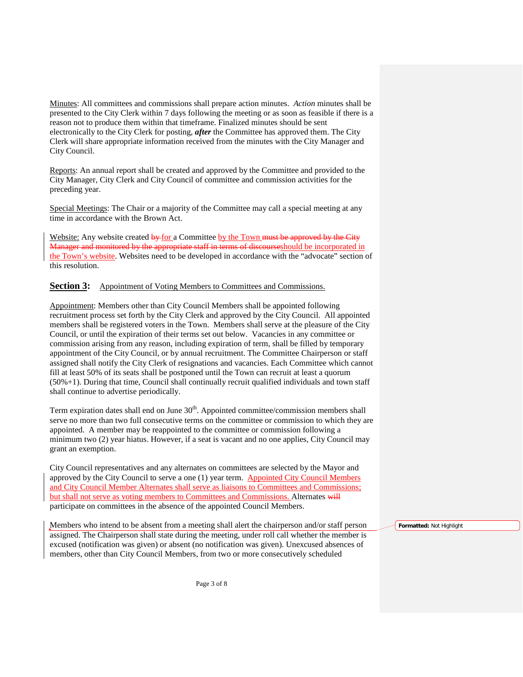Minutes: All committees and commissions shall prepare action minutes. *Action* minutes shall be presented to the City Clerk within 7 days following the meeting or as soon as feasible if there is a reason not to produce them within that timeframe. Finalized minutes should be sent electronically to the City Clerk for posting, *after* the Committee has approved them. The City Clerk will share appropriate information received from the minutes with the City Manager and City Council.

Reports: An annual report shall be created and approved by the Committee and provided to the City Manager, City Clerk and City Council of committee and commission activities for the preceding year.

Special Meetings: The Chair or a majority of the Committee may call a special meeting at any time in accordance with the Brown Act.

Website: Any website created  $\frac{1}{2}$  by a Committee by the Town must be approved by the City Manager and monitored by the appropriate staff in terms of discourseshould be incorporated in the Town's website. Websites need to be developed in accordance with the "advocate" section of this resolution.

#### **Section 3:** Appointment of Voting Members to Committees and Commissions.

Appointment: Members other than City Council Members shall be appointed following recruitment process set forth by the City Clerk and approved by the City Council. All appointed members shall be registered voters in the Town. Members shall serve at the pleasure of the City Council, or until the expiration of their terms set out below. Vacancies in any committee or commission arising from any reason, including expiration of term, shall be filled by temporary appointment of the City Council, or by annual recruitment. The Committee Chairperson or staff assigned shall notify the City Clerk of resignations and vacancies. Each Committee which cannot fill at least 50% of its seats shall be postponed until the Town can recruit at least a quorum (50%+1). During that time, Council shall continually recruit qualified individuals and town staff shall continue to advertise periodically.

Term expiration dates shall end on June  $30<sup>th</sup>$ . Appointed committee/commission members shall serve no more than two full consecutive terms on the committee or commission to which they are appointed. A member may be reappointed to the committee or commission following a minimum two (2) year hiatus. However, if a seat is vacant and no one applies, City Council may grant an exemption.

City Council representatives and any alternates on committees are selected by the Mayor and approved by the City Council to serve a one (1) year term. Appointed City Council Members and City Council Member Alternates shall serve as liaisons to Committees and Commissions; but shall not serve as voting members to Committees and Commissions. Alternates will participate on committees in the absence of the appointed Council Members.

Members who intend to be absent from a meeting shall alert the chairperson and/or staff person assigned. The Chairperson shall state during the meeting, under roll call whether the member is excused (notification was given) or absent (no notification was given). Unexcused absences of members, other than City Council Members, from two or more consecutively scheduled

**Formatted:** Not Highlight

Page 3 of 8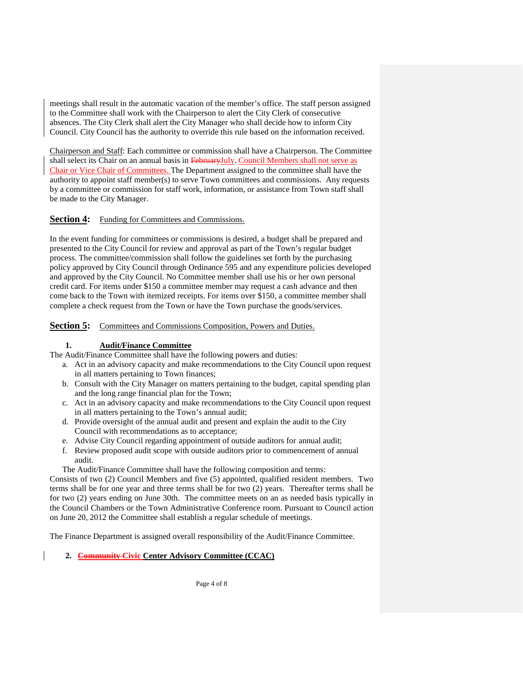meetings shall result in the automatic vacation of the member's office. The staff person assigned to the Committee shall work with the Chairperson to alert the City Clerk of consecutive absences. The City Clerk shall alert the City Manager who shall decide how to inform City Council. City Council has the authority to override this rule based on the information received.

Chairperson and Staff: Each committee or commission shall have a Chairperson. The Committee shall select its Chair on an annual basis in FebruaryJuly. Council Members shall not serve as Chair or Vice Chair of Committees. The Department assigned to the committee shall have the authority to appoint staff member(s) to serve Town committees and commissions. Any requests by a committee or commission for staff work, information, or assistance from Town staff shall be made to the City Manager.

#### **Section 4:** Funding for Committees and Commissions.

In the event funding for committees or commissions is desired, a budget shall be prepared and presented to the City Council for review and approval as part of the Town's regular budget process. The committee/commission shall follow the guidelines set forth by the purchasing policy approved by City Council through Ordinance 595 and any expenditure policies developed and approved by the City Council. No Committee member shall use his or her own personal credit card. For items under \$150 a committee member may request a cash advance and then come back to the Town with itemized receipts. For items over \$150, a committee member shall complete a check request from the Town or have the Town purchase the goods/services.

**Section 5:** Committees and Commissions Composition, Powers and Duties.

#### **1. Audit/Finance Committee**

The Audit/Finance Committee shall have the following powers and duties:

- a. Act in an advisory capacity and make recommendations to the City Council upon request in all matters pertaining to Town finances;
- b. Consult with the City Manager on matters pertaining to the budget, capital spending plan and the long range financial plan for the Town;
- c. Act in an advisory capacity and make recommendations to the City Council upon request in all matters pertaining to the Town's annual audit;
- d. Provide oversight of the annual audit and present and explain the audit to the City Council with recommendations as to acceptance;
- e. Advise City Council regarding appointment of outside auditors for annual audit;
- f. Review proposed audit scope with outside auditors prior to commencement of annual audit.

The Audit/Finance Committee shall have the following composition and terms:

Consists of two (2) Council Members and five (5) appointed, qualified resident members. Two terms shall be for one year and three terms shall be for two (2) years. Thereafter terms shall be for two (2) years ending on June 30th. The committee meets on an as needed basis typically in the Council Chambers or the Town Administrative Conference room. Pursuant to Council action on June 20, 2012 the Committee shall establish a regular schedule of meetings.

The Finance Department is assigned overall responsibility of the Audit/Finance Committee.

#### **2. Community Civic Center Advisory Committee (CCAC)**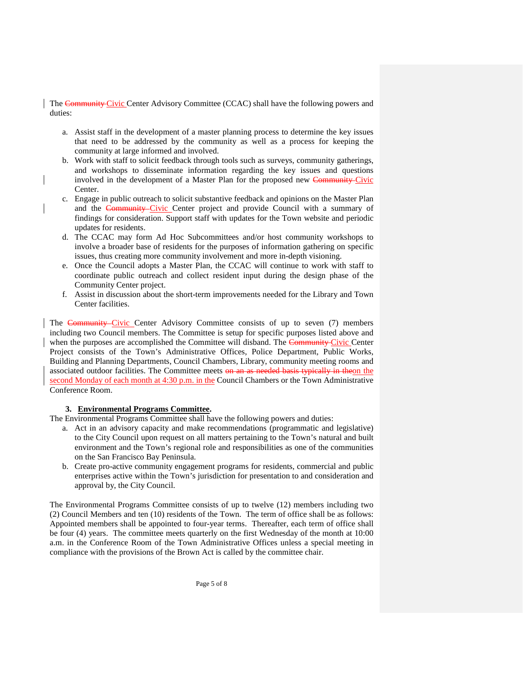The Community Civic Center Advisory Committee (CCAC) shall have the following powers and duties:

- a. Assist staff in the development of a master planning process to determine the key issues that need to be addressed by the community as well as a process for keeping the community at large informed and involved.
- b. Work with staff to solicit feedback through tools such as surveys, community gatherings, and workshops to disseminate information regarding the key issues and questions involved in the development of a Master Plan for the proposed new Community Civic Center.
- c. Engage in public outreach to solicit substantive feedback and opinions on the Master Plan and the Community Civic Center project and provide Council with a summary of findings for consideration. Support staff with updates for the Town website and periodic updates for residents.
- d. The CCAC may form Ad Hoc Subcommittees and/or host community workshops to involve a broader base of residents for the purposes of information gathering on specific issues, thus creating more community involvement and more in-depth visioning.
- e. Once the Council adopts a Master Plan, the CCAC will continue to work with staff to coordinate public outreach and collect resident input during the design phase of the Community Center project.
- f. Assist in discussion about the short-term improvements needed for the Library and Town Center facilities.

The Community Civic Center Advisory Committee consists of up to seven (7) members including two Council members. The Committee is setup for specific purposes listed above and when the purposes are accomplished the Committee will disband. The Community Civic Center Project consists of the Town's Administrative Offices, Police Department, Public Works, Building and Planning Departments, Council Chambers, Library, community meeting rooms and associated outdoor facilities. The Committee meets on an as needed basis typically in theon the second Monday of each month at 4:30 p.m. in the Council Chambers or the Town Administrative Conference Room.

#### **3. Environmental Programs Committee.**

The Environmental Programs Committee shall have the following powers and duties:

- a. Act in an advisory capacity and make recommendations (programmatic and legislative) to the City Council upon request on all matters pertaining to the Town's natural and built environment and the Town's regional role and responsibilities as one of the communities on the San Francisco Bay Peninsula.
- b. Create pro-active community engagement programs for residents, commercial and public enterprises active within the Town's jurisdiction for presentation to and consideration and approval by, the City Council.

The Environmental Programs Committee consists of up to twelve (12) members including two (2) Council Members and ten (10) residents of the Town. The term of office shall be as follows: Appointed members shall be appointed to four-year terms. Thereafter, each term of office shall be four (4) years. The committee meets quarterly on the first Wednesday of the month at 10:00 a.m. in the Conference Room of the Town Administrative Offices unless a special meeting in compliance with the provisions of the Brown Act is called by the committee chair.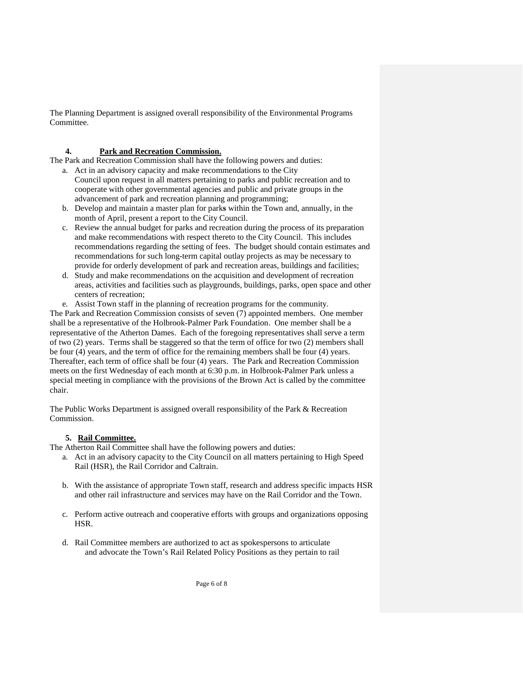The Planning Department is assigned overall responsibility of the Environmental Programs Committee.

#### **4. Park and Recreation Commission.**

The Park and Recreation Commission shall have the following powers and duties:

- a. Act in an advisory capacity and make recommendations to the City Council upon request in all matters pertaining to parks and public recreation and to cooperate with other governmental agencies and public and private groups in the advancement of park and recreation planning and programming;
- b. Develop and maintain a master plan for park**s** within the Town and, annually, in the month of April, present a report to the City Council.
- c. Review the annual budget for parks and recreation during the process of its preparation and make recommendations with respect thereto to the City Council. This includes recommendations regarding the setting of fees.The budget should contain estimates and recommendations for such long-term capital outlay projects as may be necessary to provide for orderly development of park and recreation areas, buildings and facilities;
- d. Study and make recommendations on the acquisition and development of recreation areas, activities and facilities such as playgrounds, buildings, parks, open space and other centers of recreation;
- e. Assist Town staff in the planning of recreation programs for the community.

The Park and Recreation Commission consists of seven (7) appointed members. One member shall be a representative of the Holbrook-Palmer Park Foundation. One member shall be a representative of the Atherton Dames. Each of the foregoing representatives shall serve a term of two (2) years. Terms shall be staggered so that the term of office for two (2) members shall be four (4) years, and the term of office for the remaining members shall be four (4) years. Thereafter, each term of office shall be four (4) years. The Park and Recreation Commission meets on the first Wednesday of each month at 6:30 p.m. in Holbrook-Palmer Park unless a special meeting in compliance with the provisions of the Brown Act is called by the committee chair.

The Public Works Department is assigned overall responsibility of the Park & Recreation Commission.

#### **5. Rail Committee.**

The Atherton Rail Committee shall have the following powers and duties:

- a. Act in an advisory capacity to the City Council on all matters pertaining to High Speed Rail (HSR), the Rail Corridor and Caltrain.
- b. With the assistance of appropriate Town staff, research and address specific impacts HSR and other rail infrastructure and services may have on the Rail Corridor and the Town.
- c. Perform active outreach and cooperative efforts with groups and organizations opposing HSR.
- d. Rail Committee members are authorized to act as spokespersons to articulate and advocate the Town's Rail Related Policy Positions as they pertain to rail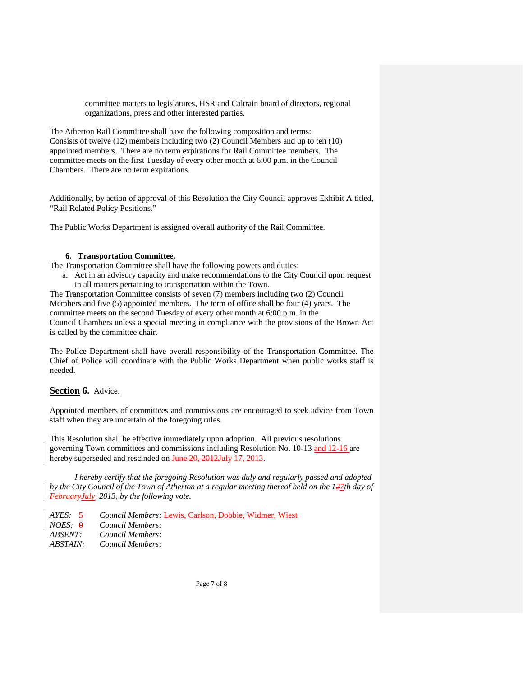committee matters to legislatures, HSR and Caltrain board of directors, regional organizations, press and other interested parties.

The Atherton Rail Committee shall have the following composition and terms: Consists of twelve (12) members including two (2) Council Members and up to ten (10) appointed members. There are no term expirations for Rail Committee members. The committee meets on the first Tuesday of every other month at 6:00 p.m. in the Council Chambers. There are no term expirations.

Additionally, by action of approval of this Resolution the City Council approves Exhibit A titled, "Rail Related Policy Positions."

The Public Works Department is assigned overall authority of the Rail Committee.

#### **6. Transportation Committee.**

The Transportation Committee shall have the following powers and duties:

a. Act in an advisory capacity and make recommendations to the City Council upon request in all matters pertaining to transportation within the Town.

The Transportation Committee consists of seven (7) members including two (2) Council Members and five (5) appointed members. The term of office shall be four (4) years. The committee meets on the second Tuesday of every other month at 6:00 p.m. in the Council Chambers unless a special meeting in compliance with the provisions of the Brown Act is called by the committee chair.

The Police Department shall have overall responsibility of the Transportation Committee. The Chief of Police will coordinate with the Public Works Department when public works staff is needed.

#### **Section 6.** Advice.

Appointed members of committees and commissions are encouraged to seek advice from Town staff when they are uncertain of the foregoing rules.

This Resolution shall be effective immediately upon adoption. All previous resolutions governing Town committees and commissions including Resolution No. 10-13 and 12-16 are hereby superseded and rescinded on June 20, 2012July 17, 2013.

*I hereby certify that the foregoing Resolution was duly and regularly passed and adopted by the City Council of the Town of Atherton at a regular meeting thereof held on the*  $127$ *th day of FebruaryJuly, 2013, by the following vote.*

*AYES:* 5 *Council Members:* Lewis, Carlson, Dobbie, Widmer, Wiest *NOES:* 0 *Council Members: ABSENT: Council Members: ABSTAIN: Council Members:*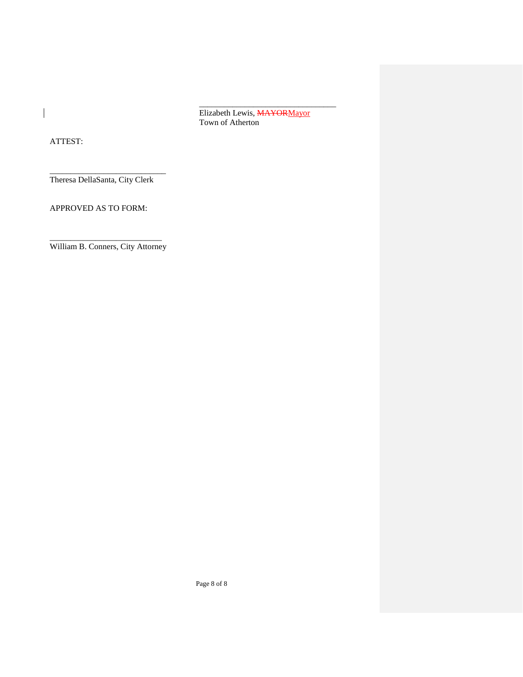\_\_\_\_\_\_\_\_\_\_\_\_\_\_\_\_\_\_\_\_\_\_\_\_\_\_\_\_\_\_\_\_\_ Elizabeth Lewis, **MAYOR** Mayor Town of Atherton

ATTEST:

 $\overline{\phantom{a}}$ 

\_\_\_\_\_\_\_\_\_\_\_\_\_\_\_\_\_\_\_\_\_\_\_\_\_\_\_\_ Theresa DellaSanta, City Clerk

APPROVED AS TO FORM:

\_\_\_\_\_\_\_\_\_\_\_\_\_\_\_\_\_\_\_\_\_\_\_\_\_\_\_ William B. Conners, City Attorney

Page 8 of 8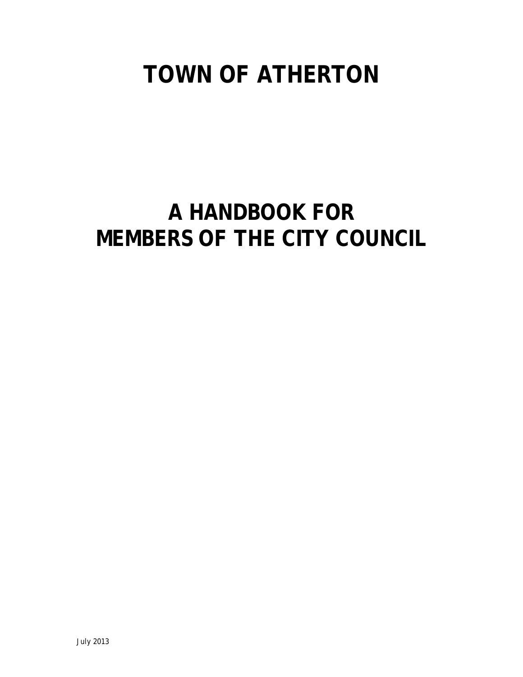# **TOWN OF ATHERTON**

# **A HANDBOOK FOR MEMBERS OF THE CITY COUNCIL**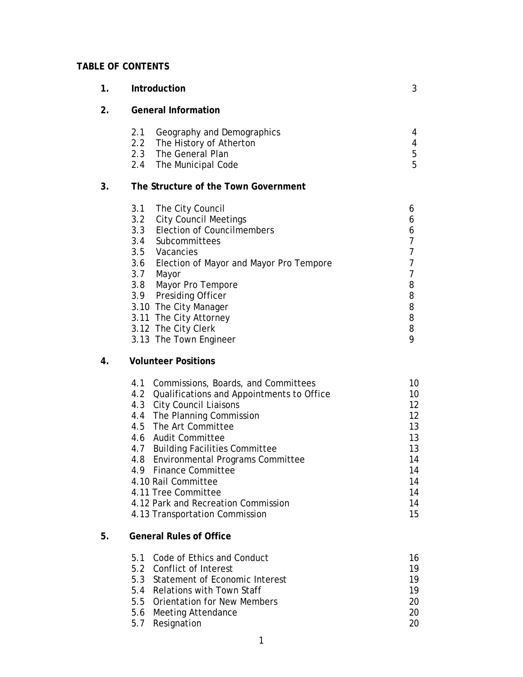## **TABLE OF CONTENTS**

| 1. | Introduction                                                                                                                                                                                                                                                                                                                                                                                                                                   | 3                                                                          |
|----|------------------------------------------------------------------------------------------------------------------------------------------------------------------------------------------------------------------------------------------------------------------------------------------------------------------------------------------------------------------------------------------------------------------------------------------------|----------------------------------------------------------------------------|
| 2. | <b>General Information</b>                                                                                                                                                                                                                                                                                                                                                                                                                     |                                                                            |
|    | 2.1<br>Geography and Demographics<br>2.2<br>The History of Atherton<br>2.3<br>The General Plan<br>2.4<br>The Municipal Code                                                                                                                                                                                                                                                                                                                    | 4<br>4<br>5<br>5                                                           |
| 3. | The Structure of the Town Government                                                                                                                                                                                                                                                                                                                                                                                                           |                                                                            |
|    | 3.1<br>The City Council<br>3.2<br><b>City Council Meetings</b><br>3.3<br><b>Election of Councilmembers</b><br>3.4<br>Subcommittees<br>3.5<br>Vacancies<br>3.6<br>Election of Mayor and Mayor Pro Tempore<br>3.7<br>Mayor<br>3.8<br>Mayor Pro Tempore<br>3.9 Presiding Officer<br>3.10 The City Manager<br>3.11 The City Attorney<br>3.12 The City Clerk<br>3.13 The Town Engineer                                                              | 6<br>6<br>6<br>7<br>7<br>7<br>7<br>8<br>8<br>8<br>8<br>8<br>9              |
| 4. | <b>Volunteer Positions</b>                                                                                                                                                                                                                                                                                                                                                                                                                     |                                                                            |
|    | 4.1<br>Commissions, Boards, and Committees<br>4.2 Qualifications and Appointments to Office<br>4.3 City Council Liaisons<br>4.4 The Planning Commission<br>4.5 The Art Committee<br>4.6 Audit Committee<br>4.7 Building Facilities Committee<br>4.8<br><b>Environmental Programs Committee</b><br>4.9 Finance Committee<br>4.10 Rail Committee<br>4.11 Tree Committee<br>4.12 Park and Recreation Commission<br>4.13 Transportation Commission | 10<br>10<br>12<br>12<br>13<br>13<br>13<br>14<br>14<br>14<br>14<br>14<br>15 |
| 5. | <b>General Rules of Office</b>                                                                                                                                                                                                                                                                                                                                                                                                                 |                                                                            |
|    | 5.1<br>Code of Ethics and Conduct<br>5.2 Conflict of Interest<br>5.3 Statement of Economic Interest<br>5.4 Relations with Town Staff<br>5.5<br><b>Orientation for New Members</b><br>5.6 Meeting Attendance<br>5.7 Resignation                                                                                                                                                                                                                 | 16<br>19<br>19<br>19<br>20<br>20<br>20                                     |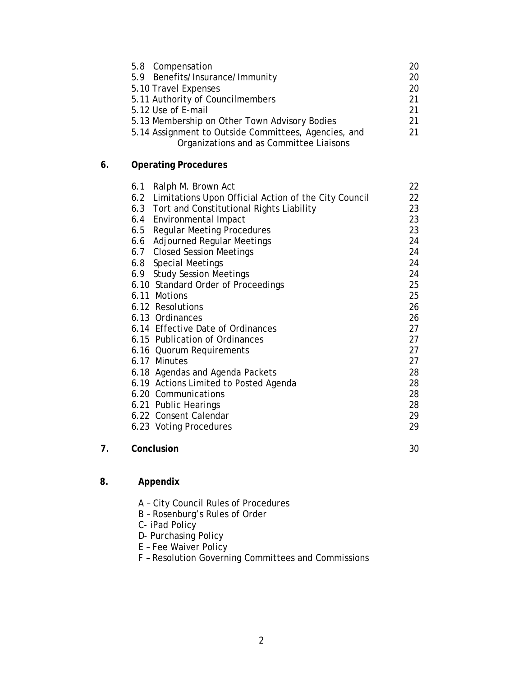| 5.8 Compensation                                                                                |    |
|-------------------------------------------------------------------------------------------------|----|
| 5.9 Benefits/Insurance/Immunity                                                                 | 20 |
| 5.10 Travel Expenses                                                                            | 20 |
| 5.11 Authority of Councilmembers                                                                | 21 |
| 5.12 Use of E-mail                                                                              | 21 |
| 5.13 Membership on Other Town Advisory Bodies                                                   |    |
| 5.14 Assignment to Outside Committees, Agencies, and<br>Organizations and as Committee Liaisons |    |

## **6. Operating Procedures**

|    | 6.1 Ralph M. Brown Act                                   | 22 |
|----|----------------------------------------------------------|----|
|    | 6.2 Limitations Upon Official Action of the City Council | 22 |
|    | 6.3 Tort and Constitutional Rights Liability             | 23 |
|    | 6.4 Environmental Impact                                 | 23 |
|    | <b>Regular Meeting Procedures</b><br>6.5                 | 23 |
|    | Adjourned Regular Meetings<br>6.6                        | 24 |
|    | 6.7 Closed Session Meetings                              | 24 |
|    | 6.8 Special Meetings                                     | 24 |
|    | 6.9 Study Session Meetings                               | 24 |
|    | 6.10 Standard Order of Proceedings                       | 25 |
|    | 6.11 Motions                                             | 25 |
|    | 6.12 Resolutions                                         | 26 |
|    | 6.13 Ordinances                                          | 26 |
|    | 6.14 Effective Date of Ordinances                        | 27 |
|    | 6.15 Publication of Ordinances                           | 27 |
|    | 6.16 Quorum Requirements                                 | 27 |
|    | 6.17 Minutes                                             | 27 |
|    | 6.18 Agendas and Agenda Packets                          | 28 |
|    | 6.19 Actions Limited to Posted Agenda                    | 28 |
|    | 6.20 Communications                                      | 28 |
|    | 6.21 Public Hearings                                     | 28 |
|    | 6.22 Consent Calendar                                    | 29 |
|    | 6.23 Voting Procedures                                   | 29 |
| 7. | Conclusion                                               | 30 |

## **8. Appendix**

- A City Council Rules of Procedures
- B Rosenburg's Rules of Order
- C- iPad Policy
- D- Purchasing Policy
- E Fee Waiver Policy
- F Resolution Governing Committees and Commissions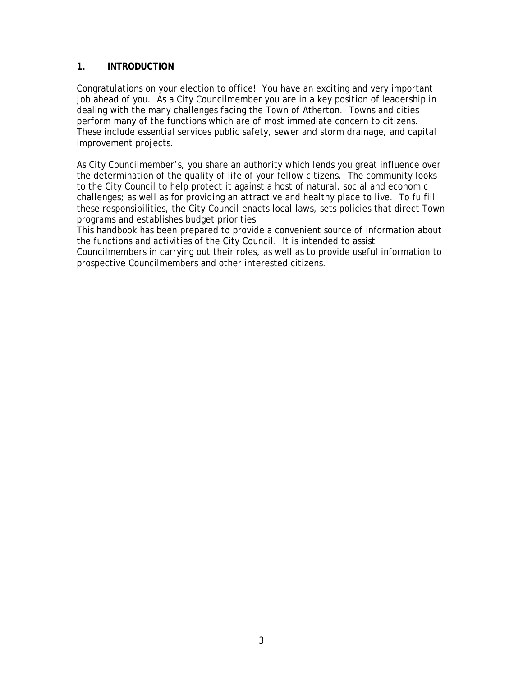## **1. INTRODUCTION**

Congratulations on your election to office! You have an exciting and very important job ahead of you. As a City Councilmember you are in a key position of leadership in dealing with the many challenges facing the Town of Atherton. Towns and cities perform many of the functions which are of most immediate concern to citizens. These include essential services public safety, sewer and storm drainage, and capital improvement projects.

As City Councilmember's, you share an authority which lends you great influence over the determination of the quality of life of your fellow citizens. The community looks to the City Council to help protect it against a host of natural, social and economic challenges; as well as for providing an attractive and healthy place to live. To fulfill these responsibilities, the City Council enacts local laws, sets policies that direct Town programs and establishes budget priorities.

This handbook has been prepared to provide a convenient source of information about the functions and activities of the City Council. It is intended to assist Councilmembers in carrying out their roles, as well as to provide useful information to prospective Councilmembers and other interested citizens.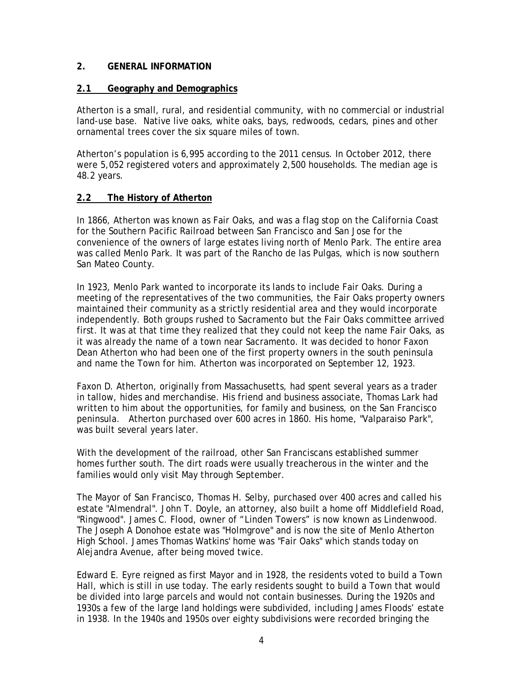## **2. GENERAL INFORMATION**

## **2.1 Geography and Demographics**

Atherton is a small, rural, and residential community, with no commercial or industrial land-use base. Native live oaks, white oaks, bays, redwoods, cedars, pines and other ornamental trees cover the six square miles of town.

Atherton's population is 6,995 according to the 2011 census. In October 2012, there were 5,052 registered voters and approximately 2,500 households. The median age is 48.2 years.

## **2.2 The History of Atherton**

In 1866, Atherton was known as Fair Oaks, and was a [flag stop](http://en.wikipedia.org/wiki/Flag_stop) on the California Coast for the Southern Pacific Railroad between [San Francisco](http://en.wikipedia.org/wiki/San_Francisco,_California) and [San Jose](http://en.wikipedia.org/wiki/San_Jose,_California) for the convenience of the owners of large estates living north of [Menlo Park.](http://en.wikipedia.org/wiki/Menlo_Park,_California) The entire area was called Menlo Park. It was part of the [Rancho de las Pulgas,](http://en.wikipedia.org/wiki/Rancho_de_las_Pulgas) which is now southern [San Mateo County.](http://en.wikipedia.org/wiki/San_Mateo_County,_California)

In 1923, Menlo Park wanted to incorporate its lands to include Fair Oaks. During a meeting of the representatives of the two communities, the Fair Oaks property owners maintained their community as a strictly residential area and they would incorporate independently. Both groups rushed to Sacramento but the Fair Oaks committee arrived first. It was at that time they realized that they could not keep the name Fair Oaks, as it was already the name of a town near Sacramento. It was decided to honor Faxon Dean Atherton who had been one of the first property owners in the south peninsula and name the Town for him. Atherton was incorporated on September 12, 1923.

[Faxon D. Atherton,](http://en.wikipedia.org/wiki/Faxon_Atherton) originally from Massachusetts, had spent several years as a trader in tallow, hides and merchandise. His friend and business associate, Thomas Lark had written to him about the opportunities, for family and business, on the San Francisco peninsula. Atherton purchased over 600 acres in 1860. His home, "Valparaiso Park", was built several years later.

With the development of the railroad, other San Franciscans established summer homes further south. The dirt roads were usually treacherous in the winter and the families would only visit May through September.

The Mayor of San Francisco, Thomas H. Selby, purchased over 400 acres and called his estate "Almendral". John T. Doyle, an attorney, also built a home off Middlefield Road, "Ringwood". [James C. Flood,](http://en.wikipedia.org/wiki/James_C._Flood) owner of "Linden Towers" is now known as Lindenwood. The Joseph A Donohoe estate was "Holmgrove" and is now the site of Menlo Atherton High School. James Thomas Watkins' home was "Fair Oaks" which stands today on Alejandra Avenue, after being moved twice.

Edward E. Eyre reigned as first Mayor and in 1928, the residents voted to build a Town Hall, which is still in use today. The early residents sought to build a Town that would be divided into large parcels and would not contain businesses. During the 1920s and 1930s a few of the large land holdings were subdivided, including James Floods' estate in 1938. In the 1940s and 1950s over eighty subdivisions were recorded bringing the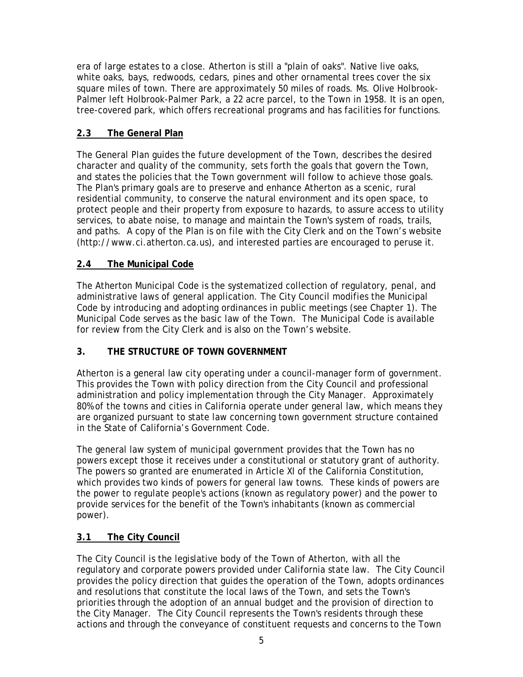era of large estates to a close. Atherton is still a "plain of oaks". Native live oaks, white oaks, bays, redwoods, cedars, pines and other ornamental trees cover the six square miles of town. There are approximately 50 miles of roads. Ms. Olive Holbrook-Palmer left Holbrook-Palmer Park, a 22 acre parcel, to the Town in 1958. It is an open, tree-covered park, which offers recreational programs and has facilities for functions.

## **2.3 The General Plan**

The General Plan guides the future development of the Town, describes the desired character and quality of the community, sets forth the goals that govern the Town, and states the policies that the Town government will follow to achieve those goals. The Plan's primary goals are to preserve and enhance Atherton as a scenic, rural residential community, to conserve the natural environment and its open space, to protect people and their property from exposure to hazards, to assure access to utility services, to abate noise, to manage and maintain the Town's system of roads, trails, and paths. A copy of the Plan is on file with the City Clerk and on the Town's website (http://www.ci.atherton.ca.us), and interested parties are encouraged to peruse it.

## **2.4 The Municipal Code**

The Atherton Municipal Code is the systematized collection of regulatory, penal, and administrative laws of general application. The City Council modifies the Municipal Code by introducing and adopting ordinances in public meetings (see Chapter 1). The Municipal Code serves as the basic law of the Town. The Municipal Code is available for review from the City Clerk and is also on the Town's website.

## **3. THE STRUCTURE OF TOWN GOVERNMENT**

Atherton is a general law city operating under a council-manager form of government. This provides the Town with policy direction from the City Council and professional administration and policy implementation through the City Manager. Approximately 80% of the towns and cities in California operate under general law, which means they are organized pursuant to state law concerning town government structure contained in the State of California's Government Code.

The general law system of municipal government provides that the Town has no powers except those it receives under a constitutional or statutory grant of authority. The powers so granted are enumerated in Article XI of the California Constitution, which provides two kinds of powers for general law towns. These kinds of powers are the power to regulate people's actions (known as regulatory power) and the power to provide services for the benefit of the Town's inhabitants (known as commercial power).

## **3.1 The City Council**

The City Council is the legislative body of the Town of Atherton, with all the regulatory and corporate powers provided under California state law. The City Council provides the policy direction that guides the operation of the Town, adopts ordinances and resolutions that constitute the local laws of the Town, and sets the Town's priorities through the adoption of an annual budget and the provision of direction to the City Manager. The City Council represents the Town's residents through these actions and through the conveyance of constituent requests and concerns to the Town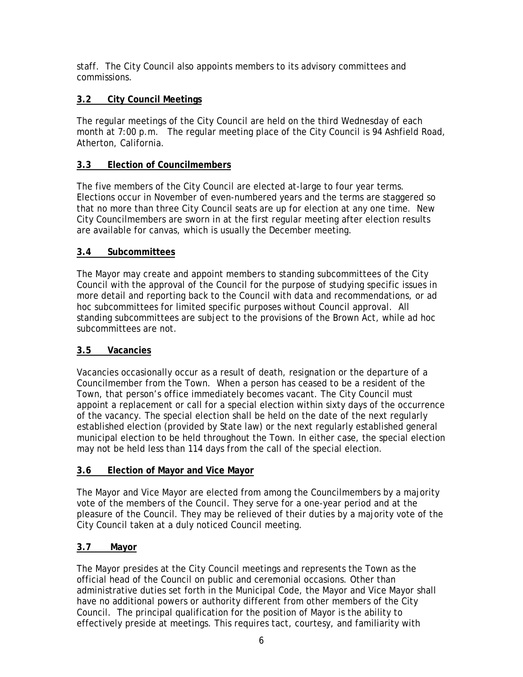staff. The City Council also appoints members to its advisory committees and commissions.

## **3.2 City Council Meetings**

The regular meetings of the City Council are held on the third Wednesday of each month at 7:00 p.m. The regular meeting place of the City Council is 94 Ashfield Road, Atherton, California.

## **3.3 Election of Councilmembers**

The five members of the City Council are elected at-large to four year terms. Elections occur in November of even-numbered years and the terms are staggered so that no more than three City Council seats are up for election at any one time. New City Councilmembers are sworn in at the first regular meeting after election results are available for canvas, which is usually the December meeting.

## **3.4 Subcommittees**

The Mayor may create and appoint members to standing subcommittees of the City Council with the approval of the Council for the purpose of studying specific issues in more detail and reporting back to the Council with data and recommendations, or ad hoc subcommittees for limited specific purposes without Council approval. All standing subcommittees are subject to the provisions of the Brown Act, while ad hoc subcommittees are not.

## **3.5 Vacancies**

Vacancies occasionally occur as a result of death, resignation or the departure of a Councilmember from the Town. When a person has ceased to be a resident of the Town, that person's office immediately becomes vacant. The City Council must appoint a replacement or call for a special election within sixty days of the occurrence of the vacancy. The special election shall be held on the date of the next regularly established election (provided by State law) or the next regularly established general municipal election to be held throughout the Town. In either case, the special election may not be held less than 114 days from the call of the special election.

## **3.6 Election of Mayor and Vice Mayor**

The Mayor and Vice Mayor are elected from among the Councilmembers by a majority vote of the members of the Council. They serve for a one-year period and at the pleasure of the Council. They may be relieved of their duties by a majority vote of the City Council taken at a duly noticed Council meeting.

## **3.7 Mayor**

The Mayor presides at the City Council meetings and represents the Town as the official head of the Council on public and ceremonial occasions. Other than administrative duties set forth in the Municipal Code, the Mayor and Vice Mayor shall have no additional powers or authority different from other members of the City Council. The principal qualification for the position of Mayor is the ability to effectively preside at meetings. This requires tact, courtesy, and familiarity with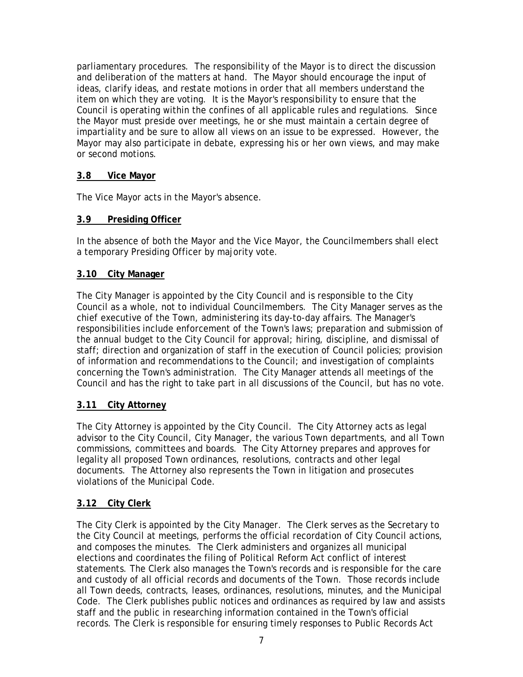parliamentary procedures. The responsibility of the Mayor is to direct the discussion and deliberation of the matters at hand. The Mayor should encourage the input of ideas, clarify ideas, and restate motions in order that all members understand the item on which they are voting. It is the Mayor's responsibility to ensure that the Council is operating within the confines of all applicable rules and regulations. Since the Mayor must preside over meetings, he or she must maintain a certain degree of impartiality and be sure to allow all views on an issue to be expressed. However, the Mayor may also participate in debate, expressing his or her own views, and may make or second motions.

## **3.8 Vice Mayor**

The Vice Mayor acts in the Mayor's absence.

## **3.9 Presiding Officer**

In the absence of both the Mayor and the Vice Mayor, the Councilmembers shall elect a temporary Presiding Officer by majority vote.

## **3.10 City Manager**

The City Manager is appointed by the City Council and is responsible to the City Council as a whole, not to individual Councilmembers. The City Manager serves as the chief executive of the Town, administering its day-to-day affairs. The Manager's responsibilities include enforcement of the Town's laws; preparation and submission of the annual budget to the City Council for approval; hiring, discipline, and dismissal of staff; direction and organization of staff in the execution of Council policies; provision of information and recommendations to the Council; and investigation of complaints concerning the Town's administration. The City Manager attends all meetings of the Council and has the right to take part in all discussions of the Council, but has no vote.

## **3.11 City Attorney**

The City Attorney is appointed by the City Council. The City Attorney acts as legal advisor to the City Council, City Manager, the various Town departments, and all Town commissions, committees and boards. The City Attorney prepares and approves for legality all proposed Town ordinances, resolutions, contracts and other legal documents. The Attorney also represents the Town in litigation and prosecutes violations of the Municipal Code.

## **3.12 City Clerk**

The City Clerk is appointed by the City Manager. The Clerk serves as the Secretary to the City Council at meetings, performs the official recordation of City Council actions, and composes the minutes. The Clerk administers and organizes all municipal elections and coordinates the filing of Political Reform Act conflict of interest statements. The Clerk also manages the Town's records and is responsible for the care and custody of all official records and documents of the Town. Those records include all Town deeds, contracts, leases, ordinances, resolutions, minutes, and the Municipal Code. The Clerk publishes public notices and ordinances as required by law and assists staff and the public in researching information contained in the Town's official records. The Clerk is responsible for ensuring timely responses to Public Records Act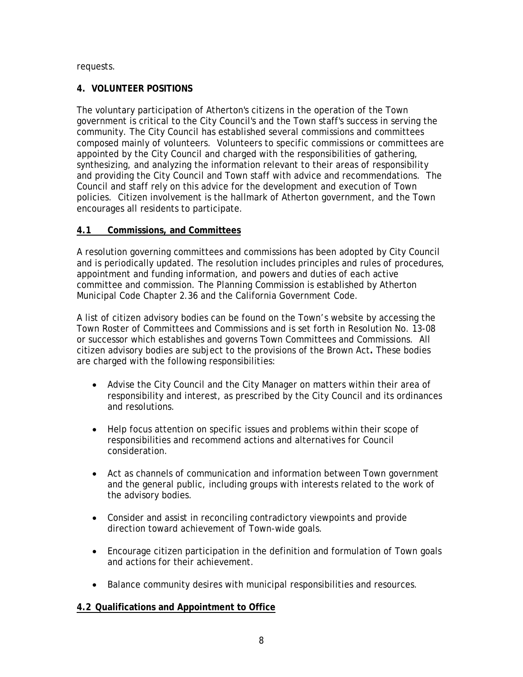## requests.

## **4. VOLUNTEER POSITIONS**

The voluntary participation of Atherton's citizens in the operation of the Town government is critical to the City Council's and the Town staff's success in serving the community. The City Council has established several commissions and committees composed mainly of volunteers. Volunteers to specific commissions or committees are appointed by the City Council and charged with the responsibilities of gathering, synthesizing, and analyzing the information relevant to their areas of responsibility and providing the City Council and Town staff with advice and recommendations. The Council and staff rely on this advice for the development and execution of Town policies. Citizen involvement is the hallmark of Atherton government, and the Town encourages all residents to participate.

## **4.1 Commissions, and Committees**

A resolution governing committees and commissions has been adopted by City Council and is periodically updated. The resolution includes principles and rules of procedures, appointment and funding information, and powers and duties of each active committee and commission. The Planning Commission is established by Atherton Municipal Code Chapter 2.36 and the California Government Code.

A list of citizen advisory bodies can be found on the Town's website by accessing the Town Roster of Committees and Commissions and is set forth in Resolution No. 13-08 or successor which establishes and governs Town Committees and Commissions. All citizen advisory bodies are subject to the provisions of the Brown Act**.** These bodies are charged with the following responsibilities:

- Advise the City Council and the City Manager on matters within their area of responsibility and interest, as prescribed by the City Council and its ordinances and resolutions.
- Help focus attention on specific issues and problems within their scope of responsibilities and recommend actions and alternatives for Council consideration.
- Act as channels of communication and information between Town government and the general public, including groups with interests related to the work of the advisory bodies.
- Consider and assist in reconciling contradictory viewpoints and provide direction toward achievement of Town-wide goals.
- Encourage citizen participation in the definition and formulation of Town goals and actions for their achievement.
- Balance community desires with municipal responsibilities and resources.

## **4.2 Qualifications and Appointment to Office**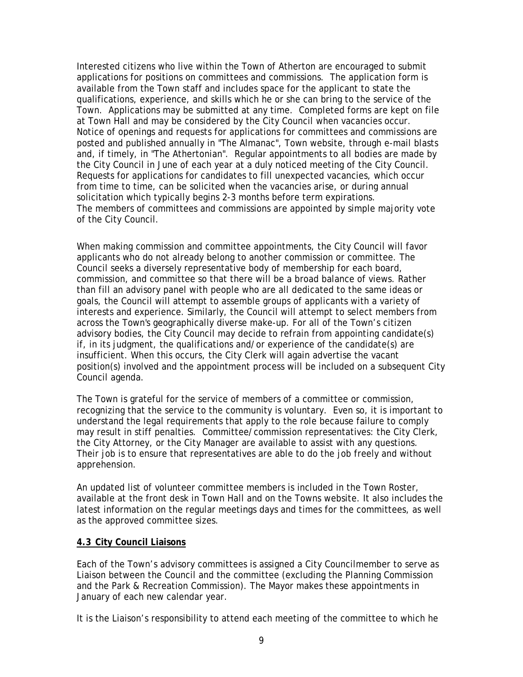Interested citizens who live within the Town of Atherton are encouraged to submit applications for positions on committees and commissions. The application form is available from the Town staff and includes space for the applicant to state the qualifications, experience, and skills which he or she can bring to the service of the Town. Applications may be submitted at any time. Completed forms are kept on file at Town Hall and may be considered by the City Council when vacancies occur. Notice of openings and requests for applications for committees and commissions are posted and published annually in "The Almanac", Town website, through e-mail blasts and, if timely, in "The Athertonian". Regular appointments to all bodies are made by the City Council in June of each year at a duly noticed meeting of the City Council. Requests for applications for candidates to fill unexpected vacancies, which occur from time to time, can be solicited when the vacancies arise, or during annual solicitation which typically begins 2-3 months before term expirations. The members of committees and commissions are appointed by simple majority vote of the City Council.

When making commission and committee appointments, the City Council will favor applicants who do not already belong to another commission or committee. The Council seeks a diversely representative body of membership for each board, commission, and committee so that there will be a broad balance of views. Rather than fill an advisory panel with people who are all dedicated to the same ideas or goals, the Council will attempt to assemble groups of applicants with a variety of interests and experience. Similarly, the Council will attempt to select members from across the Town's geographically diverse make-up. For all of the Town's citizen advisory bodies, the City Council may decide to refrain from appointing candidate(s) if, in its judgment, the qualifications and/or experience of the candidate(s) are insufficient. When this occurs, the City Clerk will again advertise the vacant position(s) involved and the appointment process will be included on a subsequent City Council agenda.

The Town is grateful for the service of members of a committee or commission, recognizing that the service to the community is voluntary. Even so, it is important to understand the legal requirements that apply to the role because failure to comply may result in stiff penalties. Committee/commission representatives: the City Clerk, the City Attorney, or the City Manager are available to assist with any questions. Their job is to ensure that representatives are able to do the job freely and without apprehension.

An updated list of volunteer committee members is included in the Town Roster, available at the front desk in Town Hall and on the Towns website. It also includes the latest information on the regular meetings days and times for the committees, as well as the approved committee sizes.

## **4.3 City Council Liaisons**

Each of the Town's advisory committees is assigned a City Councilmember to serve as Liaison between the Council and the committee (excluding the Planning Commission and the Park & Recreation Commission). The Mayor makes these appointments in January of each new calendar year.

It is the Liaison's responsibility to attend each meeting of the committee to which he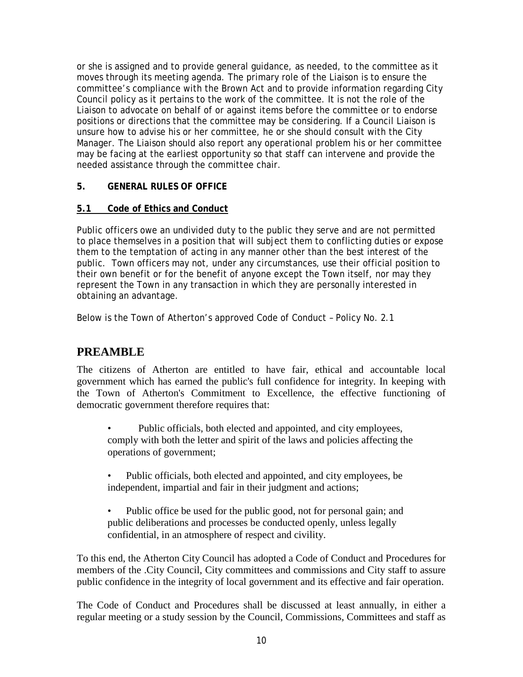or she is assigned and to provide general guidance, as needed, to the committee as it moves through its meeting agenda. The primary role of the Liaison is to ensure the committee's compliance with the Brown Act and to provide information regarding City Council policy as it pertains to the work of the committee. It is not the role of the Liaison to advocate on behalf of or against items before the committee or to endorse positions or directions that the committee may be considering. If a Council Liaison is unsure how to advise his or her committee, he or she should consult with the City Manager. The Liaison should also report any operational problem his or her committee may be facing at the earliest opportunity so that staff can intervene and provide the needed assistance through the committee chair.

## **5. GENERAL RULES OF OFFICE**

## **5.1 Code of Ethics and Conduct**

Public officers owe an undivided duty to the public they serve and are not permitted to place themselves in a position that will subject them to conflicting duties or expose them to the temptation of acting in any manner other than the best interest of the public. Town officers may not, under any circumstances, use their official position to their own benefit or for the benefit of anyone except the Town itself, nor may they represent the Town in any transaction in which they are personally interested in obtaining an advantage.

Below is the Town of Atherton's approved Code of Conduct – Policy No. 2.1

# **PREAMBLE**

The citizens of Atherton are entitled to have fair, ethical and accountable local government which has earned the public's full confidence for integrity. In keeping with the Town of Atherton's Commitment to Excellence, the effective functioning of democratic government therefore requires that:

• Public officials, both elected and appointed, and city employees, comply with both the letter and spirit of the laws and policies affecting the operations of government;

- Public officials, both elected and appointed, and city employees, be independent, impartial and fair in their judgment and actions;
- Public office be used for the public good, not for personal gain; and public deliberations and processes be conducted openly, unless legally confidential, in an atmosphere of respect and civility.

To this end, the Atherton City Council has adopted a Code of Conduct and Procedures for members of the .City Council, City committees and commissions and City staff to assure public confidence in the integrity of local government and its effective and fair operation.

The Code of Conduct and Procedures shall be discussed at least annually, in either a regular meeting or a study session by the Council, Commissions, Committees and staff as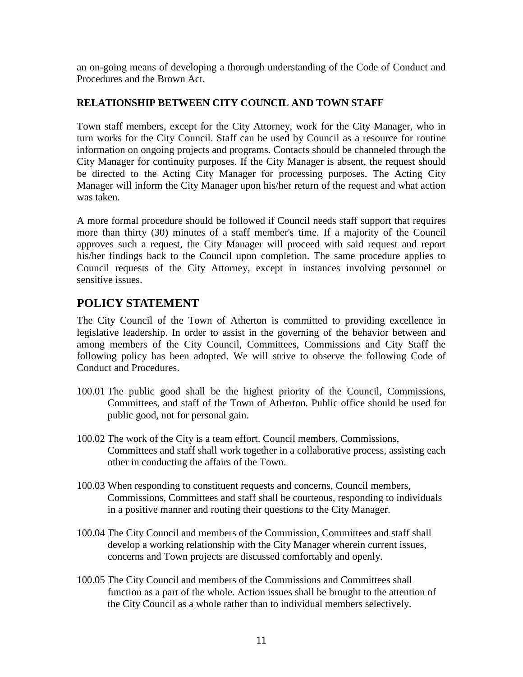an on-going means of developing a thorough understanding of the Code of Conduct and Procedures and the Brown Act.

## **RELATIONSHIP BETWEEN CITY COUNCIL AND TOWN STAFF**

Town staff members, except for the City Attorney, work for the City Manager, who in turn works for the City Council. Staff can be used by Council as a resource for routine information on ongoing projects and programs. Contacts should be channeled through the City Manager for continuity purposes. If the City Manager is absent, the request should be directed to the Acting City Manager for processing purposes. The Acting City Manager will inform the City Manager upon his/her return of the request and what action was taken.

A more formal procedure should be followed if Council needs staff support that requires more than thirty (30) minutes of a staff member's time. If a majority of the Council approves such a request, the City Manager will proceed with said request and report his/her findings back to the Council upon completion. The same procedure applies to Council requests of the City Attorney, except in instances involving personnel or sensitive issues.

# **POLICY STATEMENT**

The City Council of the Town of Atherton is committed to providing excellence in legislative leadership. In order to assist in the governing of the behavior between and among members of the City Council, Committees, Commissions and City Staff the following policy has been adopted. We will strive to observe the following Code of Conduct and Procedures.

- 100.01 The public good shall be the highest priority of the Council, Commissions, Committees, and staff of the Town of Atherton. Public office should be used for public good, not for personal gain.
- 100.02 The work of the City is a team effort. Council members, Commissions, Committees and staff shall work together in a collaborative process, assisting each other in conducting the affairs of the Town.
- 100.03 When responding to constituent requests and concerns, Council members, Commissions, Committees and staff shall be courteous, responding to individuals in a positive manner and routing their questions to the City Manager.
- 100.04 The City Council and members of the Commission, Committees and staff shall develop a working relationship with the City Manager wherein current issues, concerns and Town projects are discussed comfortably and openly.
- 100.05 The City Council and members of the Commissions and Committees shall function as a part of the whole. Action issues shall be brought to the attention of the City Council as a whole rather than to individual members selectively.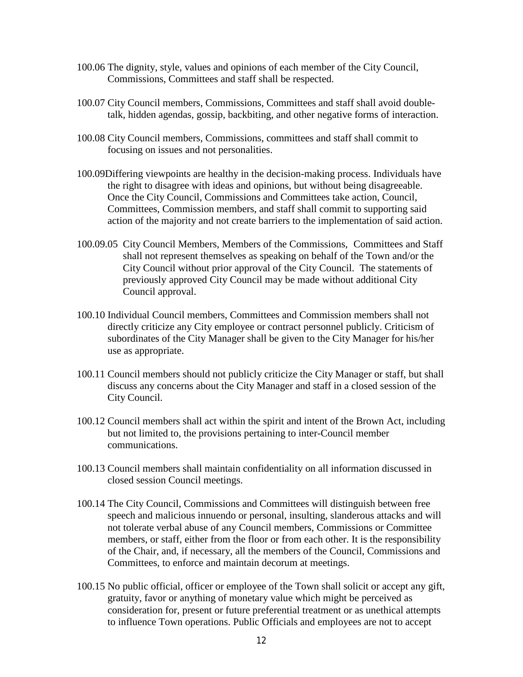- 100.06 The dignity, style, values and opinions of each member of the City Council, Commissions, Committees and staff shall be respected.
- 100.07 City Council members, Commissions, Committees and staff shall avoid doubletalk, hidden agendas, gossip, backbiting, and other negative forms of interaction.
- 100.08 City Council members, Commissions, committees and staff shall commit to focusing on issues and not personalities.
- 100.09Differing viewpoints are healthy in the decision-making process. Individuals have the right to disagree with ideas and opinions, but without being disagreeable. Once the City Council, Commissions and Committees take action, Council, Committees, Commission members, and staff shall commit to supporting said action of the majority and not create barriers to the implementation of said action.
- 100.09.05 City Council Members, Members of the Commissions, Committees and Staff shall not represent themselves as speaking on behalf of the Town and/or the City Council without prior approval of the City Council. The statements of previously approved City Council may be made without additional City Council approval.
- 100.10 Individual Council members, Committees and Commission members shall not directly criticize any City employee or contract personnel publicly. Criticism of subordinates of the City Manager shall be given to the City Manager for his/her use as appropriate.
- 100.11 Council members should not publicly criticize the City Manager or staff, but shall discuss any concerns about the City Manager and staff in a closed session of the City Council.
- 100.12 Council members shall act within the spirit and intent of the Brown Act, including but not limited to, the provisions pertaining to inter-Council member communications.
- 100.13 Council members shall maintain confidentiality on all information discussed in closed session Council meetings.
- 100.14 The City Council, Commissions and Committees will distinguish between free speech and malicious innuendo or personal, insulting, slanderous attacks and will not tolerate verbal abuse of any Council members, Commissions or Committee members, or staff, either from the floor or from each other. It is the responsibility of the Chair, and, if necessary, all the members of the Council, Commissions and Committees, to enforce and maintain decorum at meetings.
- 100.15 No public official, officer or employee of the Town shall solicit or accept any gift, gratuity, favor or anything of monetary value which might be perceived as consideration for, present or future preferential treatment or as unethical attempts to influence Town operations. Public Officials and employees are not to accept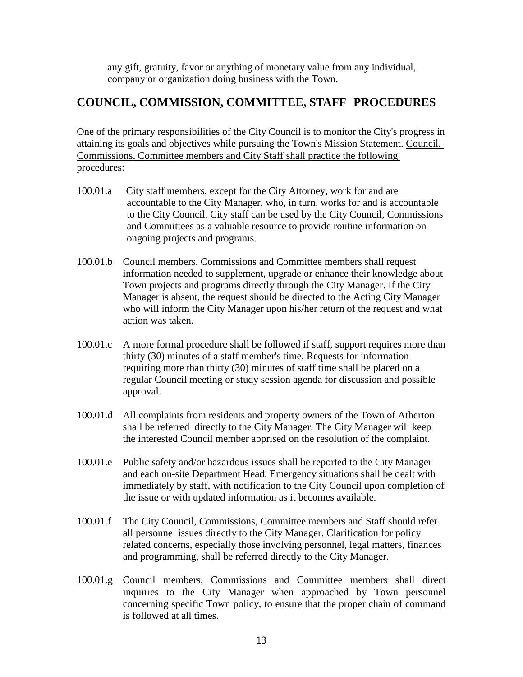any gift, gratuity, favor or anything of monetary value from any individual, company or organization doing business with the Town.

# **COUNCIL, COMMISSION, COMMITTEE, STAFF PROCEDURES**

One of the primary responsibilities of the City Council is to monitor the City's progress in attaining its goals and objectives while pursuing the Town's Mission Statement. Council, Commissions, Committee members and City Staff shall practice the following procedures:

- 100.01.a City staff members, except for the City Attorney, work for and are accountable to the City Manager, who, in turn, works for and is accountable to the City Council. City staff can be used by the City Council, Commissions and Committees as a valuable resource to provide routine information on ongoing projects and programs.
- 100.01.b Council members, Commissions and Committee members shall request information needed to supplement, upgrade or enhance their knowledge about Town projects and programs directly through the City Manager. If the City Manager is absent, the request should be directed to the Acting City Manager who will inform the City Manager upon his/her return of the request and what action was taken.
- 100.01.c A more formal procedure shall be followed if staff, support requires more than thirty (30) minutes of a staff member's time. Requests for information requiring more than thirty (30) minutes of staff time shall be placed on a regular Council meeting or study session agenda for discussion and possible approval.
- 100.01.d All complaints from residents and property owners of the Town of Atherton shall be referred directly to the City Manager. The City Manager will keep the interested Council member apprised on the resolution of the complaint.
- 100.01.e Public safety and/or hazardous issues shall be reported to the City Manager and each on-site Department Head. Emergency situations shall be dealt with immediately by staff, with notification to the City Council upon completion of the issue or with updated information as it becomes available.
- 100.01.f The City Council, Commissions, Committee members and Staff should refer all personnel issues directly to the City Manager. Clarification for policy related concerns, especially those involving personnel, legal matters, finances and programming, shall be referred directly to the City Manager.
- 100.01.g Council members, Commissions and Committee members shall direct inquiries to the City Manager when approached by Town personnel concerning specific Town policy, to ensure that the proper chain of command is followed at all times.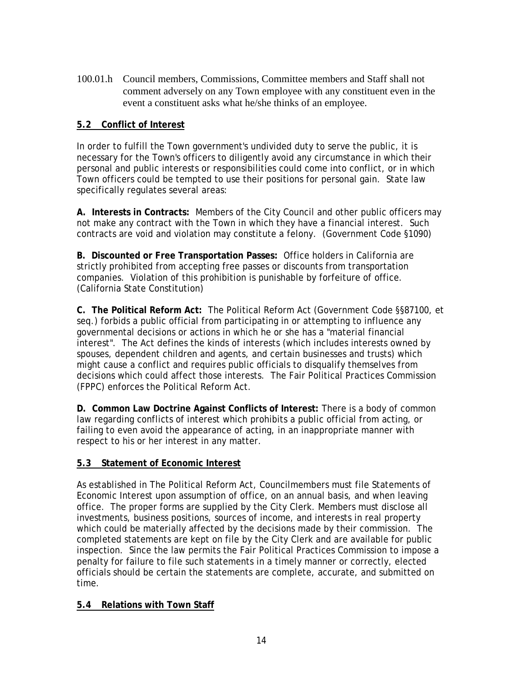100.01.h Council members, Commissions, Committee members and Staff shall not comment adversely on any Town employee with any constituent even in the event a constituent asks what he/she thinks of an employee.

### **5.2 Conflict of Interest**

In order to fulfill the Town government's undivided duty to serve the public, it is necessary for the Town's officers to diligently avoid any circumstance in which their personal and public interests or responsibilities could come into conflict, or in which Town officers could be tempted to use their positions for personal gain. State law specifically regulates several areas:

**A. Interests in Contracts:** Members of the City Council and other public officers may not make any contract with the Town in which they have a financial interest. Such contracts are void and violation may constitute a felony. (Government Code §1090)

**B. Discounted or Free Transportation Passes:** Office holders in California are strictly prohibited from accepting free passes or discounts from transportation companies. Violation of this prohibition is punishable by forfeiture of office. (California State Constitution)

**C. The Political Reform Act:** The Political Reform Act (Government Code §§87100, et seq.) forbids a public official from participating in or attempting to influence any governmental decisions or actions in which he or she has a "material financial interest". The Act defines the kinds of interests (which includes interests owned by spouses, dependent children and agents, and certain businesses and trusts) which might cause a conflict and requires public officials to disqualify themselves from decisions which could affect those interests. The Fair Political Practices Commission (FPPC) enforces the Political Reform Act.

**D. Common Law Doctrine Against Conflicts of Interest:** There is a body of common law regarding conflicts of interest which prohibits a public official from acting, or failing to even avoid the appearance of acting, in an inappropriate manner with respect to his or her interest in any matter.

# **5.3 Statement of Economic Interest**

As established in The Political Reform Act, Councilmembers must file Statements of Economic Interest upon assumption of office, on an annual basis, and when leaving office. The proper forms are supplied by the City Clerk. Members must disclose all investments, business positions, sources of income, and interests in real property which could be materially affected by the decisions made by their commission. The completed statements are kept on file by the City Clerk and are available for public inspection. Since the law permits the Fair Political Practices Commission to impose a penalty for failure to file such statements in a timely manner or correctly, elected officials should be certain the statements are complete, accurate, and submitted on time.

### **5.4 Relations with Town Staff**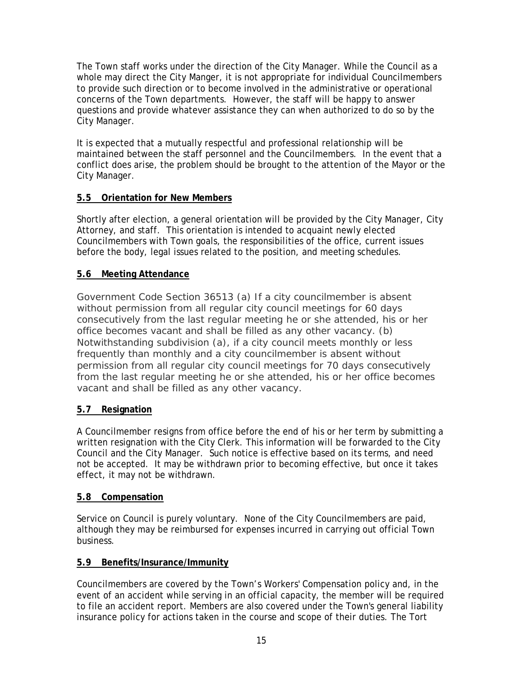The Town staff works under the direction of the City Manager. While the Council as a whole may direct the City Manger, it is not appropriate for individual Councilmembers to provide such direction or to become involved in the administrative or operational concerns of the Town departments. However, the staff will be happy to answer questions and provide whatever assistance they can when authorized to do so by the City Manager.

It is expected that a mutually respectful and professional relationship will be maintained between the staff personnel and the Councilmembers. In the event that a conflict does arise, the problem should be brought to the attention of the Mayor or the City Manager.

# **5.5 Orientation for New Members**

Shortly after election, a general orientation will be provided by the City Manager, City Attorney, and staff. This orientation is intended to acquaint newly elected Councilmembers with Town goals, the responsibilities of the office, current issues before the body, legal issues related to the position, and meeting schedules.

# **5.6 Meeting Attendance**

Government Code Section 36513 (a) If a city councilmember is absent without permission from all regular city council meetings for 60 days consecutively from the last regular meeting he or she attended, his or her office becomes vacant and shall be filled as any other vacancy. (b) Notwithstanding subdivision (a), if a city council meets monthly or less frequently than monthly and a city councilmember is absent without permission from all regular city council meetings for 70 days consecutively from the last regular meeting he or she attended, his or her office becomes vacant and shall be filled as any other vacancy.

# **5.7 Resignation**

A Councilmember resigns from office before the end of his or her term by submitting a written resignation with the City Clerk. This information will be forwarded to the City Council and the City Manager. Such notice is effective based on its terms, and need not be accepted. It may be withdrawn prior to becoming effective, but once it takes effect, it may not be withdrawn.

# **5.8 Compensation**

Service on Council is purely voluntary. None of the City Councilmembers are paid, although they may be reimbursed for expenses incurred in carrying out official Town business.

# **5.9 Benefits/Insurance/Immunity**

Councilmembers are covered by the Town's Workers' Compensation policy and, in the event of an accident while serving in an official capacity, the member will be required to file an accident report. Members are also covered under the Town's general liability insurance policy for actions taken in the course and scope of their duties. The Tort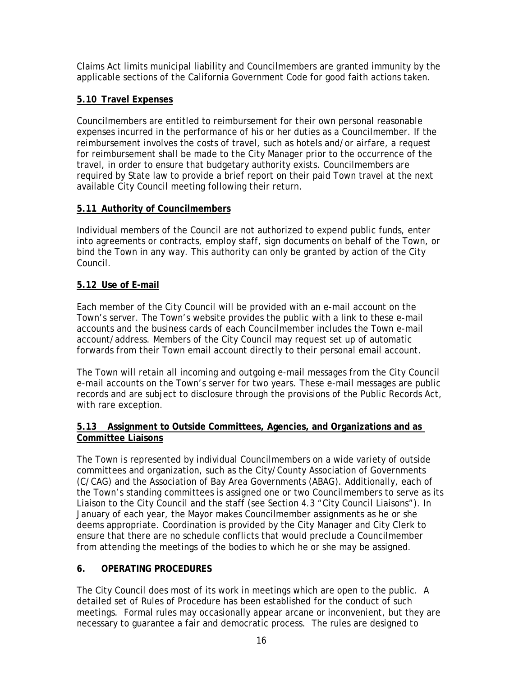Claims Act limits municipal liability and Councilmembers are granted immunity by the applicable sections of the California Government Code for good faith actions taken.

# **5.10 Travel Expenses**

Councilmembers are entitled to reimbursement for their own personal reasonable expenses incurred in the performance of his or her duties as a Councilmember. If the reimbursement involves the costs of travel, such as hotels and/or airfare, a request for reimbursement shall be made to the City Manager prior to the occurrence of the travel, in order to ensure that budgetary authority exists. Councilmembers are required by State law to provide a brief report on their paid Town travel at the next available City Council meeting following their return.

# **5.11 Authority of Councilmembers**

Individual members of the Council are not authorized to expend public funds, enter into agreements or contracts, employ staff, sign documents on behalf of the Town, or bind the Town in any way. This authority can only be granted by action of the City Council.

# **5.12 Use of E-mail**

Each member of the City Council will be provided with an e-mail account on the Town's server. The Town's website provides the public with a link to these e-mail accounts and the business cards of each Councilmember includes the Town e-mail account/address. Members of the City Council may request set up of automatic forwards from their Town email account directly to their personal email account.

The Town will retain all incoming and outgoing e-mail messages from the City Council e-mail accounts on the Town's server for two years. These e-mail messages are public records and are subject to disclosure through the provisions of the Public Records Act, with rare exception.

# **5.13 Assignment to Outside Committees, Agencies, and Organizations and as Committee Liaisons**

The Town is represented by individual Councilmembers on a wide variety of outside committees and organization, such as the City/County Association of Governments (C/CAG) and the Association of Bay Area Governments (ABAG). Additionally, each of the Town's standing committees is assigned one or two Councilmembers to serve as its Liaison to the City Council and the staff (see Section 4.3 "City Council Liaisons"). In January of each year, the Mayor makes Councilmember assignments as he or she deems appropriate. Coordination is provided by the City Manager and City Clerk to ensure that there are no schedule conflicts that would preclude a Councilmember from attending the meetings of the bodies to which he or she may be assigned.

# **6. OPERATING PROCEDURES**

The City Council does most of its work in meetings which are open to the public. A detailed set of Rules of Procedure has been established for the conduct of such meetings. Formal rules may occasionally appear arcane or inconvenient, but they are necessary to guarantee a fair and democratic process. The rules are designed to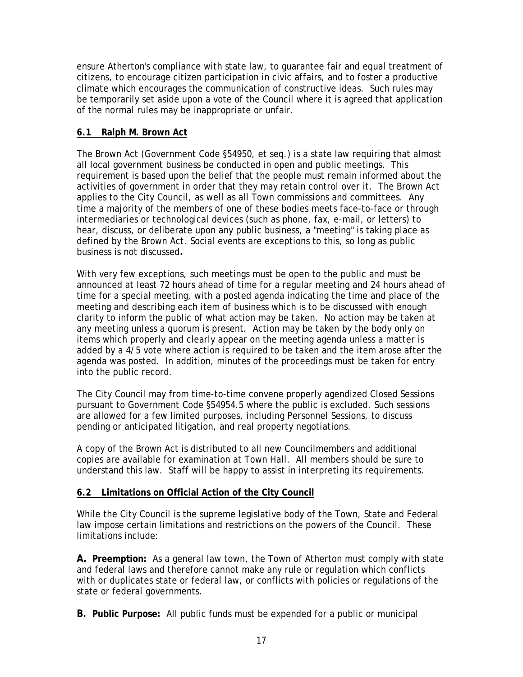ensure Atherton's compliance with state law, to guarantee fair and equal treatment of citizens, to encourage citizen participation in civic affairs, and to foster a productive climate which encourages the communication of constructive ideas. Such rules may be temporarily set aside upon a vote of the Council where it is agreed that application of the normal rules may be inappropriate or unfair.

# **6.1 Ralph M. Brown Act**

The Brown Act (Government Code §54950, et seq.) is a state law requiring that almost all local government business be conducted in open and public meetings. This requirement is based upon the belief that the people must remain informed about the activities of government in order that they may retain control over it. The Brown Act applies to the City Council, as well as all Town commissions and committees. Any time a majority of the members of one of these bodies meets face-to-face or through intermediaries or technological devices (such as phone, fax, e-mail, or letters) to hear, discuss, or deliberate upon any public business, a "meeting" is taking place as defined by the Brown Act. Social events are exceptions to this, so long as public business is not discussed**.**

With very few exceptions, such meetings must be open to the public and must be announced at least 72 hours ahead of time for a regular meeting and 24 hours ahead of time for a special meeting, with a posted agenda indicating the time and place of the meeting and describing each item of business which is to be discussed with enough clarity to inform the public of what action may be taken. No action may be taken at any meeting unless a quorum is present. Action may be taken by the body only on items which properly and clearly appear on the meeting agenda unless a matter is added by a 4/5 vote where action is required to be taken and the item arose after the agenda was posted. In addition, minutes of the proceedings must be taken for entry into the public record.

The City Council may from time-to-time convene properly agendized Closed Sessions pursuant to Government Code §54954.5 where the public is excluded. Such sessions are allowed for a few limited purposes, including Personnel Sessions, to discuss pending or anticipated litigation, and real property negotiations.

A copy of the Brown Act is distributed to all new Councilmembers and additional copies are available for examination at Town Hall. All members should be sure to understand this law. Staff will be happy to assist in interpreting its requirements.

# **6.2 Limitations on Official Action of the City Council**

While the City Council is the supreme legislative body of the Town, State and Federal law impose certain limitations and restrictions on the powers of the Council. These limitations include:

**A. Preemption:** As a general law town, the Town of Atherton must comply with state and federal laws and therefore cannot make any rule or regulation which conflicts with or duplicates state or federal law, or conflicts with policies or regulations of the state or federal governments.

**B. Public Purpose:** All public funds must be expended for a public or municipal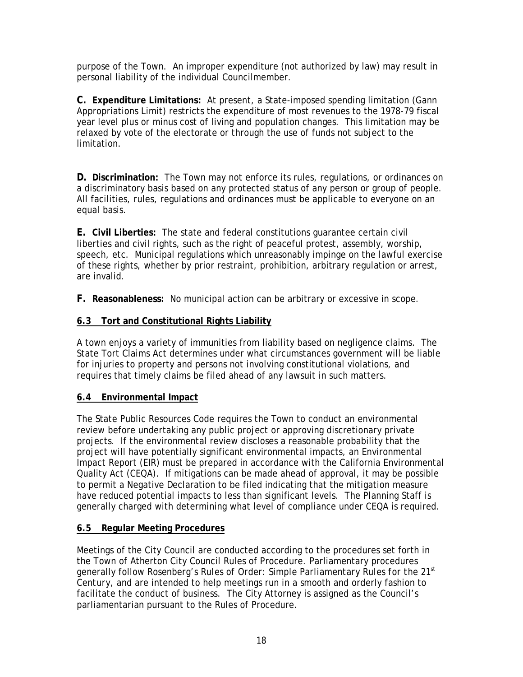purpose of the Town. An improper expenditure (not authorized by law) may result in personal liability of the individual Councilmember.

**C. Expenditure Limitations:** At present, a State-imposed spending limitation (Gann Appropriations Limit) restricts the expenditure of most revenues to the 1978-79 fiscal year level plus or minus cost of living and population changes. This limitation may be relaxed by vote of the electorate or through the use of funds not subject to the limitation.

**D. Discrimination:** The Town may not enforce its rules, regulations, or ordinances on a discriminatory basis based on any protected status of any person or group of people. All facilities, rules, regulations and ordinances must be applicable to everyone on an equal basis.

**E. Civil Liberties:** The state and federal constitutions guarantee certain civil liberties and civil rights, such as the right of peaceful protest, assembly, worship, speech, etc. Municipal regulations which unreasonably impinge on the lawful exercise of these rights, whether by prior restraint, prohibition, arbitrary regulation or arrest, are invalid.

**F. Reasonableness:** No municipal action can be arbitrary or excessive in scope.

# **6.3 Tort and Constitutional Rights Liability**

A town enjoys a variety of immunities from liability based on negligence claims. The State Tort Claims Act determines under what circumstances government will be liable for injuries to property and persons not involving constitutional violations, and requires that timely claims be filed ahead of any lawsuit in such matters.

# **6.4 Environmental Impact**

The State Public Resources Code requires the Town to conduct an environmental review before undertaking any public project or approving discretionary private projects. If the environmental review discloses a reasonable probability that the project will have potentially significant environmental impacts, an Environmental Impact Report (EIR) must be prepared in accordance with the California Environmental Quality Act (CEQA). If mitigations can be made ahead of approval, it may be possible to permit a Negative Declaration to be filed indicating that the mitigation measure have reduced potential impacts to less than significant levels. The Planning Staff is generally charged with determining what level of compliance under CEQA is required.

# **6.5 Regular Meeting Procedures**

Meetings of the City Council are conducted according to the procedures set forth in the Town of Atherton City Council Rules of Procedure. Parliamentary procedures generally follow *Rosenberg's Rules of Order: Simple Parliamentary Rules for the 21st Century,* and are intended to help meetings run in a smooth and orderly fashion to facilitate the conduct of business. The City Attorney is assigned as the Council's parliamentarian pursuant to the Rules of Procedure.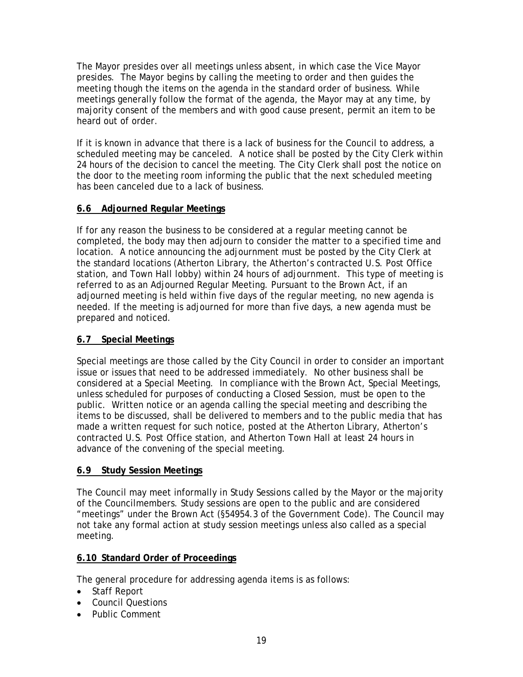The Mayor presides over all meetings unless absent, in which case the Vice Mayor presides. The Mayor begins by calling the meeting to order and then guides the meeting though the items on the agenda in the standard order of business. While meetings generally follow the format of the agenda, the Mayor may at any time, by majority consent of the members and with good cause present, permit an item to be heard out of order.

If it is known in advance that there is a lack of business for the Council to address, a scheduled meeting may be canceled. A notice shall be posted by the City Clerk within 24 hours of the decision to cancel the meeting. The City Clerk shall post the notice on the door to the meeting room informing the public that the next scheduled meeting has been canceled due to a lack of business.

# **6.6 Adjourned Regular Meetings**

If for any reason the business to be considered at a regular meeting cannot be completed, the body may then adjourn to consider the matter to a specified time and location. A notice announcing the adjournment must be posted by the City Clerk at the standard locations (Atherton Library, the Atherton's contracted U.S. Post Office station, and Town Hall lobby) within 24 hours of adjournment. This type of meeting is referred to as an Adjourned Regular Meeting. Pursuant to the Brown Act, if an adjourned meeting is held within five days of the regular meeting, no new agenda is needed. If the meeting is adjourned for more than five days, a new agenda must be prepared and noticed.

# **6.7 Special Meetings**

Special meetings are those called by the City Council in order to consider an important issue or issues that need to be addressed immediately. No other business shall be considered at a Special Meeting. In compliance with the Brown Act, Special Meetings, unless scheduled for purposes of conducting a Closed Session, must be open to the public. Written notice or an agenda calling the special meeting and describing the items to be discussed, shall be delivered to members and to the public media that has made a written request for such notice, posted at the Atherton Library, Atherton's contracted U.S. Post Office station, and Atherton Town Hall at least 24 hours in advance of the convening of the special meeting.

# **6.9 Study Session Meetings**

The Council may meet informally in Study Sessions called by the Mayor or the majority of the Councilmembers. Study sessions are open to the public and are considered "meetings" under the Brown Act (§54954.3 of the Government Code). The Council may not take any formal action at study session meetings unless also called as a special meeting.

### **6.10 Standard Order of Proceedings**

The general procedure for addressing agenda items is as follows:

- Staff Report
- Council Questions
- Public Comment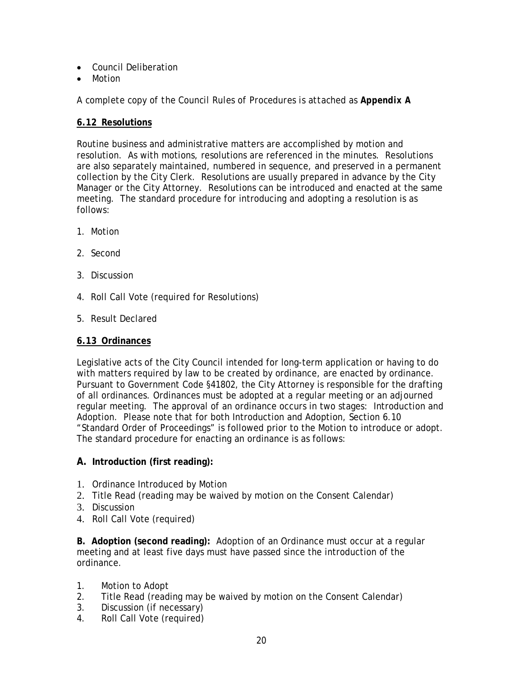- Council Deliberation
- Motion

*A complete copy of the Council Rules of Procedures is attached as Appendix A*

# **6.12 Resolutions**

Routine business and administrative matters are accomplished by motion and resolution. As with motions, resolutions are referenced in the minutes. Resolutions are also separately maintained, numbered in sequence, and preserved in a permanent collection by the City Clerk. Resolutions are usually prepared in advance by the City Manager or the City Attorney. Resolutions can be introduced and enacted at the same meeting. The standard procedure for introducing and adopting a resolution is as follows:

- 1. Motion
- 2. Second
- 3. Discussion
- 4. Roll Call Vote (required for Resolutions)
- 5. Result Declared

# **6.13 Ordinances**

Legislative acts of the City Council intended for long-term application or having to do with matters required by law to be created by ordinance, are enacted by ordinance. Pursuant to Government Code §41802, the City Attorney is responsible for the drafting of all ordinances. Ordinances must be adopted at a regular meeting or an adjourned regular meeting. The approval of an ordinance occurs in two stages: Introduction and Adoption. Please note that for both Introduction and Adoption, Section 6.10 "Standard Order of Proceedings" is followed prior to the Motion to introduce or adopt. The standard procedure for enacting an ordinance is as follows:

# **A. Introduction (first reading):**

- 1. Ordinance Introduced by Motion
- 2. Title Read (reading may be waived by motion on the Consent Calendar)
- 3. Discussion
- 4. Roll Call Vote (required)

**B. Adoption (second reading):** Adoption of an Ordinance must occur at a regular meeting and at least five days must have passed since the introduction of the ordinance.

- 1. Motion to Adopt
- 2. Title Read (reading may be waived by motion on the Consent Calendar)
- 3. Discussion (if necessary)
- 4. Roll Call Vote (required)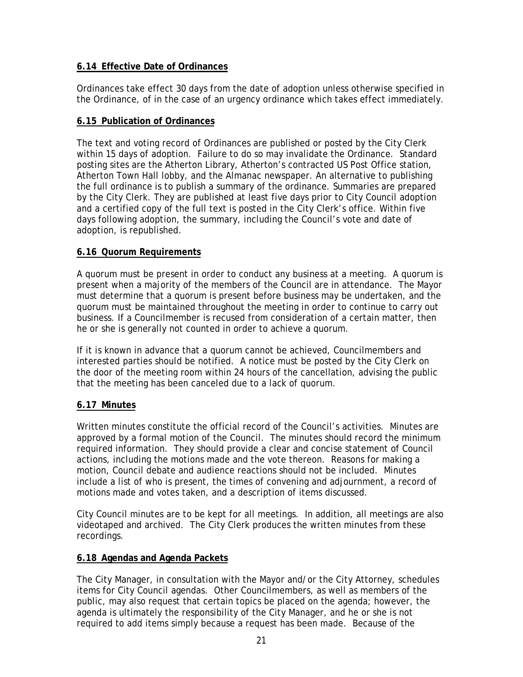# **6.14 Effective Date of Ordinances**

Ordinances take effect 30 days from the date of adoption unless otherwise specified in the Ordinance, of in the case of an urgency ordinance which takes effect immediately.

### **6.15 Publication of Ordinances**

The text and voting record of Ordinances are published or posted by the City Clerk within 15 days of adoption. Failure to do so may invalidate the Ordinance. Standard posting sites are the Atherton Library, Atherton's contracted US Post Office station, Atherton Town Hall lobby, and the Almanac newspaper. An alternative to publishing the full ordinance is to publish a summary of the ordinance. Summaries are prepared by the City Clerk. They are published at least five days prior to City Council adoption and a certified copy of the full text is posted in the City Clerk's office. Within five days following adoption, the summary, including the Council's vote and date of adoption, is republished.

### **6.16 Quorum Requirements**

A quorum must be present in order to conduct any business at a meeting. A quorum is present when a majority of the members of the Council are in attendance. The Mayor must determine that a quorum is present before business may be undertaken, and the quorum must be maintained throughout the meeting in order to continue to carry out business. If a Councilmember is recused from consideration of a certain matter, then he or she is generally not counted in order to achieve a quorum.

If it is known in advance that a quorum cannot be achieved, Councilmembers and interested parties should be notified. A notice must be posted by the City Clerk on the door of the meeting room within 24 hours of the cancellation, advising the public that the meeting has been canceled due to a lack of quorum.

# **6.17 Minutes**

Written minutes constitute the official record of the Council's activities. Minutes are approved by a formal motion of the Council. The minutes should record the minimum required information. They should provide a clear and concise statement of Council actions, including the motions made and the vote thereon. Reasons for making a motion, Council debate and audience reactions should not be included. Minutes include a list of who is present, the times of convening and adjournment, a record of motions made and votes taken, and a description of items discussed.

City Council minutes are to be kept for all meetings. In addition, all meetings are also videotaped and archived. The City Clerk produces the written minutes from these recordings.

# **6.18 Agendas and Agenda Packets**

The City Manager, in consultation with the Mayor and/or the City Attorney, schedules items for City Council agendas. Other Councilmembers, as well as members of the public, may also request that certain topics be placed on the agenda; however, the agenda is ultimately the responsibility of the City Manager, and he or she is not required to add items simply because a request has been made. Because of the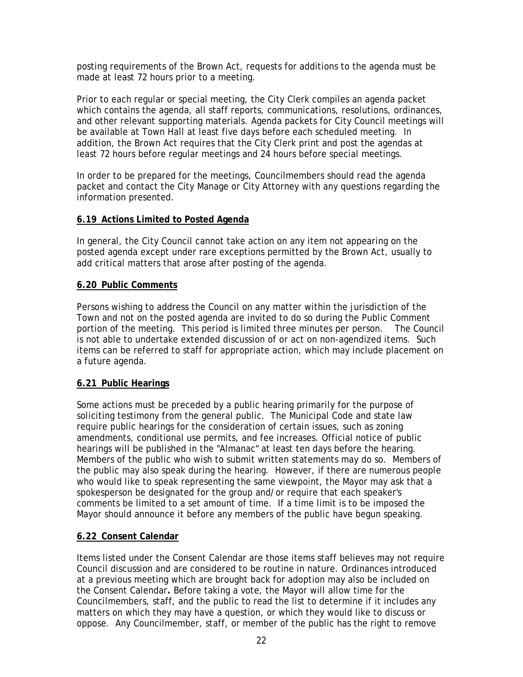posting requirements of the Brown Act, requests for additions to the agenda must be made at least 72 hours prior to a meeting.

Prior to each regular or special meeting, the City Clerk compiles an agenda packet which contains the agenda, all staff reports, communications, resolutions, ordinances, and other relevant supporting materials. Agenda packets for City Council meetings will be available at Town Hall at least five days before each scheduled meeting. In addition, the Brown Act requires that the City Clerk print and post the agendas at least 72 hours before regular meetings and 24 hours before special meetings.

In order to be prepared for the meetings, Councilmembers should read the agenda packet and contact the City Manage or City Attorney with any questions regarding the information presented.

### **6.19 Actions Limited to Posted Agenda**

In general, the City Council cannot take action on any item not appearing on the posted agenda except under rare exceptions permitted by the Brown Act, usually to add critical matters that arose after posting of the agenda.

### **6.20 Public Comments**

Persons wishing to address the Council on any matter within the jurisdiction of the Town and not on the posted agenda are invited to do so during the Public Comment portion of the meeting. This period is limited three minutes per person. The Council is not able to undertake extended discussion of or act on non-agendized items. Such items can be referred to staff for appropriate action, which may include placement on a future agenda.

# **6.21 Public Hearings**

Some actions must be preceded by a public hearing primarily for the purpose of soliciting testimony from the general public. The Municipal Code and state law require public hearings for the consideration of certain issues, such as zoning amendments, conditional use permits, and fee increases. Official notice of public hearings will be published in the "Almanac" at least ten days before the hearing. Members of the public who wish to submit written statements may do so. Members of the public may also speak during the hearing. However, if there are numerous people who would like to speak representing the same viewpoint, the Mayor may ask that a spokesperson be designated for the group and/or require that each speaker's comments be limited to a set amount of time. If a time limit is to be imposed the Mayor should announce it before any members of the public have begun speaking.

# **6.22 Consent Calendar**

Items listed under the Consent Calendar are those items staff believes may not require Council discussion and are considered to be routine in nature. Ordinances introduced at a previous meeting which are brought back for adoption may also be included on the Consent Calendar**.** Before taking a vote, the Mayor will allow time for the Councilmembers, staff, and the public to read the list to determine if it includes any matters on which they may have a question, or which they would like to discuss or oppose. Any Councilmember, staff, or member of the public has the right to remove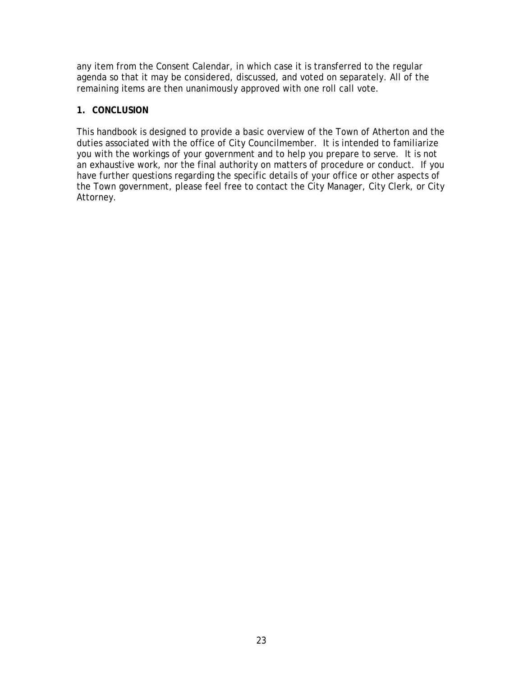any item from the Consent Calendar, in which case it is transferred to the regular agenda so that it may be considered, discussed, and voted on separately. All of the remaining items are then unanimously approved with one roll call vote.

### **1. CONCLUSION**

This handbook is designed to provide a basic overview of the Town of Atherton and the duties associated with the office of City Councilmember. It is intended to familiarize you with the workings of your government and to help you prepare to serve. It is not an exhaustive work, nor the final authority on matters of procedure or conduct. If you have further questions regarding the specific details of your office or other aspects of the Town government, please feel free to contact the City Manager, City Clerk, or City Attorney.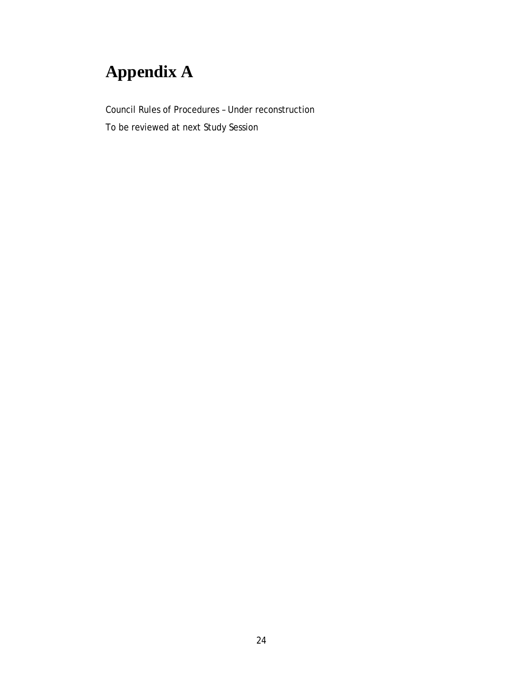# **Appendix A**

Council Rules of Procedures – Under reconstruction

To be reviewed at next Study Session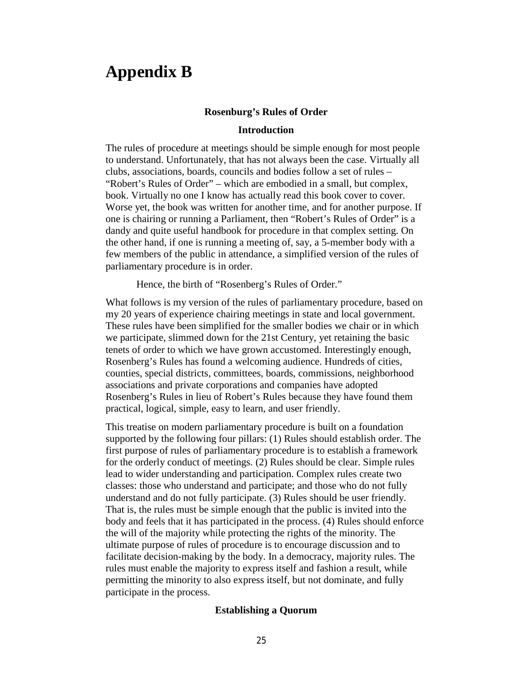# **Appendix B**

#### **Rosenburg's Rules of Order**

#### **Introduction**

The rules of procedure at meetings should be simple enough for most people to understand. Unfortunately, that has not always been the case. Virtually all clubs, associations, boards, councils and bodies follow a set of rules – "Robert's Rules of Order" – which are embodied in a small, but complex, book. Virtually no one I know has actually read this book cover to cover. Worse yet, the book was written for another time, and for another purpose. If one is chairing or running a Parliament, then "Robert's Rules of Order" is a dandy and quite useful handbook for procedure in that complex setting. On the other hand, if one is running a meeting of, say, a 5-member body with a few members of the public in attendance, a simplified version of the rules of parliamentary procedure is in order.

Hence, the birth of "Rosenberg's Rules of Order."

What follows is my version of the rules of parliamentary procedure, based on my 20 years of experience chairing meetings in state and local government. These rules have been simplified for the smaller bodies we chair or in which we participate, slimmed down for the 21st Century, yet retaining the basic tenets of order to which we have grown accustomed. Interestingly enough, Rosenberg's Rules has found a welcoming audience. Hundreds of cities, counties, special districts, committees, boards, commissions, neighborhood associations and private corporations and companies have adopted Rosenberg's Rules in lieu of Robert's Rules because they have found them practical, logical, simple, easy to learn, and user friendly.

This treatise on modern parliamentary procedure is built on a foundation supported by the following four pillars: (1) Rules should establish order. The first purpose of rules of parliamentary procedure is to establish a framework for the orderly conduct of meetings. (2) Rules should be clear. Simple rules lead to wider understanding and participation. Complex rules create two classes: those who understand and participate; and those who do not fully understand and do not fully participate. (3) Rules should be user friendly. That is, the rules must be simple enough that the public is invited into the body and feels that it has participated in the process. (4) Rules should enforce the will of the majority while protecting the rights of the minority. The ultimate purpose of rules of procedure is to encourage discussion and to facilitate decision-making by the body. In a democracy, majority rules. The rules must enable the majority to express itself and fashion a result, while permitting the minority to also express itself, but not dominate, and fully participate in the process.

#### **Establishing a Quorum**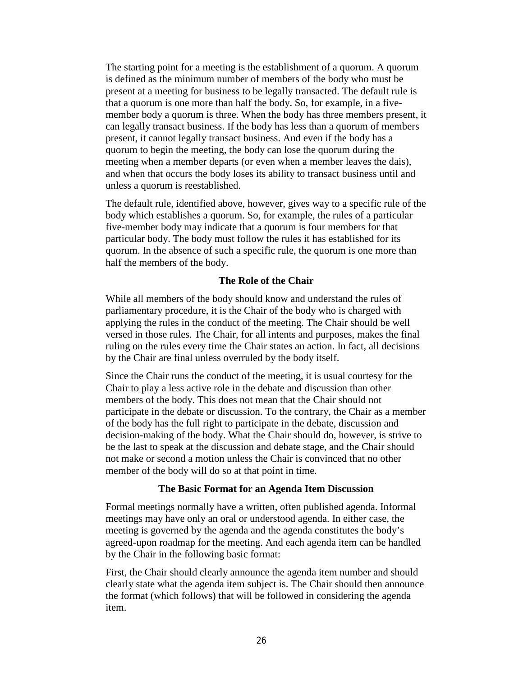The starting point for a meeting is the establishment of a quorum. A quorum is defined as the minimum number of members of the body who must be present at a meeting for business to be legally transacted. The default rule is that a quorum is one more than half the body. So, for example, in a fivemember body a quorum is three. When the body has three members present, it can legally transact business. If the body has less than a quorum of members present, it cannot legally transact business. And even if the body has a quorum to begin the meeting, the body can lose the quorum during the meeting when a member departs (or even when a member leaves the dais), and when that occurs the body loses its ability to transact business until and unless a quorum is reestablished.

The default rule, identified above, however, gives way to a specific rule of the body which establishes a quorum. So, for example, the rules of a particular five-member body may indicate that a quorum is four members for that particular body. The body must follow the rules it has established for its quorum. In the absence of such a specific rule, the quorum is one more than half the members of the body.

#### **The Role of the Chair**

While all members of the body should know and understand the rules of parliamentary procedure, it is the Chair of the body who is charged with applying the rules in the conduct of the meeting. The Chair should be well versed in those rules. The Chair, for all intents and purposes, makes the final ruling on the rules every time the Chair states an action. In fact, all decisions by the Chair are final unless overruled by the body itself.

Since the Chair runs the conduct of the meeting, it is usual courtesy for the Chair to play a less active role in the debate and discussion than other members of the body. This does not mean that the Chair should not participate in the debate or discussion. To the contrary, the Chair as a member of the body has the full right to participate in the debate, discussion and decision-making of the body. What the Chair should do, however, is strive to be the last to speak at the discussion and debate stage, and the Chair should not make or second a motion unless the Chair is convinced that no other member of the body will do so at that point in time.

#### **The Basic Format for an Agenda Item Discussion**

Formal meetings normally have a written, often published agenda. Informal meetings may have only an oral or understood agenda. In either case, the meeting is governed by the agenda and the agenda constitutes the body's agreed-upon roadmap for the meeting. And each agenda item can be handled by the Chair in the following basic format:

First, the Chair should clearly announce the agenda item number and should clearly state what the agenda item subject is. The Chair should then announce the format (which follows) that will be followed in considering the agenda item.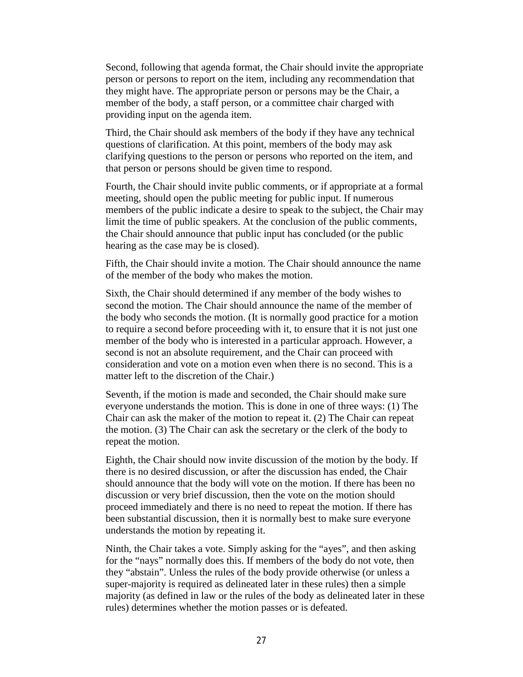Second, following that agenda format, the Chair should invite the appropriate person or persons to report on the item, including any recommendation that they might have. The appropriate person or persons may be the Chair, a member of the body, a staff person, or a committee chair charged with providing input on the agenda item.

Third, the Chair should ask members of the body if they have any technical questions of clarification. At this point, members of the body may ask clarifying questions to the person or persons who reported on the item, and that person or persons should be given time to respond.

Fourth, the Chair should invite public comments, or if appropriate at a formal meeting, should open the public meeting for public input. If numerous members of the public indicate a desire to speak to the subject, the Chair may limit the time of public speakers. At the conclusion of the public comments, the Chair should announce that public input has concluded (or the public hearing as the case may be is closed).

Fifth, the Chair should invite a motion. The Chair should announce the name of the member of the body who makes the motion.

Sixth, the Chair should determined if any member of the body wishes to second the motion. The Chair should announce the name of the member of the body who seconds the motion. (It is normally good practice for a motion to require a second before proceeding with it, to ensure that it is not just one member of the body who is interested in a particular approach. However, a second is not an absolute requirement, and the Chair can proceed with consideration and vote on a motion even when there is no second. This is a matter left to the discretion of the Chair.)

Seventh, if the motion is made and seconded, the Chair should make sure everyone understands the motion. This is done in one of three ways: (1) The Chair can ask the maker of the motion to repeat it. (2) The Chair can repeat the motion. (3) The Chair can ask the secretary or the clerk of the body to repeat the motion.

Eighth, the Chair should now invite discussion of the motion by the body. If there is no desired discussion, or after the discussion has ended, the Chair should announce that the body will vote on the motion. If there has been no discussion or very brief discussion, then the vote on the motion should proceed immediately and there is no need to repeat the motion. If there has been substantial discussion, then it is normally best to make sure everyone understands the motion by repeating it.

Ninth, the Chair takes a vote. Simply asking for the "ayes", and then asking for the "nays" normally does this. If members of the body do not vote, then they "abstain". Unless the rules of the body provide otherwise (or unless a super-majority is required as delineated later in these rules) then a simple majority (as defined in law or the rules of the body as delineated later in these rules) determines whether the motion passes or is defeated.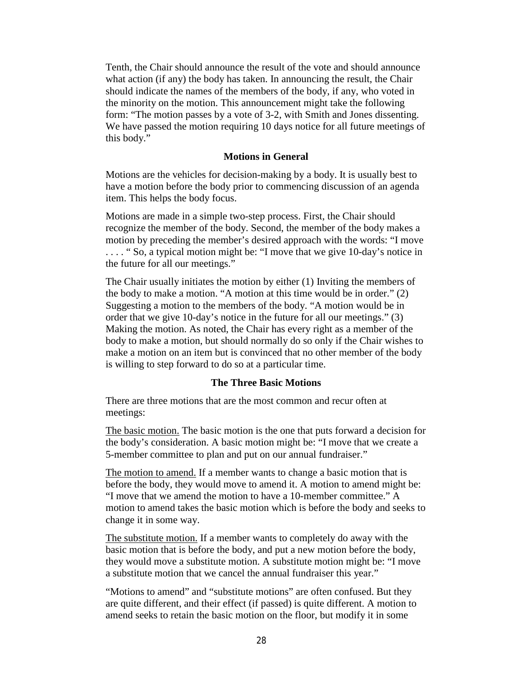Tenth, the Chair should announce the result of the vote and should announce what action (if any) the body has taken. In announcing the result, the Chair should indicate the names of the members of the body, if any, who voted in the minority on the motion. This announcement might take the following form: "The motion passes by a vote of 3-2, with Smith and Jones dissenting. We have passed the motion requiring 10 days notice for all future meetings of this body."

#### **Motions in General**

Motions are the vehicles for decision-making by a body. It is usually best to have a motion before the body prior to commencing discussion of an agenda item. This helps the body focus.

Motions are made in a simple two-step process. First, the Chair should recognize the member of the body. Second, the member of the body makes a motion by preceding the member's desired approach with the words: "I move . . . . " So, a typical motion might be: "I move that we give 10-day's notice in the future for all our meetings."

The Chair usually initiates the motion by either (1) Inviting the members of the body to make a motion. "A motion at this time would be in order." (2) Suggesting a motion to the members of the body. "A motion would be in order that we give 10-day's notice in the future for all our meetings." (3) Making the motion. As noted, the Chair has every right as a member of the body to make a motion, but should normally do so only if the Chair wishes to make a motion on an item but is convinced that no other member of the body is willing to step forward to do so at a particular time.

#### **The Three Basic Motions**

There are three motions that are the most common and recur often at meetings:

The basic motion. The basic motion is the one that puts forward a decision for the body's consideration. A basic motion might be: "I move that we create a 5-member committee to plan and put on our annual fundraiser."

The motion to amend. If a member wants to change a basic motion that is before the body, they would move to amend it. A motion to amend might be: "I move that we amend the motion to have a 10-member committee." A motion to amend takes the basic motion which is before the body and seeks to change it in some way.

The substitute motion. If a member wants to completely do away with the basic motion that is before the body, and put a new motion before the body, they would move a substitute motion. A substitute motion might be: "I move a substitute motion that we cancel the annual fundraiser this year."

"Motions to amend" and "substitute motions" are often confused. But they are quite different, and their effect (if passed) is quite different. A motion to amend seeks to retain the basic motion on the floor, but modify it in some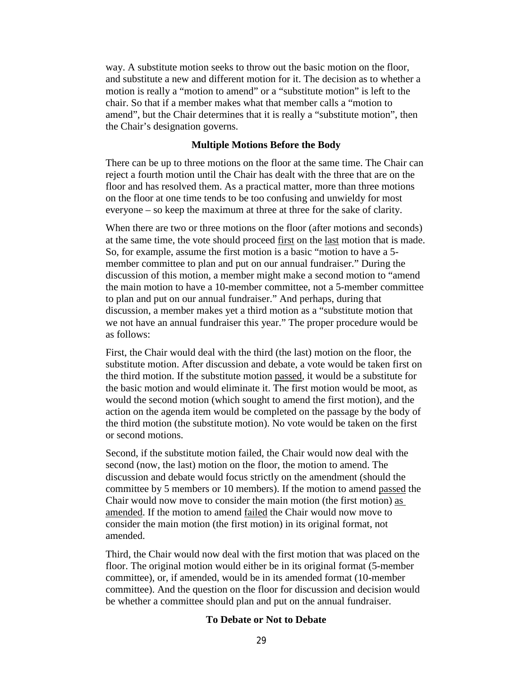way. A substitute motion seeks to throw out the basic motion on the floor, and substitute a new and different motion for it. The decision as to whether a motion is really a "motion to amend" or a "substitute motion" is left to the chair. So that if a member makes what that member calls a "motion to amend", but the Chair determines that it is really a "substitute motion", then the Chair's designation governs.

#### **Multiple Motions Before the Body**

There can be up to three motions on the floor at the same time. The Chair can reject a fourth motion until the Chair has dealt with the three that are on the floor and has resolved them. As a practical matter, more than three motions on the floor at one time tends to be too confusing and unwieldy for most everyone – so keep the maximum at three at three for the sake of clarity.

When there are two or three motions on the floor (after motions and seconds) at the same time, the vote should proceed first on the last motion that is made. So, for example, assume the first motion is a basic "motion to have a 5 member committee to plan and put on our annual fundraiser." During the discussion of this motion, a member might make a second motion to "amend the main motion to have a 10-member committee, not a 5-member committee to plan and put on our annual fundraiser." And perhaps, during that discussion, a member makes yet a third motion as a "substitute motion that we not have an annual fundraiser this year." The proper procedure would be as follows:

First, the Chair would deal with the third (the last) motion on the floor, the substitute motion. After discussion and debate, a vote would be taken first on the third motion. If the substitute motion passed, it would be a substitute for the basic motion and would eliminate it. The first motion would be moot, as would the second motion (which sought to amend the first motion), and the action on the agenda item would be completed on the passage by the body of the third motion (the substitute motion). No vote would be taken on the first or second motions.

Second, if the substitute motion failed, the Chair would now deal with the second (now, the last) motion on the floor, the motion to amend. The discussion and debate would focus strictly on the amendment (should the committee by 5 members or 10 members). If the motion to amend passed the Chair would now move to consider the main motion (the first motion) as amended. If the motion to amend failed the Chair would now move to consider the main motion (the first motion) in its original format, not amended.

Third, the Chair would now deal with the first motion that was placed on the floor. The original motion would either be in its original format (5-member committee), or, if amended, would be in its amended format (10-member committee). And the question on the floor for discussion and decision would be whether a committee should plan and put on the annual fundraiser.

#### **To Debate or Not to Debate**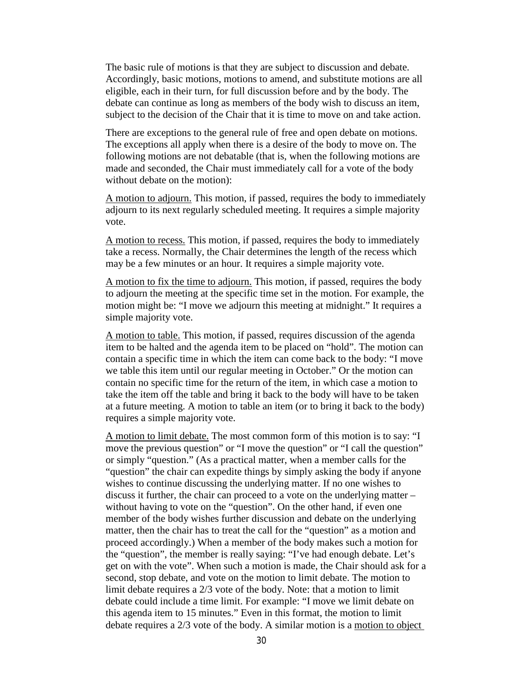The basic rule of motions is that they are subject to discussion and debate. Accordingly, basic motions, motions to amend, and substitute motions are all eligible, each in their turn, for full discussion before and by the body. The debate can continue as long as members of the body wish to discuss an item, subject to the decision of the Chair that it is time to move on and take action.

There are exceptions to the general rule of free and open debate on motions. The exceptions all apply when there is a desire of the body to move on. The following motions are not debatable (that is, when the following motions are made and seconded, the Chair must immediately call for a vote of the body without debate on the motion):

A motion to adjourn. This motion, if passed, requires the body to immediately adjourn to its next regularly scheduled meeting. It requires a simple majority vote.

A motion to recess. This motion, if passed, requires the body to immediately take a recess. Normally, the Chair determines the length of the recess which may be a few minutes or an hour. It requires a simple majority vote.

A motion to fix the time to adjourn. This motion, if passed, requires the body to adjourn the meeting at the specific time set in the motion. For example, the motion might be: "I move we adjourn this meeting at midnight." It requires a simple majority vote.

A motion to table. This motion, if passed, requires discussion of the agenda item to be halted and the agenda item to be placed on "hold". The motion can contain a specific time in which the item can come back to the body: "I move we table this item until our regular meeting in October." Or the motion can contain no specific time for the return of the item, in which case a motion to take the item off the table and bring it back to the body will have to be taken at a future meeting. A motion to table an item (or to bring it back to the body) requires a simple majority vote.

A motion to limit debate. The most common form of this motion is to say: "I move the previous question" or "I move the question" or "I call the question" or simply "question." (As a practical matter, when a member calls for the "question" the chair can expedite things by simply asking the body if anyone wishes to continue discussing the underlying matter. If no one wishes to discuss it further, the chair can proceed to a vote on the underlying matter – without having to vote on the "question". On the other hand, if even one member of the body wishes further discussion and debate on the underlying matter, then the chair has to treat the call for the "question" as a motion and proceed accordingly.) When a member of the body makes such a motion for the "question", the member is really saying: "I've had enough debate. Let's get on with the vote". When such a motion is made, the Chair should ask for a second, stop debate, and vote on the motion to limit debate. The motion to limit debate requires a 2/3 vote of the body. Note: that a motion to limit debate could include a time limit. For example: "I move we limit debate on this agenda item to 15 minutes." Even in this format, the motion to limit debate requires a 2/3 vote of the body. A similar motion is a motion to object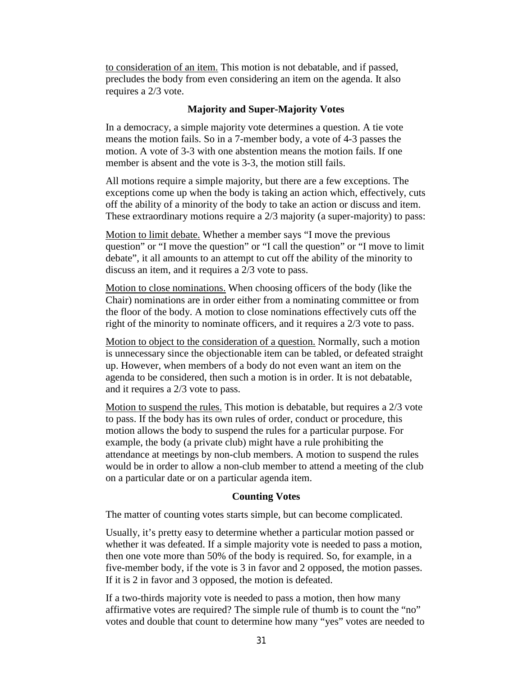to consideration of an item. This motion is not debatable, and if passed, precludes the body from even considering an item on the agenda. It also requires a 2/3 vote.

#### **Majority and Super-Majority Votes**

In a democracy, a simple majority vote determines a question. A tie vote means the motion fails. So in a 7-member body, a vote of 4-3 passes the motion. A vote of 3-3 with one abstention means the motion fails. If one member is absent and the vote is 3-3, the motion still fails.

All motions require a simple majority, but there are a few exceptions. The exceptions come up when the body is taking an action which, effectively, cuts off the ability of a minority of the body to take an action or discuss and item. These extraordinary motions require a 2/3 majority (a super-majority) to pass:

Motion to limit debate. Whether a member says "I move the previous question" or "I move the question" or "I call the question" or "I move to limit debate", it all amounts to an attempt to cut off the ability of the minority to discuss an item, and it requires a 2/3 vote to pass.

Motion to close nominations. When choosing officers of the body (like the Chair) nominations are in order either from a nominating committee or from the floor of the body. A motion to close nominations effectively cuts off the right of the minority to nominate officers, and it requires a 2/3 vote to pass.

Motion to object to the consideration of a question. Normally, such a motion is unnecessary since the objectionable item can be tabled, or defeated straight up. However, when members of a body do not even want an item on the agenda to be considered, then such a motion is in order. It is not debatable, and it requires a 2/3 vote to pass.

Motion to suspend the rules. This motion is debatable, but requires a 2/3 vote to pass. If the body has its own rules of order, conduct or procedure, this motion allows the body to suspend the rules for a particular purpose. For example, the body (a private club) might have a rule prohibiting the attendance at meetings by non-club members. A motion to suspend the rules would be in order to allow a non-club member to attend a meeting of the club on a particular date or on a particular agenda item.

#### **Counting Votes**

The matter of counting votes starts simple, but can become complicated.

Usually, it's pretty easy to determine whether a particular motion passed or whether it was defeated. If a simple majority vote is needed to pass a motion, then one vote more than 50% of the body is required. So, for example, in a five-member body, if the vote is 3 in favor and 2 opposed, the motion passes. If it is 2 in favor and 3 opposed, the motion is defeated.

If a two-thirds majority vote is needed to pass a motion, then how many affirmative votes are required? The simple rule of thumb is to count the "no" votes and double that count to determine how many "yes" votes are needed to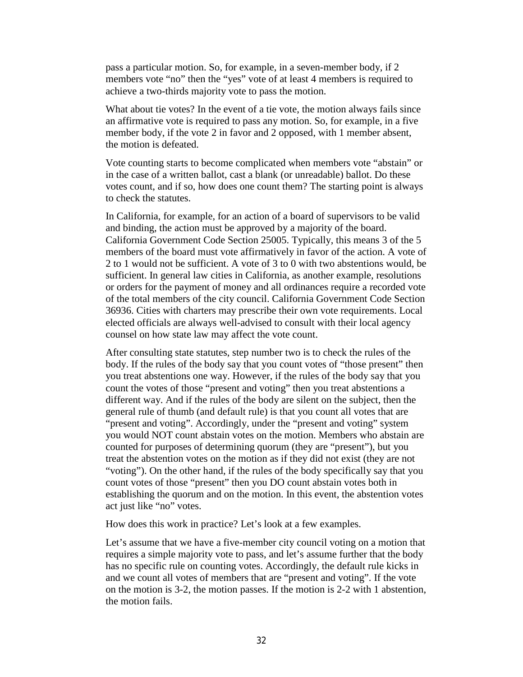pass a particular motion. So, for example, in a seven-member body, if 2 members vote "no" then the "yes" vote of at least 4 members is required to achieve a two-thirds majority vote to pass the motion.

What about tie votes? In the event of a tie vote, the motion always fails since an affirmative vote is required to pass any motion. So, for example, in a five member body, if the vote 2 in favor and 2 opposed, with 1 member absent, the motion is defeated.

Vote counting starts to become complicated when members vote "abstain" or in the case of a written ballot, cast a blank (or unreadable) ballot. Do these votes count, and if so, how does one count them? The starting point is always to check the statutes.

In California, for example, for an action of a board of supervisors to be valid and binding, the action must be approved by a majority of the board. California Government Code Section 25005. Typically, this means 3 of the 5 members of the board must vote affirmatively in favor of the action. A vote of 2 to 1 would not be sufficient. A vote of 3 to 0 with two abstentions would, be sufficient. In general law cities in California, as another example, resolutions or orders for the payment of money and all ordinances require a recorded vote of the total members of the city council. California Government Code Section 36936. Cities with charters may prescribe their own vote requirements. Local elected officials are always well-advised to consult with their local agency counsel on how state law may affect the vote count.

After consulting state statutes, step number two is to check the rules of the body. If the rules of the body say that you count votes of "those present" then you treat abstentions one way. However, if the rules of the body say that you count the votes of those "present and voting" then you treat abstentions a different way. And if the rules of the body are silent on the subject, then the general rule of thumb (and default rule) is that you count all votes that are "present and voting". Accordingly, under the "present and voting" system you would NOT count abstain votes on the motion. Members who abstain are counted for purposes of determining quorum (they are "present"), but you treat the abstention votes on the motion as if they did not exist (they are not "voting"). On the other hand, if the rules of the body specifically say that you count votes of those "present" then you DO count abstain votes both in establishing the quorum and on the motion. In this event, the abstention votes act just like "no" votes.

How does this work in practice? Let's look at a few examples.

Let's assume that we have a five-member city council voting on a motion that requires a simple majority vote to pass, and let's assume further that the body has no specific rule on counting votes. Accordingly, the default rule kicks in and we count all votes of members that are "present and voting". If the vote on the motion is 3-2, the motion passes. If the motion is 2-2 with 1 abstention, the motion fails.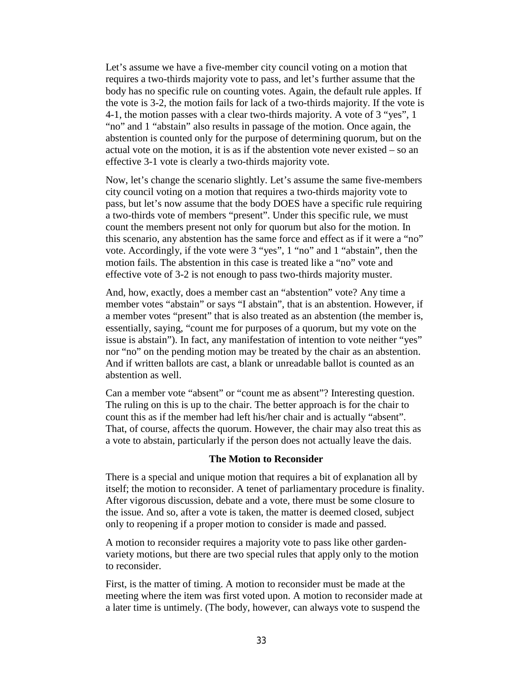Let's assume we have a five-member city council voting on a motion that requires a two-thirds majority vote to pass, and let's further assume that the body has no specific rule on counting votes. Again, the default rule apples. If the vote is 3-2, the motion fails for lack of a two-thirds majority. If the vote is 4-1, the motion passes with a clear two-thirds majority. A vote of 3 "yes", 1 "no" and 1 "abstain" also results in passage of the motion. Once again, the abstention is counted only for the purpose of determining quorum, but on the actual vote on the motion, it is as if the abstention vote never existed – so an effective 3-1 vote is clearly a two-thirds majority vote.

Now, let's change the scenario slightly. Let's assume the same five-members city council voting on a motion that requires a two-thirds majority vote to pass, but let's now assume that the body DOES have a specific rule requiring a two-thirds vote of members "present". Under this specific rule, we must count the members present not only for quorum but also for the motion. In this scenario, any abstention has the same force and effect as if it were a "no" vote. Accordingly, if the vote were 3 "yes", 1 "no" and 1 "abstain", then the motion fails. The abstention in this case is treated like a "no" vote and effective vote of 3-2 is not enough to pass two-thirds majority muster.

And, how, exactly, does a member cast an "abstention" vote? Any time a member votes "abstain" or says "I abstain", that is an abstention. However, if a member votes "present" that is also treated as an abstention (the member is, essentially, saying, "count me for purposes of a quorum, but my vote on the issue is abstain"). In fact, any manifestation of intention to vote neither "yes" nor "no" on the pending motion may be treated by the chair as an abstention. And if written ballots are cast, a blank or unreadable ballot is counted as an abstention as well.

Can a member vote "absent" or "count me as absent"? Interesting question. The ruling on this is up to the chair. The better approach is for the chair to count this as if the member had left his/her chair and is actually "absent". That, of course, affects the quorum. However, the chair may also treat this as a vote to abstain, particularly if the person does not actually leave the dais.

#### **The Motion to Reconsider**

There is a special and unique motion that requires a bit of explanation all by itself; the motion to reconsider. A tenet of parliamentary procedure is finality. After vigorous discussion, debate and a vote, there must be some closure to the issue. And so, after a vote is taken, the matter is deemed closed, subject only to reopening if a proper motion to consider is made and passed.

A motion to reconsider requires a majority vote to pass like other gardenvariety motions, but there are two special rules that apply only to the motion to reconsider.

First, is the matter of timing. A motion to reconsider must be made at the meeting where the item was first voted upon. A motion to reconsider made at a later time is untimely. (The body, however, can always vote to suspend the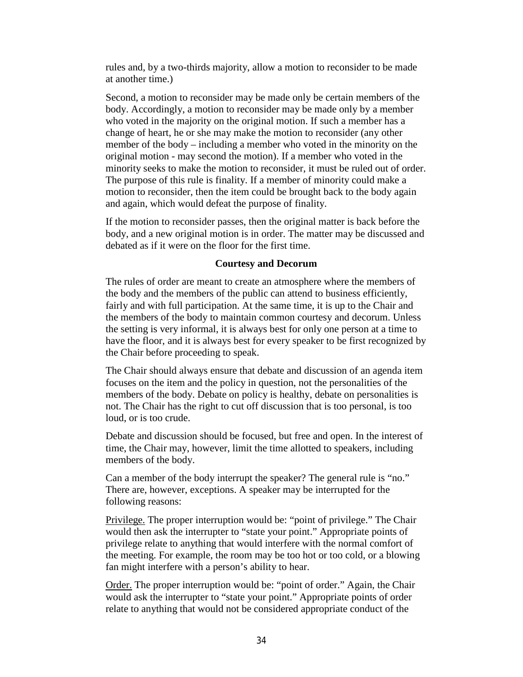rules and, by a two-thirds majority, allow a motion to reconsider to be made at another time.)

Second, a motion to reconsider may be made only be certain members of the body. Accordingly, a motion to reconsider may be made only by a member who voted in the majority on the original motion. If such a member has a change of heart, he or she may make the motion to reconsider (any other member of the body – including a member who voted in the minority on the original motion - may second the motion). If a member who voted in the minority seeks to make the motion to reconsider, it must be ruled out of order. The purpose of this rule is finality. If a member of minority could make a motion to reconsider, then the item could be brought back to the body again and again, which would defeat the purpose of finality.

If the motion to reconsider passes, then the original matter is back before the body, and a new original motion is in order. The matter may be discussed and debated as if it were on the floor for the first time.

### **Courtesy and Decorum**

The rules of order are meant to create an atmosphere where the members of the body and the members of the public can attend to business efficiently, fairly and with full participation. At the same time, it is up to the Chair and the members of the body to maintain common courtesy and decorum. Unless the setting is very informal, it is always best for only one person at a time to have the floor, and it is always best for every speaker to be first recognized by the Chair before proceeding to speak.

The Chair should always ensure that debate and discussion of an agenda item focuses on the item and the policy in question, not the personalities of the members of the body. Debate on policy is healthy, debate on personalities is not. The Chair has the right to cut off discussion that is too personal, is too loud, or is too crude.

Debate and discussion should be focused, but free and open. In the interest of time, the Chair may, however, limit the time allotted to speakers, including members of the body.

Can a member of the body interrupt the speaker? The general rule is "no." There are, however, exceptions. A speaker may be interrupted for the following reasons:

Privilege. The proper interruption would be: "point of privilege." The Chair would then ask the interrupter to "state your point." Appropriate points of privilege relate to anything that would interfere with the normal comfort of the meeting. For example, the room may be too hot or too cold, or a blowing fan might interfere with a person's ability to hear.

Order. The proper interruption would be: "point of order." Again, the Chair would ask the interrupter to "state your point." Appropriate points of order relate to anything that would not be considered appropriate conduct of the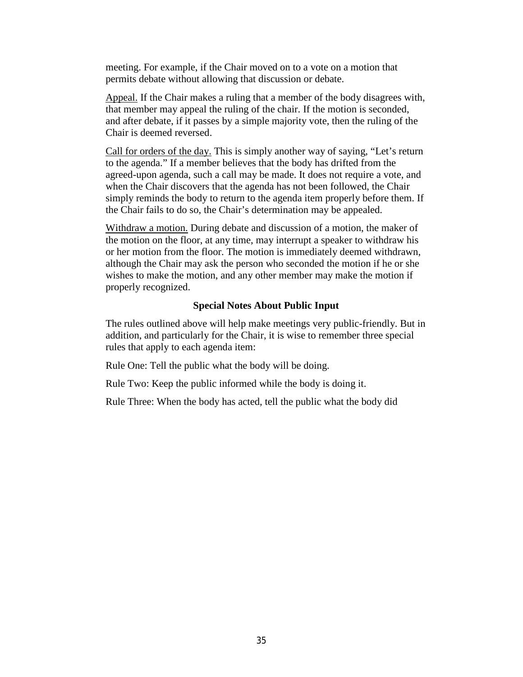meeting. For example, if the Chair moved on to a vote on a motion that permits debate without allowing that discussion or debate.

Appeal. If the Chair makes a ruling that a member of the body disagrees with, that member may appeal the ruling of the chair. If the motion is seconded, and after debate, if it passes by a simple majority vote, then the ruling of the Chair is deemed reversed.

Call for orders of the day. This is simply another way of saying, "Let's return to the agenda." If a member believes that the body has drifted from the agreed-upon agenda, such a call may be made. It does not require a vote, and when the Chair discovers that the agenda has not been followed, the Chair simply reminds the body to return to the agenda item properly before them. If the Chair fails to do so, the Chair's determination may be appealed.

Withdraw a motion. During debate and discussion of a motion, the maker of the motion on the floor, at any time, may interrupt a speaker to withdraw his or her motion from the floor. The motion is immediately deemed withdrawn, although the Chair may ask the person who seconded the motion if he or she wishes to make the motion, and any other member may make the motion if properly recognized.

#### **Special Notes About Public Input**

The rules outlined above will help make meetings very public-friendly. But in addition, and particularly for the Chair, it is wise to remember three special rules that apply to each agenda item:

Rule One: Tell the public what the body will be doing.

Rule Two: Keep the public informed while the body is doing it.

Rule Three: When the body has acted, tell the public what the body did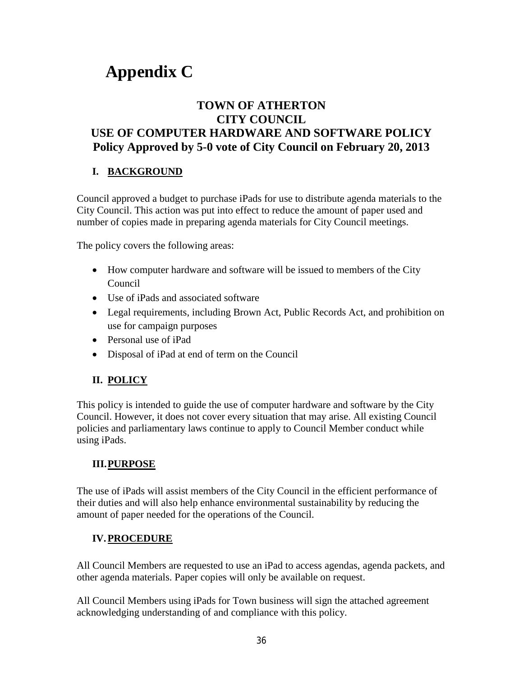# **Appendix C**

# **TOWN OF ATHERTON CITY COUNCIL USE OF COMPUTER HARDWARE AND SOFTWARE POLICY Policy Approved by 5-0 vote of City Council on February 20, 2013**

# **I. BACKGROUND**

Council approved a budget to purchase iPads for use to distribute agenda materials to the City Council. This action was put into effect to reduce the amount of paper used and number of copies made in preparing agenda materials for City Council meetings.

The policy covers the following areas:

- How computer hardware and software will be issued to members of the City Council
- Use of iPads and associated software
- Legal requirements, including Brown Act, Public Records Act, and prohibition on use for campaign purposes
- Personal use of iPad
- Disposal of iPad at end of term on the Council

# **II. POLICY**

This policy is intended to guide the use of computer hardware and software by the City Council. However, it does not cover every situation that may arise. All existing Council policies and parliamentary laws continue to apply to Council Member conduct while using iPads.

# **III.PURPOSE**

The use of iPads will assist members of the City Council in the efficient performance of their duties and will also help enhance environmental sustainability by reducing the amount of paper needed for the operations of the Council.

# **IV.PROCEDURE**

All Council Members are requested to use an iPad to access agendas, agenda packets, and other agenda materials. Paper copies will only be available on request.

All Council Members using iPads for Town business will sign the attached agreement acknowledging understanding of and compliance with this policy.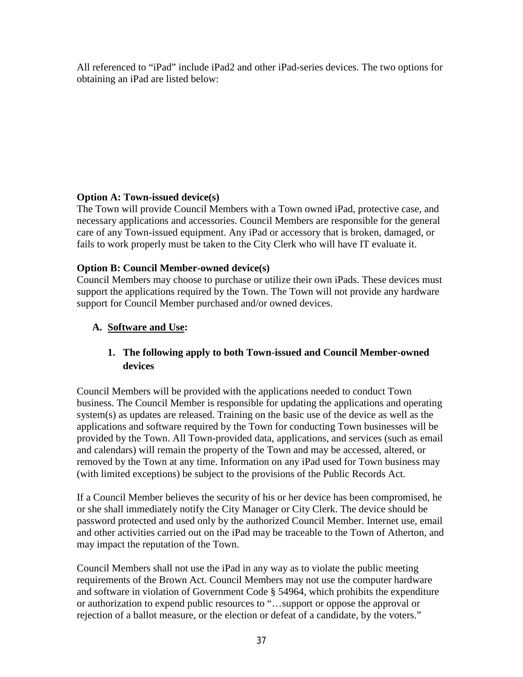All referenced to "iPad" include iPad2 and other iPad-series devices. The two options for obtaining an iPad are listed below:

# **Option A: Town-issued device(s)**

The Town will provide Council Members with a Town owned iPad, protective case, and necessary applications and accessories. Council Members are responsible for the general care of any Town-issued equipment. Any iPad or accessory that is broken, damaged, or fails to work properly must be taken to the City Clerk who will have IT evaluate it.

# **Option B: Council Member-owned device(s)**

Council Members may choose to purchase or utilize their own iPads. These devices must support the applications required by the Town. The Town will not provide any hardware support for Council Member purchased and/or owned devices.

# **A. Software and Use:**

# **1. The following apply to both Town-issued and Council Member-owned devices**

Council Members will be provided with the applications needed to conduct Town business. The Council Member is responsible for updating the applications and operating system(s) as updates are released. Training on the basic use of the device as well as the applications and software required by the Town for conducting Town businesses will be provided by the Town. All Town-provided data, applications, and services (such as email and calendars) will remain the property of the Town and may be accessed, altered, or removed by the Town at any time. Information on any iPad used for Town business may (with limited exceptions) be subject to the provisions of the Public Records Act.

If a Council Member believes the security of his or her device has been compromised, he or she shall immediately notify the City Manager or City Clerk. The device should be password protected and used only by the authorized Council Member. Internet use, email and other activities carried out on the iPad may be traceable to the Town of Atherton, and may impact the reputation of the Town.

Council Members shall not use the iPad in any way as to violate the public meeting requirements of the Brown Act. Council Members may not use the computer hardware and software in violation of Government Code § 54964, which prohibits the expenditure or authorization to expend public resources to "…support or oppose the approval or rejection of a ballot measure, or the election or defeat of a candidate, by the voters."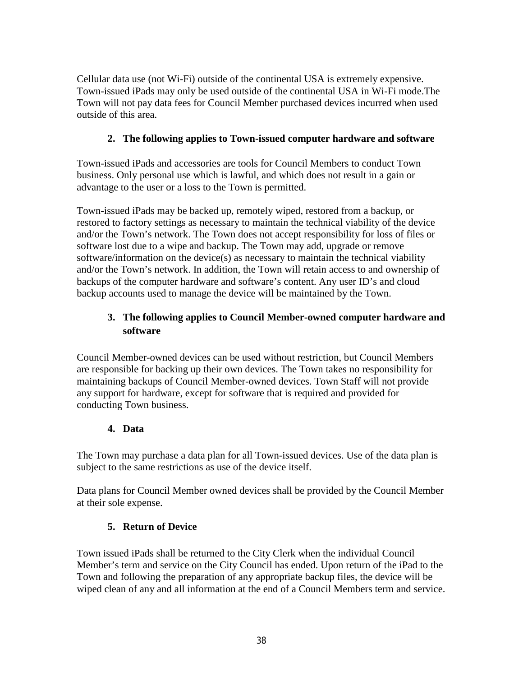Cellular data use (not Wi-Fi) outside of the continental USA is extremely expensive. Town-issued iPads may only be used outside of the continental USA in Wi-Fi mode.The Town will not pay data fees for Council Member purchased devices incurred when used outside of this area.

# **2. The following applies to Town-issued computer hardware and software**

Town-issued iPads and accessories are tools for Council Members to conduct Town business. Only personal use which is lawful, and which does not result in a gain or advantage to the user or a loss to the Town is permitted.

Town-issued iPads may be backed up, remotely wiped, restored from a backup, or restored to factory settings as necessary to maintain the technical viability of the device and/or the Town's network. The Town does not accept responsibility for loss of files or software lost due to a wipe and backup. The Town may add, upgrade or remove software/information on the device(s) as necessary to maintain the technical viability and/or the Town's network. In addition, the Town will retain access to and ownership of backups of the computer hardware and software's content. Any user ID's and cloud backup accounts used to manage the device will be maintained by the Town.

# **3. The following applies to Council Member-owned computer hardware and software**

Council Member-owned devices can be used without restriction, but Council Members are responsible for backing up their own devices. The Town takes no responsibility for maintaining backups of Council Member-owned devices. Town Staff will not provide any support for hardware, except for software that is required and provided for conducting Town business.

# **4. Data**

The Town may purchase a data plan for all Town-issued devices. Use of the data plan is subject to the same restrictions as use of the device itself.

Data plans for Council Member owned devices shall be provided by the Council Member at their sole expense.

# **5. Return of Device**

Town issued iPads shall be returned to the City Clerk when the individual Council Member's term and service on the City Council has ended. Upon return of the iPad to the Town and following the preparation of any appropriate backup files, the device will be wiped clean of any and all information at the end of a Council Members term and service.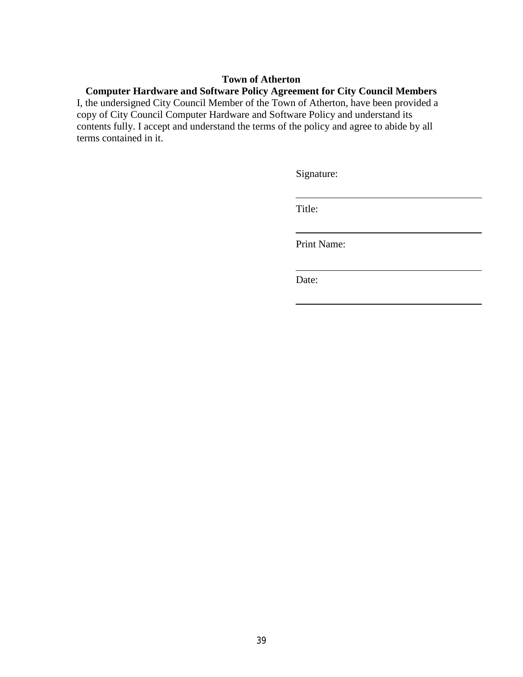### **Town of Atherton**

# **Computer Hardware and Software Policy Agreement for City Council Members**

I, the undersigned City Council Member of the Town of Atherton, have been provided a copy of City Council Computer Hardware and Software Policy and understand its contents fully. I accept and understand the terms of the policy and agree to abide by all terms contained in it.

Signature:

Title:

Print Name:

Date: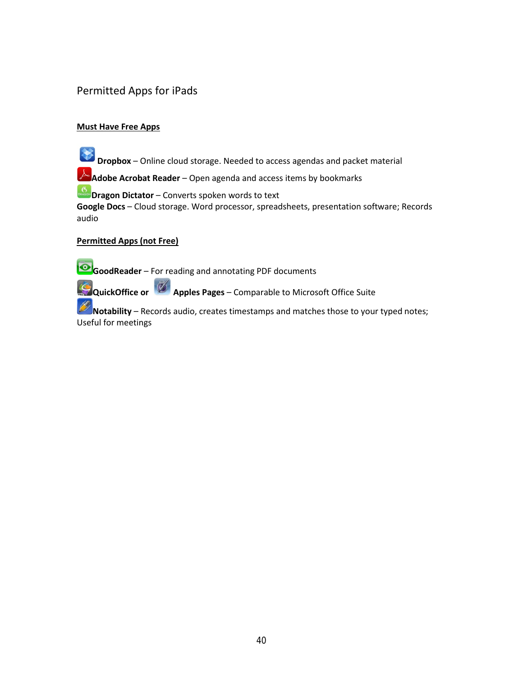# Permitted Apps for iPads

### **Must Have Free Apps**

**Dropbox** – Online cloud storage. Needed to access agendas and packet material

**A Adobe Acrobat Reader** – Open agenda and access items by bookmarks

**Dragon Dictator** – Converts spoken words to text

**Google Docs** – Cloud storage. Word processor, spreadsheets, presentation software; Records audio

### **Permitted Apps (not Free)**

**GoodReader** – For reading and annotating PDF documents

**QuickOffice or Apples Pages** – Comparable to Microsoft Office Suite

**Notability** – Records audio, creates timestamps and matches those to your typed notes; Useful for meetings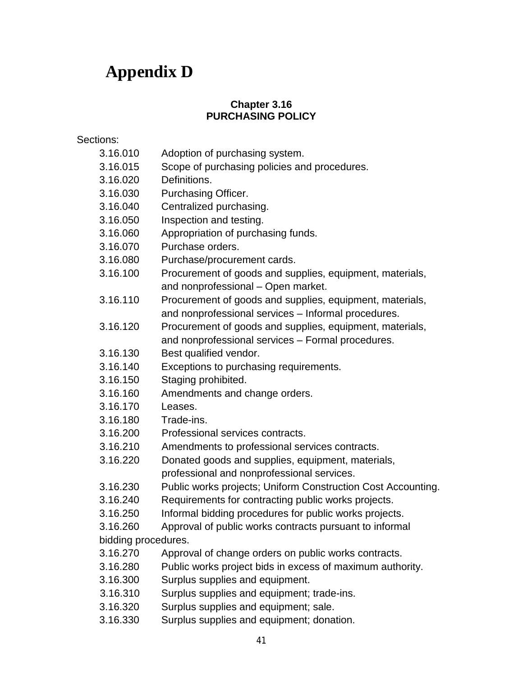# **Appendix D**

# **Chapter 3.16 PURCHASING POLICY**

### Sections:

- [3.16.010](http://www.codepublishing.com/CA/LagunaHills/HTML/LagunaHills03/LagunaHills0308.html#3-08.010) Adoption of purchasing system.
- [3.16.015](http://www.codepublishing.com/CA/LagunaHills/HTML/LagunaHills03/LagunaHills0308.html#3-08.020) Scope of purchasing policies and procedures.
- [3.16.020](http://www.codepublishing.com/CA/LagunaHills/HTML/LagunaHills03/LagunaHills0308.html#3-08.030) Definitions.
- [3.16.030](http://www.codepublishing.com/CA/LagunaHills/HTML/LagunaHills03/LagunaHills0308.html#3-08.040) Purchasing Officer.
- [3.16.040](http://www.codepublishing.com/CA/LagunaHills/HTML/LagunaHills03/LagunaHills0308.html#3-08.040) Centralized purchasing.
- [3.16.050](http://www.codepublishing.com/CA/LagunaHills/HTML/LagunaHills03/LagunaHills0308.html#3-08.050) Inspection and testing.
- [3.16.060](http://www.codepublishing.com/CA/LagunaHills/HTML/LagunaHills03/LagunaHills0308.html#3-08.060) Appropriation of purchasing funds.
- [3.16.070](http://www.codepublishing.com/CA/LagunaHills/HTML/LagunaHills03/LagunaHills0308.html#3-08.040) Purchase orders.
- [3.16.080](http://www.codepublishing.com/CA/LagunaHills/HTML/LagunaHills03/LagunaHills0308.html#3-08.040) Purchase/procurement cards.
- [3.16.100](http://www.codepublishing.com/CA/LagunaHills/HTML/LagunaHills03/LagunaHills0308.html#3-08.070) Procurement of goods and supplies, equipment, materials, and nonprofessional – Open market.
- [3.16.110](http://www.codepublishing.com/CA/LagunaHills/HTML/LagunaHills03/LagunaHills0308.html#3-08.080) Procurement of goods and supplies, equipment, materials, and nonprofessional services – Informal procedures.
- [3.16.120](http://www.codepublishing.com/CA/LagunaHills/HTML/LagunaHills03/LagunaHills0308.html#3-08.090) Procurement of goods and supplies, equipment, materials, and nonprofessional services – Formal procedures.
- [3.16.130](http://www.codepublishing.com/CA/LagunaHills/HTML/LagunaHills03/LagunaHills0308.html#3-08.100) Best qualified vendor.
- [3.16.140](http://www.codepublishing.com/CA/LagunaHills/HTML/LagunaHills03/LagunaHills0308.html#3-08.110) Exceptions to purchasing requirements.
- [3.16.150](http://www.codepublishing.com/CA/LagunaHills/HTML/LagunaHills03/LagunaHills0308.html#3-08.110) Staging prohibited.
- [3.16.160](http://www.codepublishing.com/CA/LagunaHills/HTML/LagunaHills03/LagunaHills0308.html#3-08.120) Amendments and change orders.
- [3.16.170](http://www.codepublishing.com/CA/LagunaHills/HTML/LagunaHills03/LagunaHills0308.html#3-08.110) Leases.
- [3.16.180](http://www.codepublishing.com/CA/LagunaHills/HTML/LagunaHills03/LagunaHills0308.html#3-08.140) Trade-ins.
- [3.16.200](http://www.codepublishing.com/CA/LagunaHills/HTML/LagunaHills03/LagunaHills0308.html#3-08.150) Professional services contracts.
- [3.16.210](http://www.codepublishing.com/CA/LagunaHills/HTML/LagunaHills03/LagunaHills0308.html#3-08.160) Amendments to professional services contracts.
- [3.16.220](http://www.codepublishing.com/CA/LagunaHills/HTML/LagunaHills03/LagunaHills0308.html#3-08.130) Donated goods and supplies, equipment, materials, professional and nonprofessional services.
- 3.16.230 Public works projects; Uniform Construction Cost Accounting.
- 3.16.240 Requirements for contracting public works projects.
- 3.16.250 Informal bidding procedures for public works projects.
- 3.16.260 Approval of public works contracts pursuant to informal bidding procedures.
- 3.16.270 Approval of change orders on public works contracts.
- 3.16.280 Public works project bids in excess of maximum authority.
- [3.16.300 Surplus supplies and equipment.](javascript:void(0))
- [3.16.310 Surplus supplies and equipment; trade-ins.](javascript:void(0))
- [3.16.320 Surplus supplies and equipment; sale.](javascript:void(0))
- [3.16.330 Surplus supplies and equipment; donation.](javascript:void(0))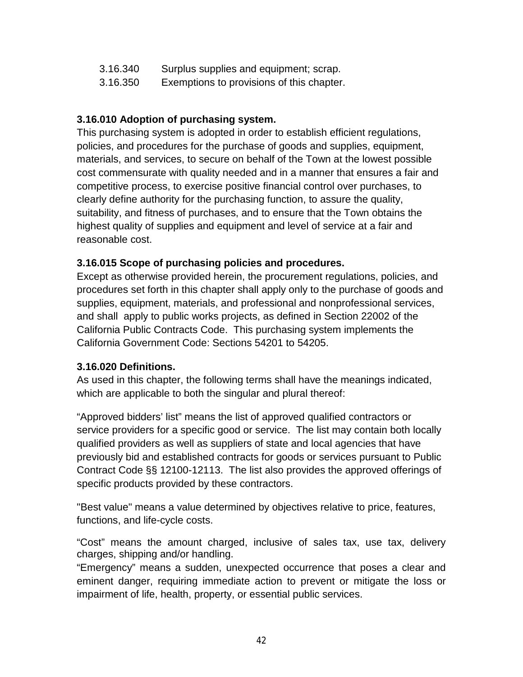- [3.16.340 Surplus supplies and equipment; scrap.](javascript:void(0))
- [3.16.350](http://www.codepublishing.com/CA/LagunaHills/HTML/LagunaHills03/LagunaHills0308.html#3-08.170) Exemptions to provisions of this chapter.

# **3.16.010 Adoption of purchasing system.**

This purchasing system is adopted in order to establish efficient regulations, policies, and procedures for the purchase of goods and supplies, equipment, materials, and services, to secure on behalf of the Town at the lowest possible cost commensurate with quality needed and in a manner that ensures a fair and competitive process, to exercise positive financial control over purchases, to clearly define authority for the purchasing function, to assure the quality, suitability, and fitness of purchases, and to ensure that the Town obtains the highest quality of supplies and equipment and level of service at a fair and reasonable cost.

# **3.16.015 Scope of purchasing policies and procedures.**

Except as otherwise provided herein, the procurement regulations, policies, and procedures set forth in this chapter shall apply only to the purchase of goods and supplies, equipment, materials, and professional and nonprofessional services, and shall apply to public works projects, as defined in Section 22002 of the California Public Contracts Code. This purchasing system implements the California Government Code: Sections 54201 to 54205.

# **3.16.020 Definitions.**

As used in this chapter, the following terms shall have the meanings indicated, which are applicable to both the singular and plural thereof:

"Approved bidders' list" means the list of approved qualified contractors or service providers for a specific good or service. The list may contain both locally qualified providers as well as suppliers of state and local agencies that have previously bid and established contracts for goods or services pursuant to Public Contract Code §§ 12100-12113. The list also provides the approved offerings of specific products provided by these contractors.

"Best value" means a value determined by objectives relative to price, features, functions, and life-cycle costs.

"Cost" means the amount charged, inclusive of sales tax, use tax, delivery charges, shipping and/or handling.

"Emergency" means a sudden, unexpected occurrence that poses a clear and eminent danger, requiring immediate action to prevent or mitigate the loss or impairment of life, health, property, or essential public services.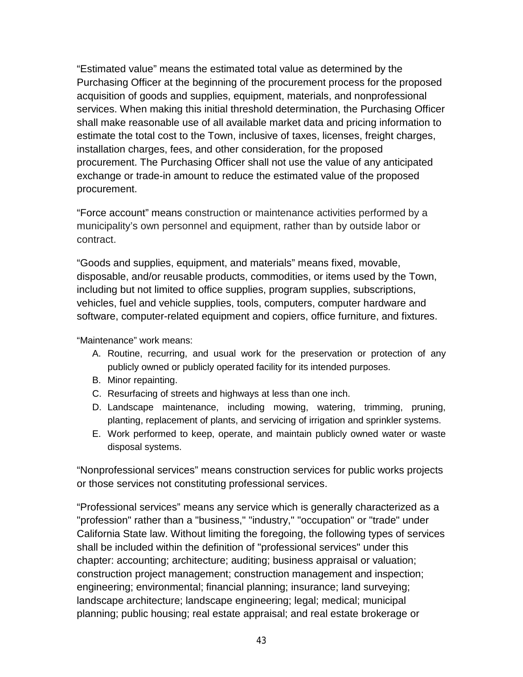"Estimated value" means the estimated total value as determined by the Purchasing Officer at the beginning of the procurement process for the proposed acquisition of goods and supplies, equipment, materials, and nonprofessional services. When making this initial threshold determination, the Purchasing Officer shall make reasonable use of all available market data and pricing information to estimate the total cost to the Town, inclusive of taxes, licenses, freight charges, installation charges, fees, and other consideration, for the proposed procurement. The Purchasing Officer shall not use the value of any anticipated exchange or trade-in amount to reduce the estimated value of the proposed procurement.

"Force account" means construction or maintenance activities performed by a municipality's own personnel and equipment, rather than by outside labor or contract.

"Goods and supplies, equipment, and materials" means fixed, movable, disposable, and/or reusable products, commodities, or items used by the Town, including but not limited to office supplies, program supplies, subscriptions, vehicles, fuel and vehicle supplies, tools, computers, computer hardware and software, computer-related equipment and copiers, office furniture, and fixtures.

"Maintenance" work means:

- A. Routine, recurring, and usual work for the preservation or protection of any publicly owned or publicly operated facility for its intended purposes.
- B. Minor repainting.
- C. Resurfacing of streets and highways at less than one inch.
- D. Landscape maintenance, including mowing, watering, trimming, pruning, planting, replacement of plants, and servicing of irrigation and sprinkler systems.
- E. Work performed to keep, operate, and maintain publicly owned water or waste disposal systems.

"Nonprofessional services" means construction services for public works projects or those services not constituting professional services.

"Professional services" means any service which is generally characterized as a "profession" rather than a "business," "industry," "occupation" or "trade" under California State law. Without limiting the foregoing, the following types of services shall be included within the definition of "professional services" under this chapter: accounting; architecture; auditing; business appraisal or valuation; construction project management; construction management and inspection; engineering; environmental; financial planning; insurance; land surveying; landscape architecture; landscape engineering; legal; medical; municipal planning; public housing; real estate appraisal; and real estate brokerage or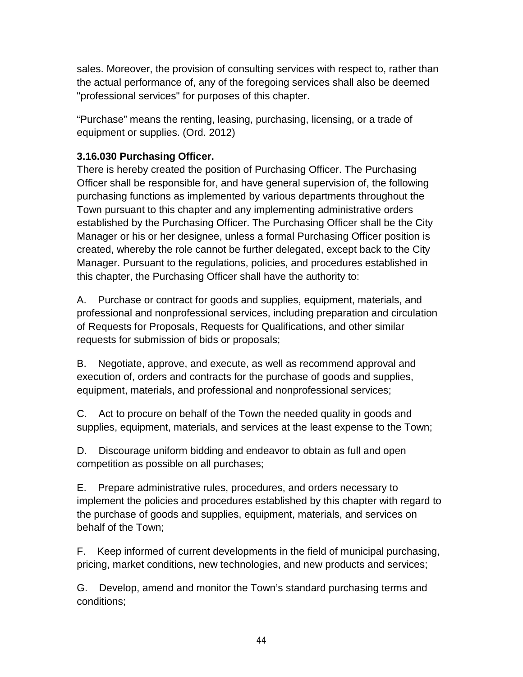sales. Moreover, the provision of consulting services with respect to, rather than the actual performance of, any of the foregoing services shall also be deemed "professional services" for purposes of this chapter.

"Purchase" means the renting, leasing, purchasing, licensing, or a trade of equipment or supplies. (Ord. 2012)

# **3.16.030 Purchasing Officer.**

There is hereby created the position of Purchasing Officer. The Purchasing Officer shall be responsible for, and have general supervision of, the following purchasing functions as implemented by various departments throughout the Town pursuant to this chapter and any implementing administrative orders established by the Purchasing Officer. The Purchasing Officer shall be the City Manager or his or her designee, unless a formal Purchasing Officer position is created, whereby the role cannot be further delegated, except back to the City Manager. Pursuant to the regulations, policies, and procedures established in this chapter, the Purchasing Officer shall have the authority to:

A. Purchase or contract for goods and supplies, equipment, materials, and professional and nonprofessional services, including preparation and circulation of Requests for Proposals, Requests for Qualifications, and other similar requests for submission of bids or proposals;

B. Negotiate, approve, and execute, as well as recommend approval and execution of, orders and contracts for the purchase of goods and supplies, equipment, materials, and professional and nonprofessional services;

C. Act to procure on behalf of the Town the needed quality in goods and supplies, equipment, materials, and services at the least expense to the Town;

D. Discourage uniform bidding and endeavor to obtain as full and open competition as possible on all purchases;

E. Prepare administrative rules, procedures, and orders necessary to implement the policies and procedures established by this chapter with regard to the purchase of goods and supplies, equipment, materials, and services on behalf of the Town;

F. Keep informed of current developments in the field of municipal purchasing, pricing, market conditions, new technologies, and new products and services;

G. Develop, amend and monitor the Town's standard purchasing terms and conditions;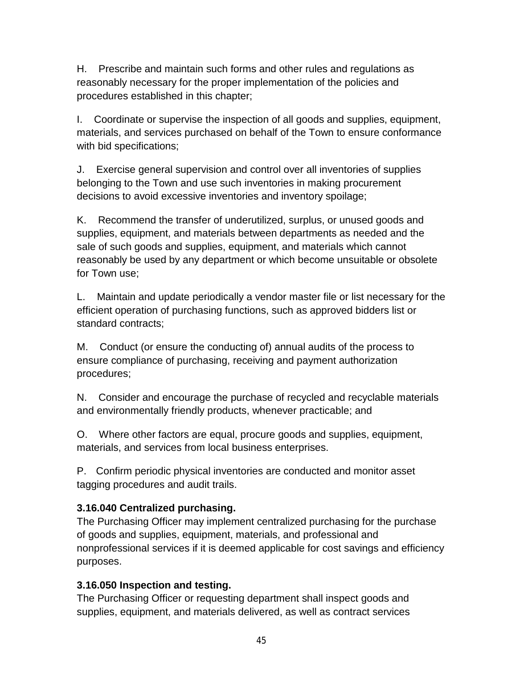H. Prescribe and maintain such forms and other rules and regulations as reasonably necessary for the proper implementation of the policies and procedures established in this chapter;

I. Coordinate or supervise the inspection of all goods and supplies, equipment, materials, and services purchased on behalf of the Town to ensure conformance with bid specifications;

J. Exercise general supervision and control over all inventories of supplies belonging to the Town and use such inventories in making procurement decisions to avoid excessive inventories and inventory spoilage;

K. Recommend the transfer of underutilized, surplus, or unused goods and supplies, equipment, and materials between departments as needed and the sale of such goods and supplies, equipment, and materials which cannot reasonably be used by any department or which become unsuitable or obsolete for Town use;

L. Maintain and update periodically a vendor master file or list necessary for the efficient operation of purchasing functions, such as approved bidders list or standard contracts;

M. Conduct (or ensure the conducting of) annual audits of the process to ensure compliance of purchasing, receiving and payment authorization procedures;

N. Consider and encourage the purchase of recycled and recyclable materials and environmentally friendly products, whenever practicable; and

O. Where other factors are equal, procure goods and supplies, equipment, materials, and services from local business enterprises.

P. Confirm periodic physical inventories are conducted and monitor asset tagging procedures and audit trails.

# **3.16.040 Centralized purchasing.**

The Purchasing Officer may implement centralized purchasing for the purchase of goods and supplies, equipment, materials, and professional and nonprofessional services if it is deemed applicable for cost savings and efficiency purposes.

# **3.16.050 Inspection and testing.**

The Purchasing Officer or requesting department shall inspect goods and supplies, equipment, and materials delivered, as well as contract services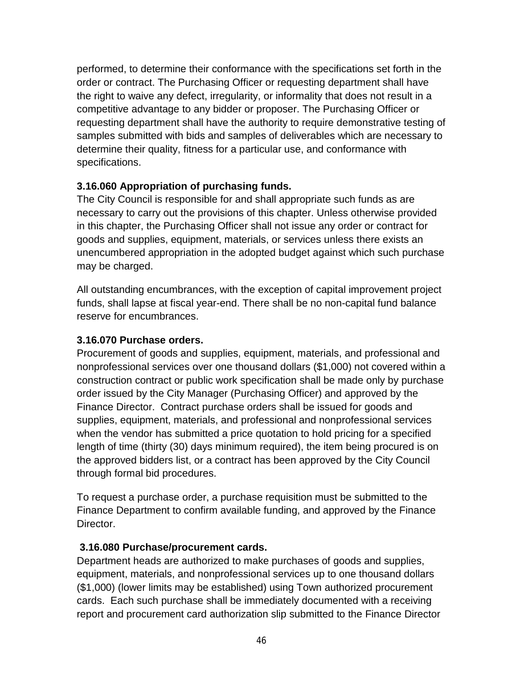performed, to determine their conformance with the specifications set forth in the order or contract. The Purchasing Officer or requesting department shall have the right to waive any defect, irregularity, or informality that does not result in a competitive advantage to any bidder or proposer. The Purchasing Officer or requesting department shall have the authority to require demonstrative testing of samples submitted with bids and samples of deliverables which are necessary to determine their quality, fitness for a particular use, and conformance with specifications.

# **3.16.060 Appropriation of purchasing funds.**

The City Council is responsible for and shall appropriate such funds as are necessary to carry out the provisions of this chapter. Unless otherwise provided in this chapter, the Purchasing Officer shall not issue any order or contract for goods and supplies, equipment, materials, or services unless there exists an unencumbered appropriation in the adopted budget against which such purchase may be charged.

All outstanding encumbrances, with the exception of capital improvement project funds, shall lapse at fiscal year-end. There shall be no non-capital fund balance reserve for encumbrances.

# **3.16.070 Purchase orders.**

Procurement of goods and supplies, equipment, materials, and professional and nonprofessional services over one thousand dollars (\$1,000) not covered within a construction contract or public work specification shall be made only by purchase order issued by the City Manager (Purchasing Officer) and approved by the Finance Director. Contract purchase orders shall be issued for goods and supplies, equipment, materials, and professional and nonprofessional services when the vendor has submitted a price quotation to hold pricing for a specified length of time (thirty (30) days minimum required), the item being procured is on the approved bidders list, or a contract has been approved by the City Council through formal bid procedures.

To request a purchase order, a purchase requisition must be submitted to the Finance Department to confirm available funding, and approved by the Finance Director.

# **3.16.080 Purchase/procurement cards.**

Department heads are authorized to make purchases of goods and supplies, equipment, materials, and nonprofessional services up to one thousand dollars (\$1,000) (lower limits may be established) using Town authorized procurement cards. Each such purchase shall be immediately documented with a receiving report and procurement card authorization slip submitted to the Finance Director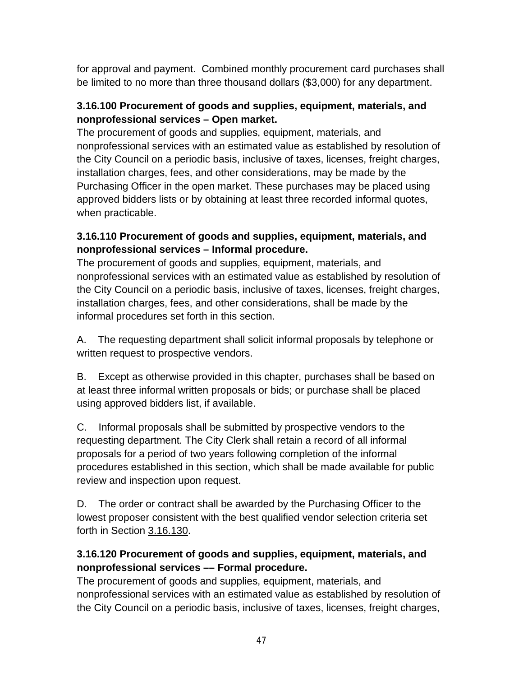for approval and payment. Combined monthly procurement card purchases shall be limited to no more than three thousand dollars (\$3,000) for any department.

# **3.16.100 Procurement of goods and supplies, equipment, materials, and nonprofessional services – Open market.**

The procurement of goods and supplies, equipment, materials, and nonprofessional services with an estimated value as established by resolution of the City Council on a periodic basis, inclusive of taxes, licenses, freight charges, installation charges, fees, and other considerations, may be made by the Purchasing Officer in the open market. These purchases may be placed using approved bidders lists or by obtaining at least three recorded informal quotes, when practicable.

# **3.16.110 Procurement of goods and supplies, equipment, materials, and nonprofessional services – Informal procedure.**

The procurement of goods and supplies, equipment, materials, and nonprofessional services with an estimated value as established by resolution of the City Council on a periodic basis, inclusive of taxes, licenses, freight charges, installation charges, fees, and other considerations, shall be made by the informal procedures set forth in this section.

A. The requesting department shall solicit informal proposals by telephone or written request to prospective vendors.

B. Except as otherwise provided in this chapter, purchases shall be based on at least three informal written proposals or bids; or purchase shall be placed using approved bidders list, if available.

C. Informal proposals shall be submitted by prospective vendors to the requesting department. The City Clerk shall retain a record of all informal proposals for a period of two years following completion of the informal procedures established in this section, which shall be made available for public review and inspection upon request.

D. The order or contract shall be awarded by the Purchasing Officer to the lowest proposer consistent with the best qualified vendor selection criteria set forth in Section [3.16.130.](http://www.codepublishing.com/CA/LagunaHills/HTML/LagunaHills03/LagunaHills0308.html#3-08.100)

# **3.16.120 Procurement of goods and supplies, equipment, materials, and nonprofessional services –– Formal procedure.**

The procurement of goods and supplies, equipment, materials, and nonprofessional services with an estimated value as established by resolution of the City Council on a periodic basis, inclusive of taxes, licenses, freight charges,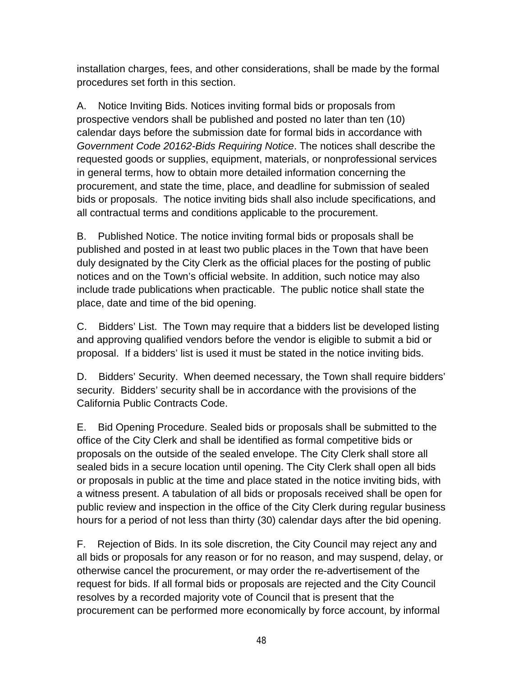installation charges, fees, and other considerations, shall be made by the formal procedures set forth in this section.

A. Notice Inviting Bids. Notices inviting formal bids or proposals from prospective vendors shall be published and posted no later than ten (10) calendar days before the submission date for formal bids in accordance with *Government Code 20162-Bids Requiring Notice*. The notices shall describe the requested goods or supplies, equipment, materials, or nonprofessional services in general terms, how to obtain more detailed information concerning the procurement, and state the time, place, and deadline for submission of sealed bids or proposals. The notice inviting bids shall also include specifications, and all contractual terms and conditions applicable to the procurement.

B. Published Notice. The notice inviting formal bids or proposals shall be published and posted in at least two public places in the Town that have been duly designated by the City Clerk as the official places for the posting of public notices and on the Town's official website. In addition, such notice may also include trade publications when practicable. The public notice shall state the place, date and time of the bid opening.

C. Bidders' List. The Town may require that a bidders list be developed listing and approving qualified vendors before the vendor is eligible to submit a bid or proposal. If a bidders' list is used it must be stated in the notice inviting bids.

D. Bidders' Security. When deemed necessary, the Town shall require bidders' security. Bidders' security shall be in accordance with the provisions of the California Public Contracts Code.

E. Bid Opening Procedure. Sealed bids or proposals shall be submitted to the office of the City Clerk and shall be identified as formal competitive bids or proposals on the outside of the sealed envelope. The City Clerk shall store all sealed bids in a secure location until opening. The City Clerk shall open all bids or proposals in public at the time and place stated in the notice inviting bids, with a witness present. A tabulation of all bids or proposals received shall be open for public review and inspection in the office of the City Clerk during regular business hours for a period of not less than thirty (30) calendar days after the bid opening.

F. Rejection of Bids. In its sole discretion, the City Council may reject any and all bids or proposals for any reason or for no reason, and may suspend, delay, or otherwise cancel the procurement, or may order the re-advertisement of the request for bids. If all formal bids or proposals are rejected and the City Council resolves by a recorded majority vote of Council that is present that the procurement can be performed more economically by force account, by informal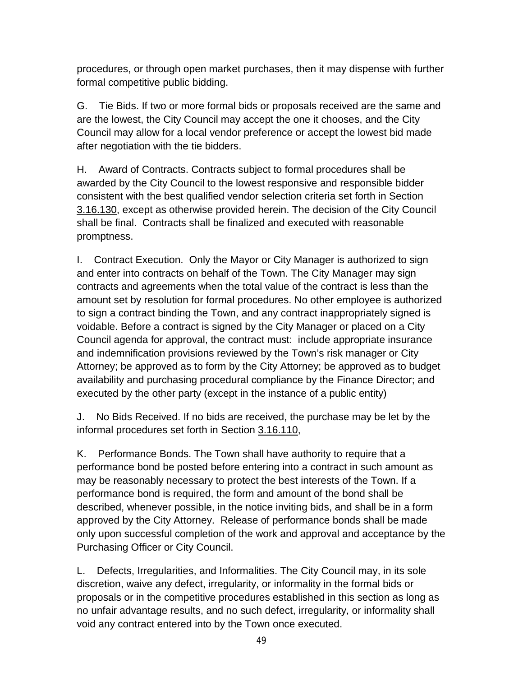procedures, or through open market purchases, then it may dispense with further formal competitive public bidding.

G. Tie Bids. If two or more formal bids or proposals received are the same and are the lowest, the City Council may accept the one it chooses, and the City Council may allow for a local vendor preference or accept the lowest bid made after negotiation with the tie bidders.

H. Award of Contracts. Contracts subject to formal procedures shall be awarded by the City Council to the lowest responsive and responsible bidder consistent with the best qualified vendor selection criteria set forth in Section [3.16.130,](http://www.codepublishing.com/CA/LagunaHills/HTML/LagunaHills03/LagunaHills0308.html#3-08.100) except as otherwise provided herein. The decision of the City Council shall be final. Contracts shall be finalized and executed with reasonable promptness.

I. Contract Execution. Only the Mayor or City Manager is authorized to sign and enter into contracts on behalf of the Town. The City Manager may sign contracts and agreements when the total value of the contract is less than the amount set by resolution for formal procedures. No other employee is authorized to sign a contract binding the Town, and any contract inappropriately signed is voidable. Before a contract is signed by the City Manager or placed on a City Council agenda for approval, the contract must: include appropriate insurance and indemnification provisions reviewed by the Town's risk manager or City Attorney; be approved as to form by the City Attorney; be approved as to budget availability and purchasing procedural compliance by the Finance Director; and executed by the other party (except in the instance of a public entity)

J. No Bids Received. If no bids are received, the purchase may be let by the informal procedures set forth in Section [3.16.110,](http://www.codepublishing.com/CA/LagunaHills/HTML/LagunaHills03/LagunaHills0308.html#3-08.080)

K. Performance Bonds. The Town shall have authority to require that a performance bond be posted before entering into a contract in such amount as may be reasonably necessary to protect the best interests of the Town. If a performance bond is required, the form and amount of the bond shall be described, whenever possible, in the notice inviting bids, and shall be in a form approved by the City Attorney. Release of performance bonds shall be made only upon successful completion of the work and approval and acceptance by the Purchasing Officer or City Council.

L. Defects, Irregularities, and Informalities. The City Council may, in its sole discretion, waive any defect, irregularity, or informality in the formal bids or proposals or in the competitive procedures established in this section as long as no unfair advantage results, and no such defect, irregularity, or informality shall void any contract entered into by the Town once executed.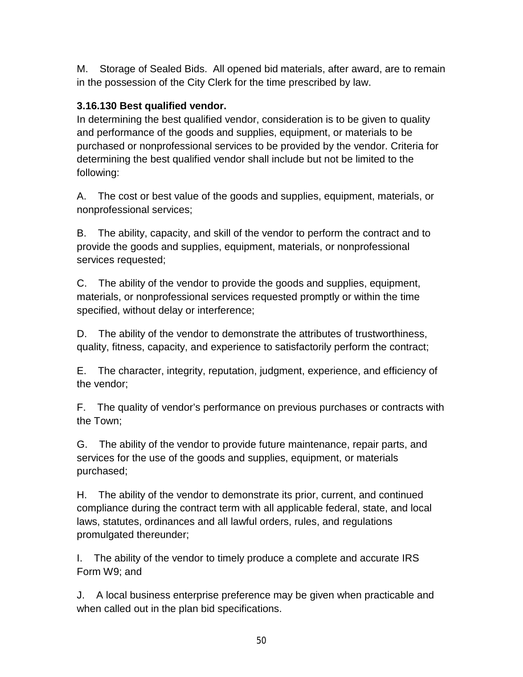M. Storage of Sealed Bids. All opened bid materials, after award, are to remain in the possession of the City Clerk for the time prescribed by law.

#### **3.16.130 Best qualified vendor.**

In determining the best qualified vendor, consideration is to be given to quality and performance of the goods and supplies, equipment, or materials to be purchased or nonprofessional services to be provided by the vendor. Criteria for determining the best qualified vendor shall include but not be limited to the following:

A. The cost or best value of the goods and supplies, equipment, materials, or nonprofessional services;

B. The ability, capacity, and skill of the vendor to perform the contract and to provide the goods and supplies, equipment, materials, or nonprofessional services requested;

C. The ability of the vendor to provide the goods and supplies, equipment, materials, or nonprofessional services requested promptly or within the time specified, without delay or interference;

D. The ability of the vendor to demonstrate the attributes of trustworthiness, quality, fitness, capacity, and experience to satisfactorily perform the contract;

E. The character, integrity, reputation, judgment, experience, and efficiency of the vendor;

F. The quality of vendor's performance on previous purchases or contracts with the Town;

G. The ability of the vendor to provide future maintenance, repair parts, and services for the use of the goods and supplies, equipment, or materials purchased;

H. The ability of the vendor to demonstrate its prior, current, and continued compliance during the contract term with all applicable federal, state, and local laws, statutes, ordinances and all lawful orders, rules, and regulations promulgated thereunder;

I. The ability of the vendor to timely produce a complete and accurate IRS Form W9; and

J. A local business enterprise preference may be given when practicable and when called out in the plan bid specifications.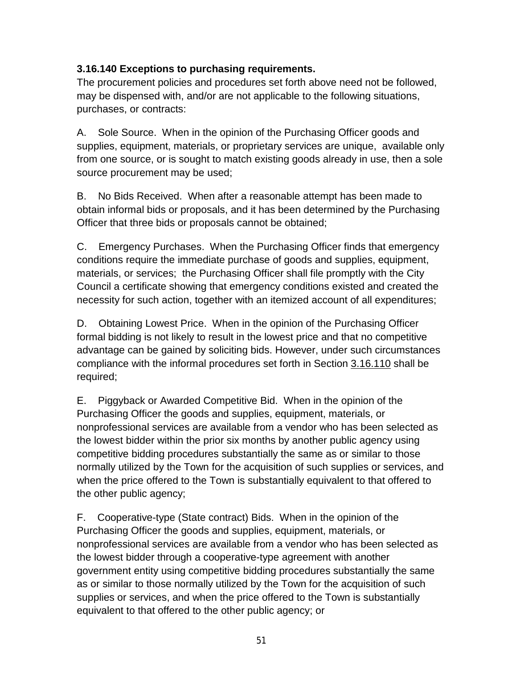#### **3.16.140 Exceptions to purchasing requirements.**

The procurement policies and procedures set forth above need not be followed, may be dispensed with, and/or are not applicable to the following situations, purchases, or contracts:

A. Sole Source. When in the opinion of the Purchasing Officer goods and supplies, equipment, materials, or proprietary services are unique, available only from one source, or is sought to match existing goods already in use, then a sole source procurement may be used;

B. No Bids Received. When after a reasonable attempt has been made to obtain informal bids or proposals, and it has been determined by the Purchasing Officer that three bids or proposals cannot be obtained;

C. Emergency Purchases. When the Purchasing Officer finds that emergency conditions require the immediate purchase of goods and supplies, equipment, materials, or services; the Purchasing Officer shall file promptly with the City Council a certificate showing that emergency conditions existed and created the necessity for such action, together with an itemized account of all expenditures;

D. Obtaining Lowest Price. When in the opinion of the Purchasing Officer formal bidding is not likely to result in the lowest price and that no competitive advantage can be gained by soliciting bids. However, under such circumstances compliance with the informal procedures set forth in Section [3.16.110](http://www.codepublishing.com/CA/LagunaHills/HTML/LagunaHills03/LagunaHills0308.html#3-08.080) shall be required;

E. Piggyback or Awarded Competitive Bid. When in the opinion of the Purchasing Officer the goods and supplies, equipment, materials, or nonprofessional services are available from a vendor who has been selected as the lowest bidder within the prior six months by another public agency using competitive bidding procedures substantially the same as or similar to those normally utilized by the Town for the acquisition of such supplies or services, and when the price offered to the Town is substantially equivalent to that offered to the other public agency;

F. Cooperative-type (State contract) Bids. When in the opinion of the Purchasing Officer the goods and supplies, equipment, materials, or nonprofessional services are available from a vendor who has been selected as the lowest bidder through a cooperative-type agreement with another government entity using competitive bidding procedures substantially the same as or similar to those normally utilized by the Town for the acquisition of such supplies or services, and when the price offered to the Town is substantially equivalent to that offered to the other public agency; or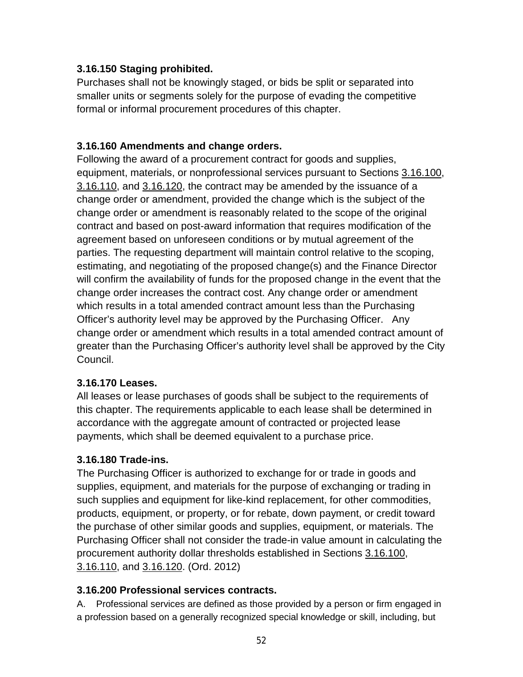#### **3.16.150 Staging prohibited.**

Purchases shall not be knowingly staged, or bids be split or separated into smaller units or segments solely for the purpose of evading the competitive formal or informal procurement procedures of this chapter.

#### **3.16.160 Amendments and change orders.**

Following the award of a procurement contract for goods and supplies, equipment, materials, or nonprofessional services pursuant to Sections [3.16.100,](http://www.codepublishing.com/CA/LagunaHills/HTML/LagunaHills03/LagunaHills0308.html#3-08.070) [3.16.110,](http://www.codepublishing.com/CA/LagunaHills/HTML/LagunaHills03/LagunaHills0308.html#3-08.080) and [3.16.120,](http://www.codepublishing.com/CA/LagunaHills/HTML/LagunaHills03/LagunaHills0308.html#3-08.090) the contract may be amended by the issuance of a change order or amendment, provided the change which is the subject of the change order or amendment is reasonably related to the scope of the original contract and based on post-award information that requires modification of the agreement based on unforeseen conditions or by mutual agreement of the parties. The requesting department will maintain control relative to the scoping, estimating, and negotiating of the proposed change(s) and the Finance Director will confirm the availability of funds for the proposed change in the event that the change order increases the contract cost. Any change order or amendment which results in a total amended contract amount less than the Purchasing Officer's authority level may be approved by the Purchasing Officer. Any change order or amendment which results in a total amended contract amount of greater than the Purchasing Officer's authority level shall be approved by the City Council.

#### **3.16.170 Leases.**

All leases or lease purchases of goods shall be subject to the requirements of this chapter. The requirements applicable to each lease shall be determined in accordance with the aggregate amount of contracted or projected lease payments, which shall be deemed equivalent to a purchase price.

#### **3.16.180 Trade-ins.**

The Purchasing Officer is authorized to exchange for or trade in goods and supplies, equipment, and materials for the purpose of exchanging or trading in such supplies and equipment for like-kind replacement, for other commodities, products, equipment, or property, or for rebate, down payment, or credit toward the purchase of other similar goods and supplies, equipment, or materials. The Purchasing Officer shall not consider the trade-in value amount in calculating the procurement authority dollar thresholds established in Sections [3.16.100,](http://www.codepublishing.com/CA/LagunaHills/HTML/LagunaHills03/LagunaHills0308.html#3-08.070) [3.16.110,](http://www.codepublishing.com/CA/LagunaHills/HTML/LagunaHills03/LagunaHills0308.html#3-08.080) and [3.16.120.](http://www.codepublishing.com/CA/LagunaHills/HTML/LagunaHills03/LagunaHills0308.html#3-08.090) (Ord. 2012)

#### **3.16.200 Professional services contracts.**

A. Professional services are defined as those provided by a person or firm engaged in a profession based on a generally recognized special knowledge or skill, including, but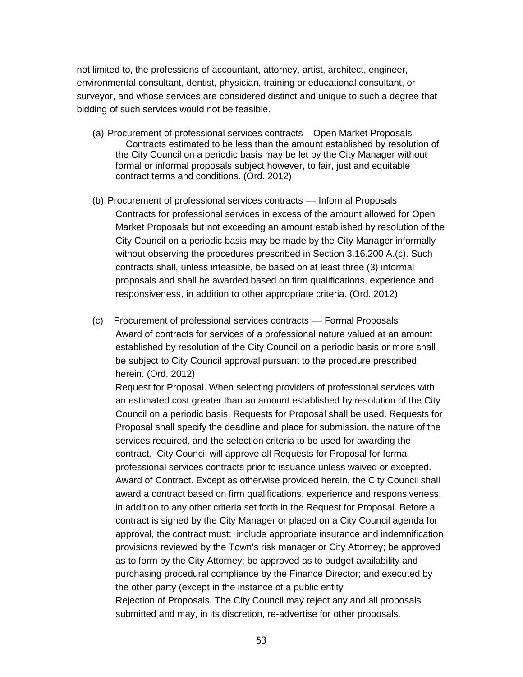not limited to, the professions of accountant, attorney, artist, architect, engineer, environmental consultant, dentist, physician, training or educational consultant, or surveyor, and whose services are considered distinct and unique to such a degree that bidding of such services would not be feasible.

- (a) Procurement of professional services contracts Open Market Proposals Contracts estimated to be less than the amount established by resolution of the City Council on a periodic basis may be let by the City Manager without formal or informal proposals subject however, to fair, just and equitable contract terms and conditions. (Ord. 2012)
- (b) Procurement of professional services contracts –– Informal Proposals Contracts for professional services in excess of the amount allowed for Open Market Proposals but not exceeding an amount established by resolution of the City Council on a periodic basis may be made by the City Manager informally without observing the procedures prescribed in Section 3.16.200 A.(c). Such contracts shall, unless infeasible, be based on at least three (3) informal proposals and shall be awarded based on firm qualifications, experience and responsiveness, in addition to other appropriate criteria. (Ord. 2012)
- (c) Procurement of professional services contracts –– Formal Proposals Award of contracts for services of a professional nature valued at an amount established by resolution of the City Council on a periodic basis or more shall be subject to City Council approval pursuant to the procedure prescribed herein. (Ord. 2012)

Request for Proposal. When selecting providers of professional services with an estimated cost greater than an amount established by resolution of the City Council on a periodic basis, Requests for Proposal shall be used. Requests for Proposal shall specify the deadline and place for submission, the nature of the services required, and the selection criteria to be used for awarding the contract. City Council will approve all Requests for Proposal for formal professional services contracts prior to issuance unless waived or excepted. Award of Contract. Except as otherwise provided herein, the City Council shall award a contract based on firm qualifications, experience and responsiveness, in addition to any other criteria set forth in the Request for Proposal. Before a contract is signed by the City Manager or placed on a City Council agenda for approval, the contract must: include appropriate insurance and indemnification provisions reviewed by the Town's risk manager or City Attorney; be approved as to form by the City Attorney; be approved as to budget availability and purchasing procedural compliance by the Finance Director; and executed by the other party (except in the instance of a public entity Rejection of Proposals. The City Council may reject any and all proposals submitted and may, in its discretion, re-advertise for other proposals.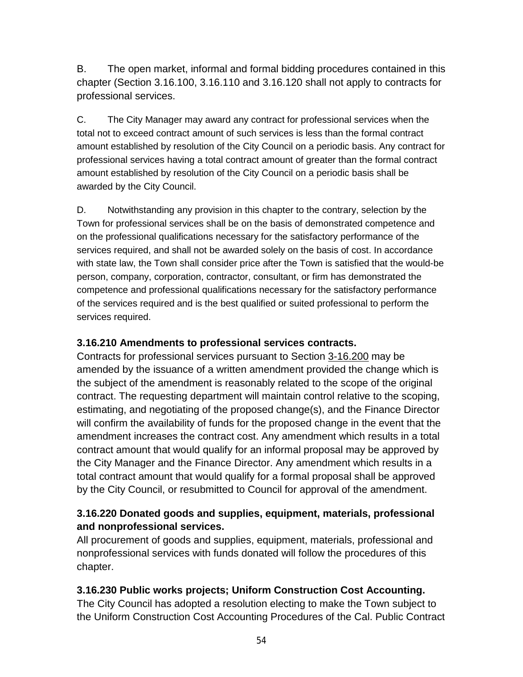B. The open market, informal and formal bidding procedures contained in this chapter (Section 3.16.100, 3.16.110 and 3.16.120 shall not apply to contracts for professional services.

C. The City Manager may award any contract for professional services when the total not to exceed contract amount of such services is less than the formal contract amount established by resolution of the City Council on a periodic basis. Any contract for professional services having a total contract amount of greater than the formal contract amount established by resolution of the City Council on a periodic basis shall be awarded by the City Council.

D. Notwithstanding any provision in this chapter to the contrary, selection by the Town for professional services shall be on the basis of demonstrated competence and on the professional qualifications necessary for the satisfactory performance of the services required, and shall not be awarded solely on the basis of cost. In accordance with state law, the Town shall consider price after the Town is satisfied that the would-be person, company, corporation, contractor, consultant, or firm has demonstrated the competence and professional qualifications necessary for the satisfactory performance of the services required and is the best qualified or suited professional to perform the services required.

#### **3.16.210 Amendments to professional services contracts.**

Contracts for professional services pursuant to Section [3-16.200](http://www.codepublishing.com/CA/LagunaHills/HTML/LagunaHills03/LagunaHills0308.html#3-08.150) may be amended by the issuance of a written amendment provided the change which is the subject of the amendment is reasonably related to the scope of the original contract. The requesting department will maintain control relative to the scoping, estimating, and negotiating of the proposed change(s), and the Finance Director will confirm the availability of funds for the proposed change in the event that the amendment increases the contract cost. Any amendment which results in a total contract amount that would qualify for an informal proposal may be approved by the City Manager and the Finance Director. Any amendment which results in a total contract amount that would qualify for a formal proposal shall be approved by the City Council, or resubmitted to Council for approval of the amendment.

#### **3.16.220 Donated goods and supplies, equipment, materials, professional and nonprofessional services.**

All procurement of goods and supplies, equipment, materials, professional and nonprofessional services with funds donated will follow the procedures of this chapter.

#### **3.16.230 Public works projects; Uniform Construction Cost Accounting.**

The City Council has adopted a resolution electing to make the Town subject to the Uniform Construction Cost Accounting Procedures of the Cal. Public Contract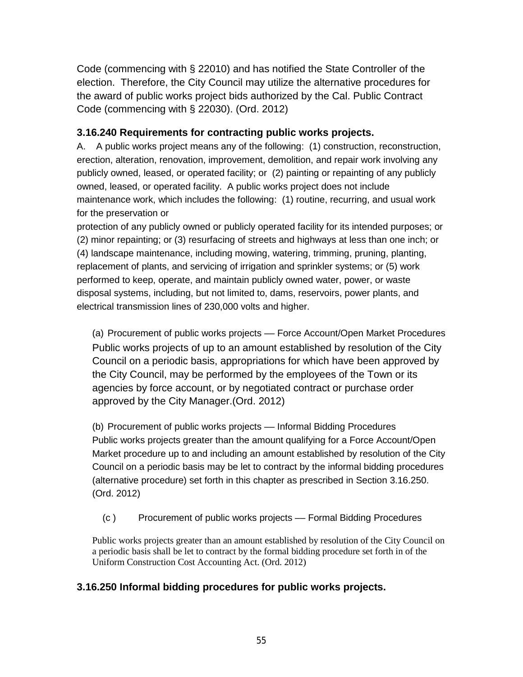Code (commencing with § 22010) and has notified the State Controller of the election. Therefore, the City Council may utilize the alternative procedures for the award of public works project bids authorized by the Cal. Public Contract Code (commencing with § 22030). (Ord. 2012)

#### **3.16.240 Requirements for contracting public works projects.**

A. A public works project means any of the following: (1) construction, reconstruction, erection, alteration, renovation, improvement, demolition, and repair work involving any publicly owned, leased, or operated facility; or (2) painting or repainting of any publicly owned, leased, or operated facility. A public works project does not include maintenance work, which includes the following: (1) routine, recurring, and usual work for the preservation or

protection of any publicly owned or publicly operated facility for its intended purposes; or (2) minor repainting; or (3) resurfacing of streets and highways at less than one inch; or (4) landscape maintenance, including mowing, watering, trimming, pruning, planting, replacement of plants, and servicing of irrigation and sprinkler systems; or (5) work performed to keep, operate, and maintain publicly owned water, power, or waste disposal systems, including, but not limited to, dams, reservoirs, power plants, and electrical transmission lines of 230,000 volts and higher.

(a) Procurement of public works projects - Force Account/Open Market Procedures Public works projects of up to an amount established by resolution of the City Council on a periodic basis, appropriations for which have been approved by the City Council, may be performed by the employees of the Town or its agencies by force account, or by negotiated contract or purchase order approved by the City Manager.(Ord. 2012)

(b) Procurement of public works projects –– Informal Bidding Procedures Public works projects greater than the amount qualifying for a Force Account/Open Market procedure up to and including an amount established by resolution of the City Council on a periodic basis may be let to contract by the informal bidding procedures (alternative procedure) set forth in this chapter as prescribed in Section 3.16.250. (Ord. 2012)

(c ) Procurement of public works projects –– Formal Bidding Procedures

Public works projects greater than an amount established by resolution of the City Council on a periodic basis shall be let to contract by the formal bidding procedure set forth in of the Uniform Construction Cost Accounting Act. (Ord. 2012)

#### **3.16.250 Informal bidding procedures for public works projects.**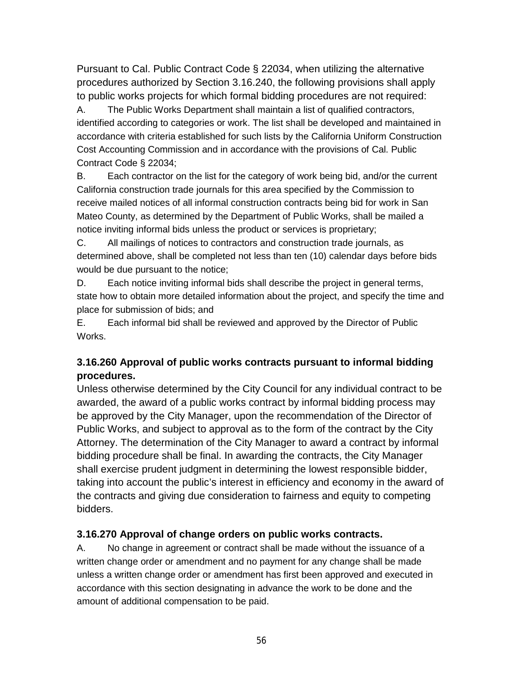Pursuant to Cal. Public Contract Code § 22034, when utilizing the alternative procedures authorized by Section 3.16.240, the following provisions shall apply to public works projects for which formal bidding procedures are not required:

A. The Public Works Department shall maintain a list of qualified contractors, identified according to categories or work. The list shall be developed and maintained in accordance with criteria established for such lists by the California Uniform Construction Cost Accounting Commission and in accordance with the provisions of Cal. Public Contract Code § 22034;

B. Each contractor on the list for the category of work being bid, and/or the current California construction trade journals for this area specified by the Commission to receive mailed notices of all informal construction contracts being bid for work in San Mateo County, as determined by the Department of Public Works, shall be mailed a notice inviting informal bids unless the product or services is proprietary;

C. All mailings of notices to contractors and construction trade journals, as determined above, shall be completed not less than ten (10) calendar days before bids would be due pursuant to the notice;

D. Each notice inviting informal bids shall describe the project in general terms, state how to obtain more detailed information about the project, and specify the time and place for submission of bids; and

E. Each informal bid shall be reviewed and approved by the Director of Public Works.

#### **3.16.260 Approval of public works contracts pursuant to informal bidding procedures.**

Unless otherwise determined by the City Council for any individual contract to be awarded, the award of a public works contract by informal bidding process may be approved by the City Manager, upon the recommendation of the Director of Public Works, and subject to approval as to the form of the contract by the City Attorney. The determination of the City Manager to award a contract by informal bidding procedure shall be final. In awarding the contracts, the City Manager shall exercise prudent judgment in determining the lowest responsible bidder, taking into account the public's interest in efficiency and economy in the award of the contracts and giving due consideration to fairness and equity to competing bidders.

#### **3.16.270 Approval of change orders on public works contracts.**

A. No change in agreement or contract shall be made without the issuance of a written change order or amendment and no payment for any change shall be made unless a written change order or amendment has first been approved and executed in accordance with this section designating in advance the work to be done and the amount of additional compensation to be paid.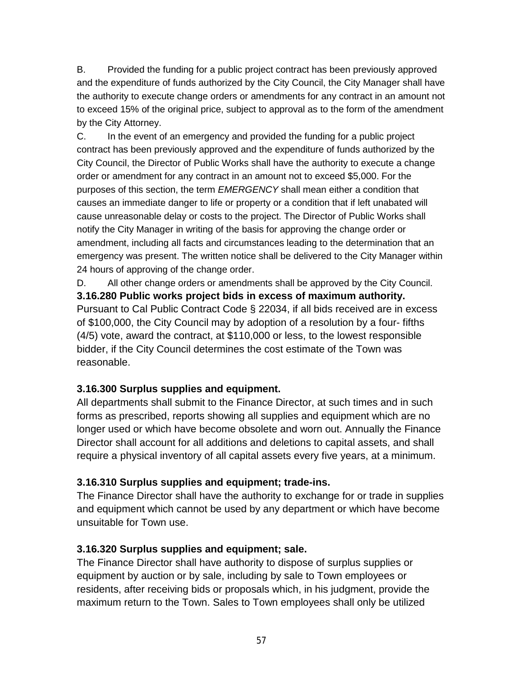B. Provided the funding for a public project contract has been previously approved and the expenditure of funds authorized by the City Council, the City Manager shall have the authority to execute change orders or amendments for any contract in an amount not to exceed 15% of the original price, subject to approval as to the form of the amendment by the City Attorney.

C. In the event of an emergency and provided the funding for a public project contract has been previously approved and the expenditure of funds authorized by the City Council, the Director of Public Works shall have the authority to execute a change order or amendment for any contract in an amount not to exceed \$5,000. For the purposes of this section, the term *EMERGENCY* shall mean either a condition that causes an immediate danger to life or property or a condition that if left unabated will cause unreasonable delay or costs to the project. The Director of Public Works shall notify the City Manager in writing of the basis for approving the change order or amendment, including all facts and circumstances leading to the determination that an emergency was present. The written notice shall be delivered to the City Manager within 24 hours of approving of the change order.

D. All other change orders or amendments shall be approved by the City Council. **3.16.280 Public works project bids in excess of maximum authority.** Pursuant to Cal Public Contract Code § 22034, if all bids received are in excess of \$100,000, the City Council may by adoption of a resolution by a four- fifths (4/5) vote, award the contract, at \$110,000 or less, to the lowest responsible bidder, if the City Council determines the cost estimate of the Town was reasonable.

#### **[3.16.300 Surplus supplies and equipment.](javascript:void(0))**

All departments shall submit to the Finance Director, at such times and in such forms as prescribed, reports showing all supplies and equipment which are no longer used or which have become obsolete and worn out. Annually the Finance Director shall account for all additions and deletions to capital assets, and shall require a physical inventory of all capital assets every five years, at a minimum.

#### **[3.16.310 Surplus supplies and equipment; trade-ins.](javascript:void(0))**

The Finance Director shall have the authority to exchange for or trade in supplies and equipment which cannot be used by any department or which have become unsuitable for Town use.

#### **[3.16.320 Surplus supplies and equipment; sale.](javascript:void(0))**

The Finance Director shall have authority to dispose of surplus supplies or equipment by auction or by sale, including by sale to Town employees or residents, after receiving bids or proposals which, in his judgment, provide the maximum return to the Town. Sales to Town employees shall only be utilized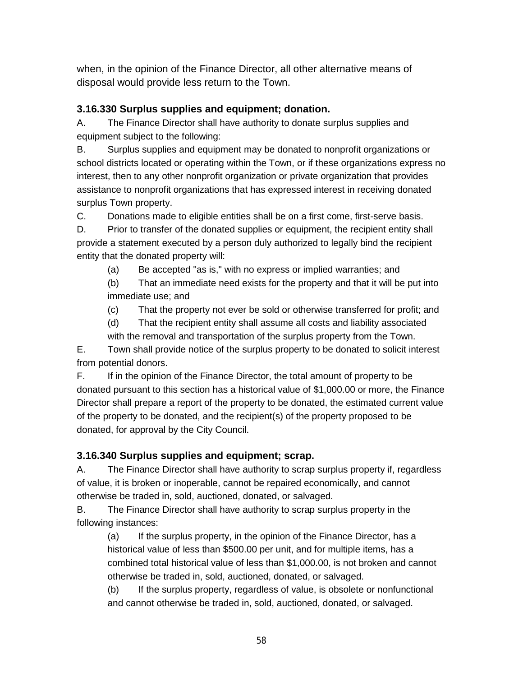when, in the opinion of the Finance Director, all other alternative means of disposal would provide less return to the Town.

#### **[3.16.330 Surplus supplies and equipment; donation.](javascript:void(0))**

A. The Finance Director shall have authority to donate surplus supplies and equipment subject to the following:

B. Surplus supplies and equipment may be donated to nonprofit organizations or school districts located or operating within the Town, or if these organizations express no interest, then to any other nonprofit organization or private organization that provides assistance to nonprofit organizations that has expressed interest in receiving donated surplus Town property.

C. Donations made to eligible entities shall be on a first come, first-serve basis.

D. Prior to transfer of the donated supplies or equipment, the recipient entity shall provide a statement executed by a person duly authorized to legally bind the recipient entity that the donated property will:

(a) Be accepted "as is," with no express or implied warranties; and

(b) That an immediate need exists for the property and that it will be put into immediate use; and

(c) That the property not ever be sold or otherwise transferred for profit; and

(d) That the recipient entity shall assume all costs and liability associated

with the removal and transportation of the surplus property from the Town. E. Town shall provide notice of the surplus property to be donated to solicit interest from potential donors.

F. If in the opinion of the Finance Director, the total amount of property to be donated pursuant to this section has a historical value of \$1,000.00 or more, the Finance Director shall prepare a report of the property to be donated, the estimated current value of the property to be donated, and the recipient(s) of the property proposed to be donated, for approval by the City Council.

#### **[3.16.340 Surplus supplies and equipment; scrap.](javascript:void(0))**

A. The Finance Director shall have authority to scrap surplus property if, regardless of value, it is broken or inoperable, cannot be repaired economically, and cannot otherwise be traded in, sold, auctioned, donated, or salvaged.

B. The Finance Director shall have authority to scrap surplus property in the following instances:

(a) If the surplus property, in the opinion of the Finance Director, has a historical value of less than \$500.00 per unit, and for multiple items, has a combined total historical value of less than \$1,000.00, is not broken and cannot otherwise be traded in, sold, auctioned, donated, or salvaged.

(b) If the surplus property, regardless of value, is obsolete or nonfunctional and cannot otherwise be traded in, sold, auctioned, donated, or salvaged.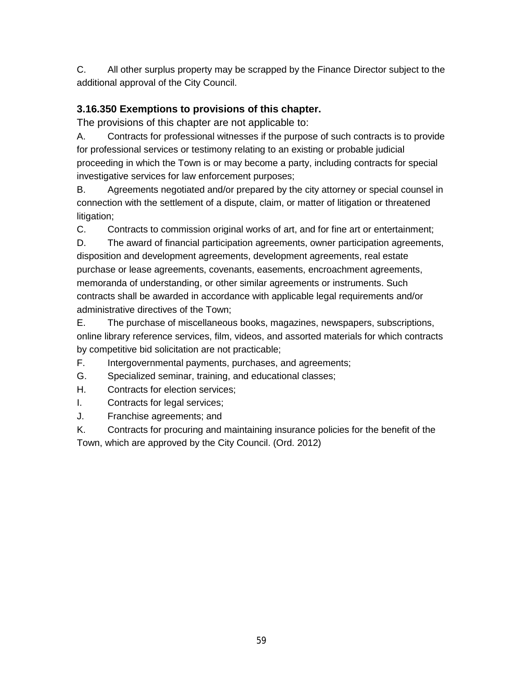C. All other surplus property may be scrapped by the Finance Director subject to the additional approval of the City Council.

#### **3.16.350 Exemptions to provisions of this chapter.**

The provisions of this chapter are not applicable to:

A. Contracts for professional witnesses if the purpose of such contracts is to provide for professional services or testimony relating to an existing or probable judicial proceeding in which the Town is or may become a party, including contracts for special investigative services for law enforcement purposes;

B. Agreements negotiated and/or prepared by the city attorney or special counsel in connection with the settlement of a dispute, claim, or matter of litigation or threatened litigation;

C. Contracts to commission original works of art, and for fine art or entertainment;

D. The award of financial participation agreements, owner participation agreements, disposition and development agreements, development agreements, real estate purchase or lease agreements, covenants, easements, encroachment agreements, memoranda of understanding, or other similar agreements or instruments. Such contracts shall be awarded in accordance with applicable legal requirements and/or administrative directives of the Town;

E. The purchase of miscellaneous books, magazines, newspapers, subscriptions, online library reference services, film, videos, and assorted materials for which contracts by competitive bid solicitation are not practicable;

F. Intergovernmental payments, purchases, and agreements;

- G. Specialized seminar, training, and educational classes;
- H. Contracts for election services;
- I. Contracts for legal services;
- J. Franchise agreements; and

K. Contracts for procuring and maintaining insurance policies for the benefit of the Town, which are approved by the City Council. (Ord. 2012)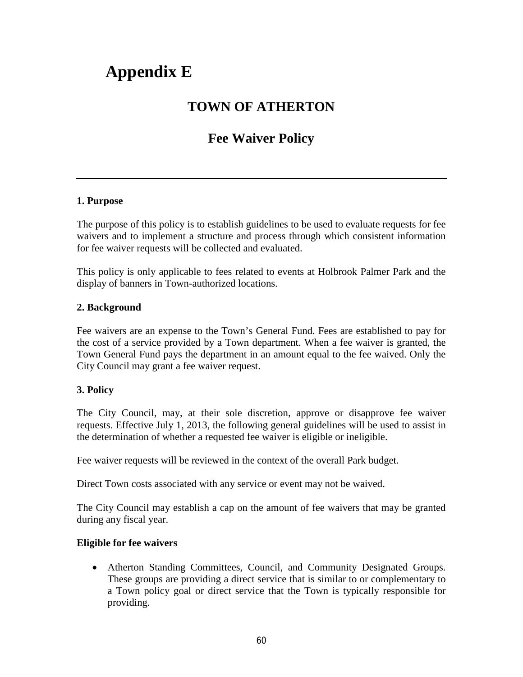## **Appendix E**

### **TOWN OF ATHERTON**

### **Fee Waiver Policy**

#### **1. Purpose**

The purpose of this policy is to establish guidelines to be used to evaluate requests for fee waivers and to implement a structure and process through which consistent information for fee waiver requests will be collected and evaluated.

This policy is only applicable to fees related to events at Holbrook Palmer Park and the display of banners in Town-authorized locations.

#### **2. Background**

Fee waivers are an expense to the Town's General Fund. Fees are established to pay for the cost of a service provided by a Town department. When a fee waiver is granted, the Town General Fund pays the department in an amount equal to the fee waived. Only the City Council may grant a fee waiver request.

#### **3. Policy**

The City Council, may, at their sole discretion, approve or disapprove fee waiver requests. Effective July 1, 2013, the following general guidelines will be used to assist in the determination of whether a requested fee waiver is eligible or ineligible.

Fee waiver requests will be reviewed in the context of the overall Park budget.

Direct Town costs associated with any service or event may not be waived.

The City Council may establish a cap on the amount of fee waivers that may be granted during any fiscal year.

#### **Eligible for fee waivers**

• Atherton Standing Committees, Council, and Community Designated Groups. These groups are providing a direct service that is similar to or complementary to a Town policy goal or direct service that the Town is typically responsible for providing.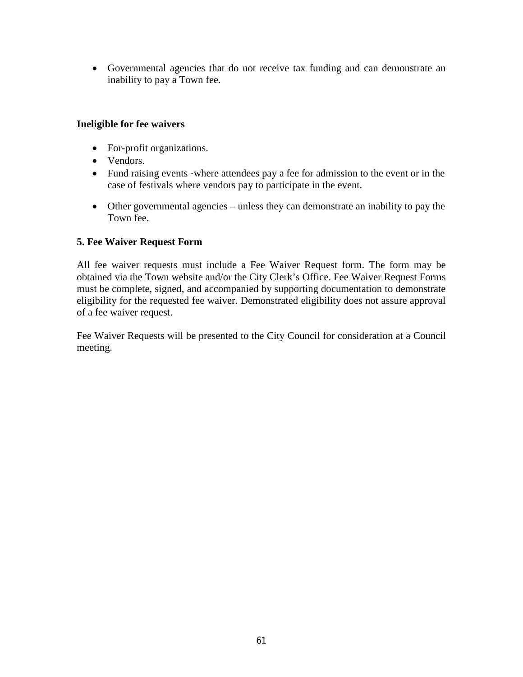• Governmental agencies that do not receive tax funding and can demonstrate an inability to pay a Town fee.

#### **Ineligible for fee waivers**

- For-profit organizations.
- Vendors.
- Fund raising events -where attendees pay a fee for admission to the event or in the case of festivals where vendors pay to participate in the event.
- Other governmental agencies unless they can demonstrate an inability to pay the Town fee.

#### **5. Fee Waiver Request Form**

All fee waiver requests must include a Fee Waiver Request form. The form may be obtained via the Town website and/or the City Clerk's Office. Fee Waiver Request Forms must be complete, signed, and accompanied by supporting documentation to demonstrate eligibility for the requested fee waiver. Demonstrated eligibility does not assure approval of a fee waiver request.

Fee Waiver Requests will be presented to the City Council for consideration at a Council meeting.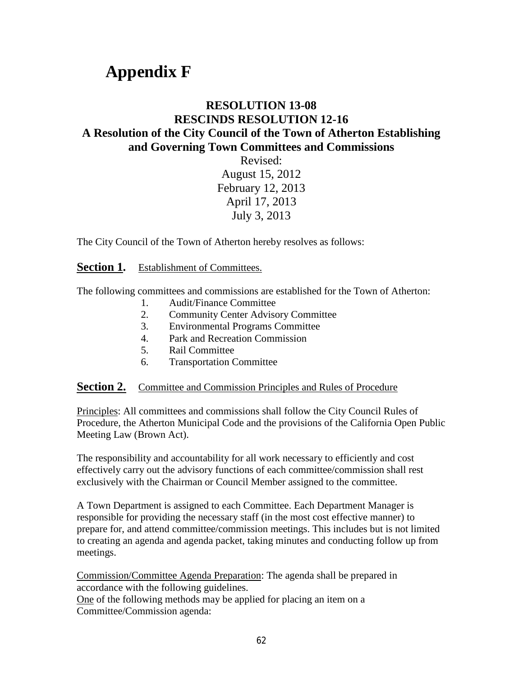## **Appendix F**

#### **RESOLUTION 13-08 RESCINDS RESOLUTION 12-16 A Resolution of the City Council of the Town of Atherton Establishing and Governing Town Committees and Commissions**

Revised: August 15, 2012 February 12, 2013 April 17, 2013 July 3, 2013

The City Council of the Town of Atherton hereby resolves as follows:

**Section 1.** Establishment of Committees.

The following committees and commissions are established for the Town of Atherton:

- 1. Audit/Finance Committee
- 2. Community Center Advisory Committee
- 3. Environmental Programs Committee
- 4. Park and Recreation Commission
- 5. Rail Committee
- 6. Transportation Committee

#### **Section 2.** Committee and Commission Principles and Rules of Procedure

Principles: All committees and commissions shall follow the City Council Rules of Procedure, the Atherton Municipal Code and the provisions of the California Open Public Meeting Law (Brown Act).

The responsibility and accountability for all work necessary to efficiently and cost effectively carry out the advisory functions of each committee/commission shall rest exclusively with the Chairman or Council Member assigned to the committee.

A Town Department is assigned to each Committee. Each Department Manager is responsible for providing the necessary staff (in the most cost effective manner) to prepare for, and attend committee/commission meetings. This includes but is not limited to creating an agenda and agenda packet, taking minutes and conducting follow up from meetings.

Commission/Committee Agenda Preparation: The agenda shall be prepared in accordance with the following guidelines. One of the following methods may be applied for placing an item on a Committee/Commission agenda: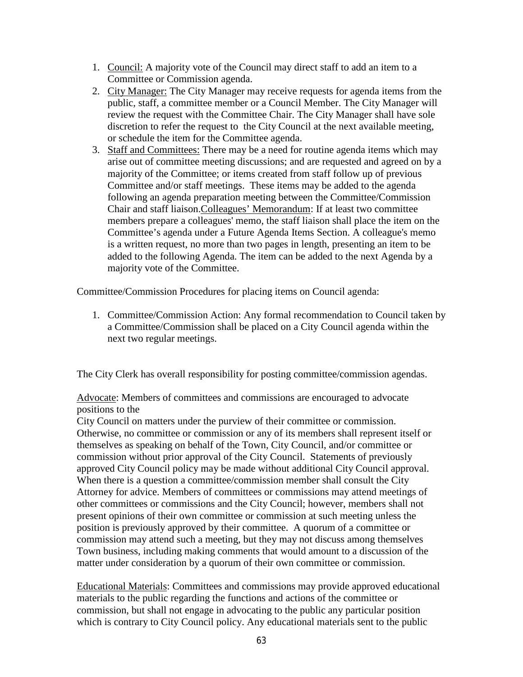- 1. Council: A majority vote of the Council may direct staff to add an item to a Committee or Commission agenda.
- 2. City Manager: The City Manager may receive requests for agenda items from the public, staff, a committee member or a Council Member. The City Manager will review the request with the Committee Chair. The City Manager shall have sole discretion to refer the request to the City Council at the next available meeting, or schedule the item for the Committee agenda.
- 3. Staff and Committees: There may be a need for routine agenda items which may arise out of committee meeting discussions; and are requested and agreed on by a majority of the Committee; or items created from staff follow up of previous Committee and/or staff meetings. These items may be added to the agenda following an agenda preparation meeting between the Committee/Commission Chair and staff liaison.Colleagues' Memorandum: If at least two committee members prepare a colleagues' memo, the staff liaison shall place the item on the Committee's agenda under a Future Agenda Items Section. A colleague's memo is a written request, no more than two pages in length, presenting an item to be added to the following Agenda. The item can be added to the next Agenda by a majority vote of the Committee.

Committee/Commission Procedures for placing items on Council agenda:

1. Committee/Commission Action: Any formal recommendation to Council taken by a Committee/Commission shall be placed on a City Council agenda within the next two regular meetings.

The City Clerk has overall responsibility for posting committee/commission agendas.

Advocate: Members of committees and commissions are encouraged to advocate positions to the

City Council on matters under the purview of their committee or commission. Otherwise, no committee or commission or any of its members shall represent itself or themselves as speaking on behalf of the Town, City Council, and/or committee or commission without prior approval of the City Council. Statements of previously approved City Council policy may be made without additional City Council approval. When there is a question a committee/commission member shall consult the City Attorney for advice. Members of committees or commissions may attend meetings of other committees or commissions and the City Council; however, members shall not present opinions of their own committee or commission at such meeting unless the position is previously approved by their committee. A quorum of a committee or commission may attend such a meeting, but they may not discuss among themselves Town business, including making comments that would amount to a discussion of the matter under consideration by a quorum of their own committee or commission.

Educational Materials: Committees and commissions may provide approved educational materials to the public regarding the functions and actions of the committee or commission, but shall not engage in advocating to the public any particular position which is contrary to City Council policy. Any educational materials sent to the public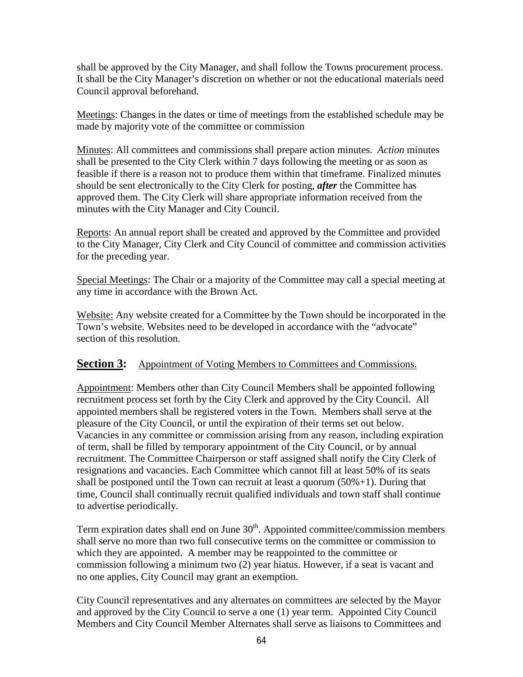shall be approved by the City Manager, and shall follow the Towns procurement process. It shall be the City Manager's discretion on whether or not the educational materials need Council approval beforehand.

Meetings: Changes in the dates or time of meetings from the established schedule may be made by majority vote of the committee or commission

Minutes: All committees and commissions shall prepare action minutes. *Action* minutes shall be presented to the City Clerk within 7 days following the meeting or as soon as feasible if there is a reason not to produce them within that timeframe. Finalized minutes should be sent electronically to the City Clerk for posting, *after* the Committee has approved them. The City Clerk will share appropriate information received from the minutes with the City Manager and City Council.

Reports: An annual report shall be created and approved by the Committee and provided to the City Manager, City Clerk and City Council of committee and commission activities for the preceding year.

Special Meetings: The Chair or a majority of the Committee may call a special meeting at any time in accordance with the Brown Act.

Website: Any website created for a Committee by the Town should be incorporated in the Town's website. Websites need to be developed in accordance with the "advocate" section of this resolution.

#### **Section 3:** Appointment of Voting Members to Committees and Commissions.

Appointment: Members other than City Council Members shall be appointed following recruitment process set forth by the City Clerk and approved by the City Council. All appointed members shall be registered voters in the Town. Members shall serve at the pleasure of the City Council, or until the expiration of their terms set out below. Vacancies in any committee or commission arising from any reason, including expiration of term, shall be filled by temporary appointment of the City Council, or by annual recruitment. The Committee Chairperson or staff assigned shall notify the City Clerk of resignations and vacancies. Each Committee which cannot fill at least 50% of its seats shall be postponed until the Town can recruit at least a quorum  $(50\% + 1)$ . During that time, Council shall continually recruit qualified individuals and town staff shall continue to advertise periodically.

Term expiration dates shall end on June  $30<sup>th</sup>$ . Appointed committee/commission members shall serve no more than two full consecutive terms on the committee or commission to which they are appointed. A member may be reappointed to the committee or commission following a minimum two (2) year hiatus. However, if a seat is vacant and no one applies, City Council may grant an exemption.

City Council representatives and any alternates on committees are selected by the Mayor and approved by the City Council to serve a one (1) year term. Appointed City Council Members and City Council Member Alternates shall serve as liaisons to Committees and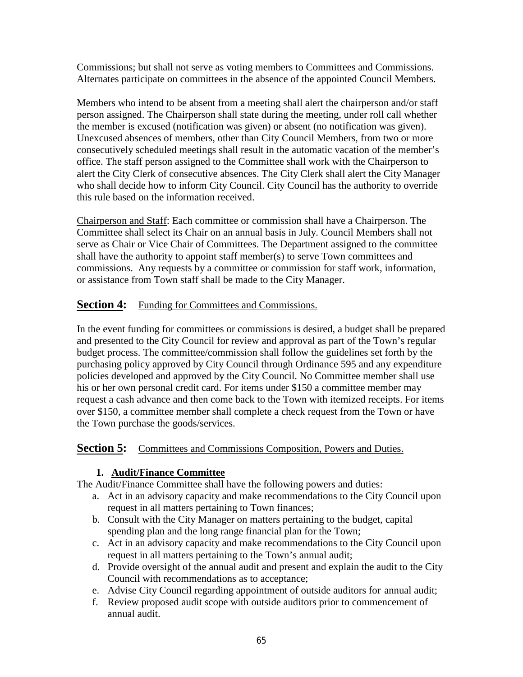Commissions; but shall not serve as voting members to Committees and Commissions. Alternates participate on committees in the absence of the appointed Council Members.

Members who intend to be absent from a meeting shall alert the chairperson and/or staff person assigned. The Chairperson shall state during the meeting, under roll call whether the member is excused (notification was given) or absent (no notification was given). Unexcused absences of members, other than City Council Members, from two or more consecutively scheduled meetings shall result in the automatic vacation of the member's office. The staff person assigned to the Committee shall work with the Chairperson to alert the City Clerk of consecutive absences. The City Clerk shall alert the City Manager who shall decide how to inform City Council. City Council has the authority to override this rule based on the information received.

Chairperson and Staff: Each committee or commission shall have a Chairperson. The Committee shall select its Chair on an annual basis in July. Council Members shall not serve as Chair or Vice Chair of Committees. The Department assigned to the committee shall have the authority to appoint staff member(s) to serve Town committees and commissions. Any requests by a committee or commission for staff work, information, or assistance from Town staff shall be made to the City Manager.

#### **Section 4:** Funding for Committees and Commissions.

In the event funding for committees or commissions is desired, a budget shall be prepared and presented to the City Council for review and approval as part of the Town's regular budget process. The committee/commission shall follow the guidelines set forth by the purchasing policy approved by City Council through Ordinance 595 and any expenditure policies developed and approved by the City Council. No Committee member shall use his or her own personal credit card. For items under \$150 a committee member may request a cash advance and then come back to the Town with itemized receipts. For items over \$150, a committee member shall complete a check request from the Town or have the Town purchase the goods/services.

#### **Section 5:** Committees and Commissions Composition, Powers and Duties.

#### **1. Audit/Finance Committee**

The Audit/Finance Committee shall have the following powers and duties:

- a. Act in an advisory capacity and make recommendations to the City Council upon request in all matters pertaining to Town finances;
- b. Consult with the City Manager on matters pertaining to the budget, capital spending plan and the long range financial plan for the Town;
- c. Act in an advisory capacity and make recommendations to the City Council upon request in all matters pertaining to the Town's annual audit;
- d. Provide oversight of the annual audit and present and explain the audit to the City Council with recommendations as to acceptance;
- e. Advise City Council regarding appointment of outside auditors for annual audit;
- f. Review proposed audit scope with outside auditors prior to commencement of annual audit.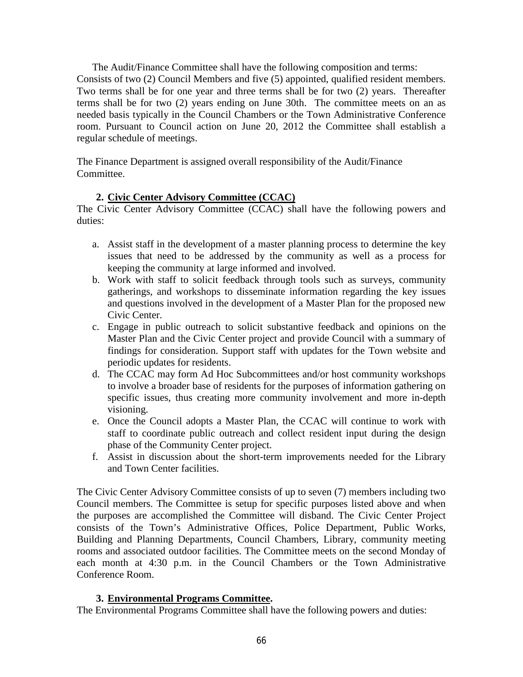The Audit/Finance Committee shall have the following composition and terms:

Consists of two (2) Council Members and five (5) appointed, qualified resident members. Two terms shall be for one year and three terms shall be for two (2) years. Thereafter terms shall be for two (2) years ending on June 30th. The committee meets on an as needed basis typically in the Council Chambers or the Town Administrative Conference room. Pursuant to Council action on June 20, 2012 the Committee shall establish a regular schedule of meetings.

The Finance Department is assigned overall responsibility of the Audit/Finance Committee.

#### **2. Civic Center Advisory Committee (CCAC)**

The Civic Center Advisory Committee (CCAC) shall have the following powers and duties:

- a. Assist staff in the development of a master planning process to determine the key issues that need to be addressed by the community as well as a process for keeping the community at large informed and involved.
- b. Work with staff to solicit feedback through tools such as surveys, community gatherings, and workshops to disseminate information regarding the key issues and questions involved in the development of a Master Plan for the proposed new Civic Center.
- c. Engage in public outreach to solicit substantive feedback and opinions on the Master Plan and the Civic Center project and provide Council with a summary of findings for consideration. Support staff with updates for the Town website and periodic updates for residents.
- d. The CCAC may form Ad Hoc Subcommittees and/or host community workshops to involve a broader base of residents for the purposes of information gathering on specific issues, thus creating more community involvement and more in-depth visioning.
- e. Once the Council adopts a Master Plan, the CCAC will continue to work with staff to coordinate public outreach and collect resident input during the design phase of the Community Center project.
- f. Assist in discussion about the short-term improvements needed for the Library and Town Center facilities.

The Civic Center Advisory Committee consists of up to seven (7) members including two Council members. The Committee is setup for specific purposes listed above and when the purposes are accomplished the Committee will disband. The Civic Center Project consists of the Town's Administrative Offices, Police Department, Public Works, Building and Planning Departments, Council Chambers, Library, community meeting rooms and associated outdoor facilities. The Committee meets on the second Monday of each month at 4:30 p.m. in the Council Chambers or the Town Administrative Conference Room.

#### **3. Environmental Programs Committee.**

The Environmental Programs Committee shall have the following powers and duties: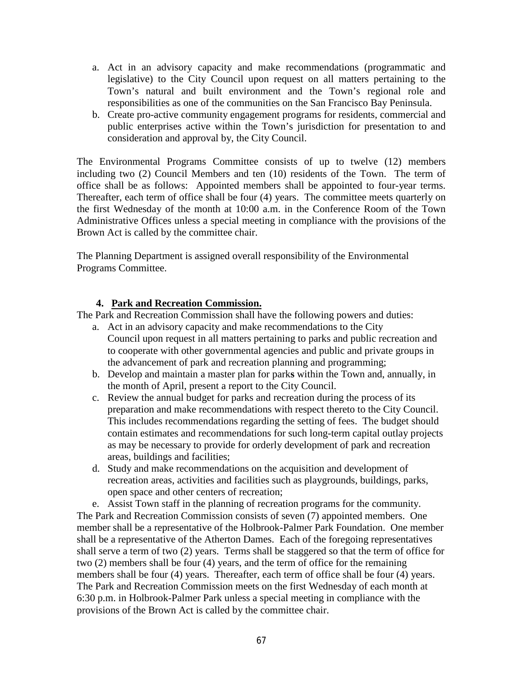- a. Act in an advisory capacity and make recommendations (programmatic and legislative) to the City Council upon request on all matters pertaining to the Town's natural and built environment and the Town's regional role and responsibilities as one of the communities on the San Francisco Bay Peninsula.
- b. Create pro-active community engagement programs for residents, commercial and public enterprises active within the Town's jurisdiction for presentation to and consideration and approval by, the City Council.

The Environmental Programs Committee consists of up to twelve (12) members including two (2) Council Members and ten (10) residents of the Town. The term of office shall be as follows: Appointed members shall be appointed to four-year terms. Thereafter, each term of office shall be four (4) years. The committee meets quarterly on the first Wednesday of the month at 10:00 a.m. in the Conference Room of the Town Administrative Offices unless a special meeting in compliance with the provisions of the Brown Act is called by the committee chair.

The Planning Department is assigned overall responsibility of the Environmental Programs Committee.

#### **4. Park and Recreation Commission.**

The Park and Recreation Commission shall have the following powers and duties:

- a. Act in an advisory capacity and make recommendations to the City Council upon request in all matters pertaining to parks and public recreation and to cooperate with other governmental agencies and public and private groups in the advancement of park and recreation planning and programming;
- b. Develop and maintain a master plan for park**s** within the Town and, annually, in the month of April, present a report to the City Council.
- c. Review the annual budget for parks and recreation during the process of its preparation and make recommendations with respect thereto to the City Council. This includes recommendations regarding the setting of fees.The budget should contain estimates and recommendations for such long-term capital outlay projects as may be necessary to provide for orderly development of park and recreation areas, buildings and facilities;
- d. Study and make recommendations on the acquisition and development of recreation areas, activities and facilities such as playgrounds, buildings, parks, open space and other centers of recreation;
- e. Assist Town staff in the planning of recreation programs for the community.

The Park and Recreation Commission consists of seven (7) appointed members. One member shall be a representative of the Holbrook-Palmer Park Foundation. One member shall be a representative of the Atherton Dames. Each of the foregoing representatives shall serve a term of two (2) years. Terms shall be staggered so that the term of office for two (2) members shall be four (4) years, and the term of office for the remaining members shall be four (4) years. Thereafter, each term of office shall be four (4) years. The Park and Recreation Commission meets on the first Wednesday of each month at 6:30 p.m. in Holbrook-Palmer Park unless a special meeting in compliance with the provisions of the Brown Act is called by the committee chair.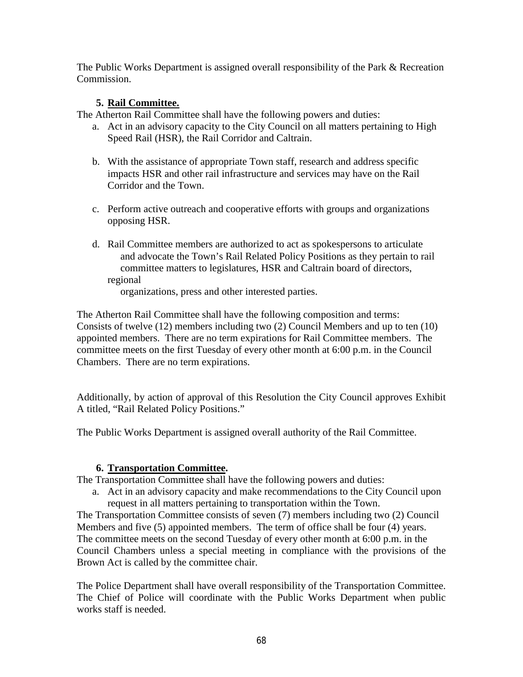The Public Works Department is assigned overall responsibility of the Park & Recreation Commission.

#### **5. Rail Committee.**

The Atherton Rail Committee shall have the following powers and duties:

- a. Act in an advisory capacity to the City Council on all matters pertaining to High Speed Rail (HSR), the Rail Corridor and Caltrain.
- b. With the assistance of appropriate Town staff, research and address specific impacts HSR and other rail infrastructure and services may have on the Rail Corridor and the Town.
- c. Perform active outreach and cooperative efforts with groups and organizations opposing HSR.
- d. Rail Committee members are authorized to act as spokespersons to articulate and advocate the Town's Rail Related Policy Positions as they pertain to rail committee matters to legislatures, HSR and Caltrain board of directors, regional

organizations, press and other interested parties.

The Atherton Rail Committee shall have the following composition and terms: Consists of twelve (12) members including two (2) Council Members and up to ten (10) appointed members. There are no term expirations for Rail Committee members. The committee meets on the first Tuesday of every other month at 6:00 p.m. in the Council Chambers. There are no term expirations.

Additionally, by action of approval of this Resolution the City Council approves Exhibit A titled, "Rail Related Policy Positions."

The Public Works Department is assigned overall authority of the Rail Committee.

#### **6. Transportation Committee.**

The Transportation Committee shall have the following powers and duties:

a. Act in an advisory capacity and make recommendations to the City Council upon request in all matters pertaining to transportation within the Town.

The Transportation Committee consists of seven (7) members including two (2) Council Members and five (5) appointed members. The term of office shall be four (4) years. The committee meets on the second Tuesday of every other month at 6:00 p.m. in the Council Chambers unless a special meeting in compliance with the provisions of the Brown Act is called by the committee chair.

The Police Department shall have overall responsibility of the Transportation Committee. The Chief of Police will coordinate with the Public Works Department when public works staff is needed.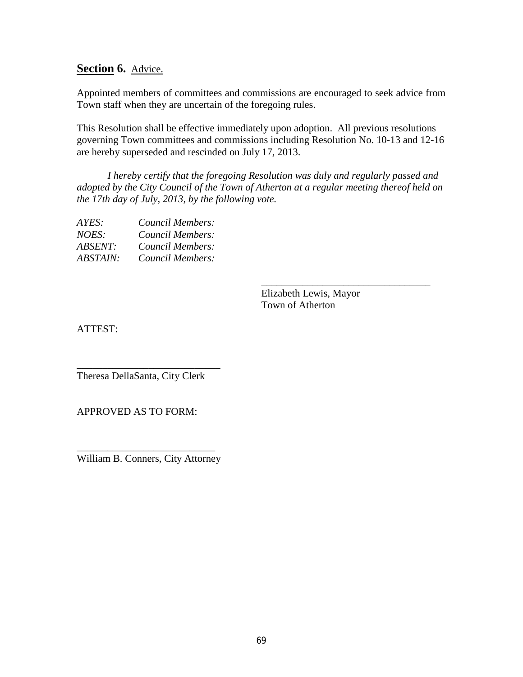#### **Section 6.** Advice.

Appointed members of committees and commissions are encouraged to seek advice from Town staff when they are uncertain of the foregoing rules.

This Resolution shall be effective immediately upon adoption. All previous resolutions governing Town committees and commissions including Resolution No. 10-13 and 12-16 are hereby superseded and rescinded on July 17, 2013.

*I hereby certify that the foregoing Resolution was duly and regularly passed and adopted by the City Council of the Town of Atherton at a regular meeting thereof held on the 17th day of July, 2013, by the following vote.*

| Council Members: |
|------------------|
| Council Members: |
| Council Members: |
| Council Members: |
|                  |

Elizabeth Lewis, Mayor Town of Atherton

\_\_\_\_\_\_\_\_\_\_\_\_\_\_\_\_\_\_\_\_\_\_\_\_\_\_\_\_\_\_\_\_\_

ATTEST:

\_\_\_\_\_\_\_\_\_\_\_\_\_\_\_\_\_\_\_\_\_\_\_\_\_\_\_\_ Theresa DellaSanta, City Clerk

APPROVED AS TO FORM:

\_\_\_\_\_\_\_\_\_\_\_\_\_\_\_\_\_\_\_\_\_\_\_\_\_\_\_ William B. Conners, City Attorney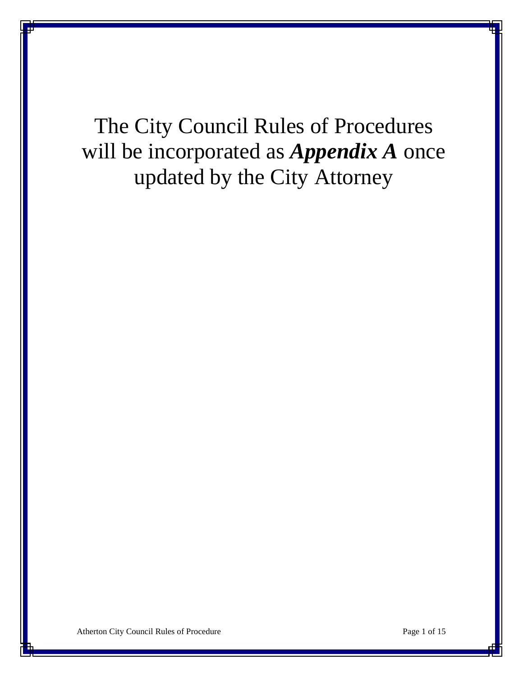# The City Council Rules of Procedures will be incorporated as *Appendix A* once updated by the City Attorney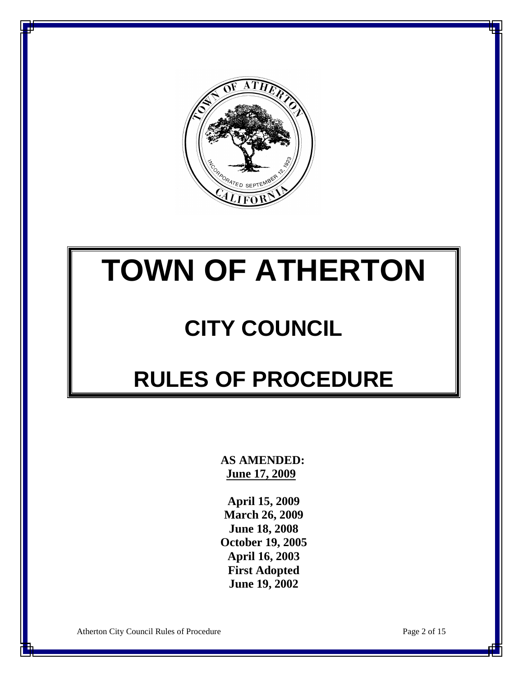

# **TOWN OF ATHERTON**

# **CITY COUNCIL**

# **RULES OF PROCEDURE**

 **AS AMENDED: June 17, 2009**

**April 15, 2009 March 26, 2009 June 18, 2008 October 19, 2005 April 16, 2003 First Adopted June 19, 2002**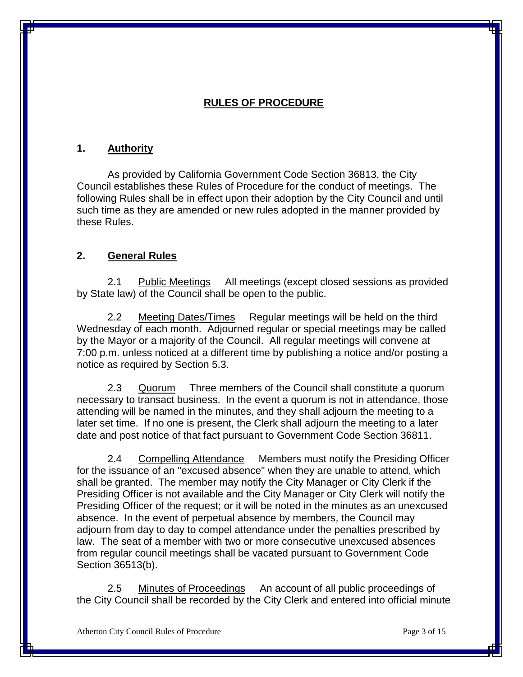#### **RULES OF PROCEDURE**

#### **1. Authority**

As provided by California Government Code Section 36813, the City Council establishes these Rules of Procedure for the conduct of meetings. The following Rules shall be in effect upon their adoption by the City Council and until such time as they are amended or new rules adopted in the manner provided by these Rules.

#### **2. General Rules**

2.1 Public Meetings All meetings (except closed sessions as provided by State law) of the Council shall be open to the public.

2.2 Meeting Dates/Times Regular meetings will be held on the third Wednesday of each month. Adjourned regular or special meetings may be called by the Mayor or a majority of the Council. All regular meetings will convene at 7:00 p.m. unless noticed at a different time by publishing a notice and/or posting a notice as required by Section 5.3.

2.3 Quorum Three members of the Council shall constitute a quorum necessary to transact business. In the event a quorum is not in attendance, those attending will be named in the minutes, and they shall adjourn the meeting to a later set time. If no one is present, the Clerk shall adjourn the meeting to a later date and post notice of that fact pursuant to Government Code Section 36811.

2.4 Compelling Attendance Members must notify the Presiding Officer for the issuance of an "excused absence" when they are unable to attend, which shall be granted. The member may notify the City Manager or City Clerk if the Presiding Officer is not available and the City Manager or City Clerk will notify the Presiding Officer of the request; or it will be noted in the minutes as an unexcused absence. In the event of perpetual absence by members, the Council may adjourn from day to day to compel attendance under the penalties prescribed by law. The seat of a member with two or more consecutive unexcused absences from regular council meetings shall be vacated pursuant to Government Code Section 36513(b).

2.5 Minutes of Proceedings An account of all public proceedings of the City Council shall be recorded by the City Clerk and entered into official minute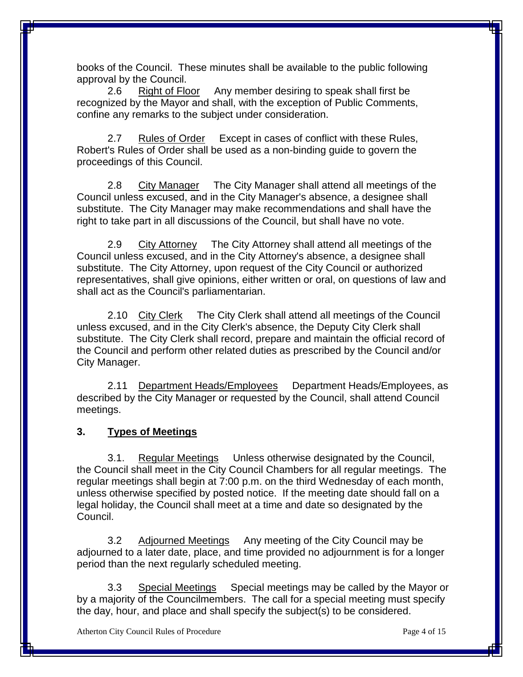books of the Council. These minutes shall be available to the public following approval by the Council.

2.6 Right of Floor Any member desiring to speak shall first be recognized by the Mayor and shall, with the exception of Public Comments, confine any remarks to the subject under consideration.

2.7 Rules of Order Except in cases of conflict with these Rules, Robert's Rules of Order shall be used as a non-binding guide to govern the proceedings of this Council.

2.8 City Manager The City Manager shall attend all meetings of the Council unless excused, and in the City Manager's absence, a designee shall substitute. The City Manager may make recommendations and shall have the right to take part in all discussions of the Council, but shall have no vote.

2.9 City Attorney The City Attorney shall attend all meetings of the Council unless excused, and in the City Attorney's absence, a designee shall substitute. The City Attorney, upon request of the City Council or authorized representatives, shall give opinions, either written or oral, on questions of law and shall act as the Council's parliamentarian.

2.10 City Clerk The City Clerk shall attend all meetings of the Council unless excused, and in the City Clerk's absence, the Deputy City Clerk shall substitute. The City Clerk shall record, prepare and maintain the official record of the Council and perform other related duties as prescribed by the Council and/or City Manager.

2.11 Department Heads/Employees Department Heads/Employees, as described by the City Manager or requested by the Council, shall attend Council meetings.

#### **3. Types of Meetings**

3.1. Regular Meetings Unless otherwise designated by the Council, the Council shall meet in the City Council Chambers for all regular meetings. The regular meetings shall begin at 7:00 p.m. on the third Wednesday of each month, unless otherwise specified by posted notice. If the meeting date should fall on a legal holiday, the Council shall meet at a time and date so designated by the Council.

3.2 Adjourned Meetings Any meeting of the City Council may be adjourned to a later date, place, and time provided no adjournment is for a longer period than the next regularly scheduled meeting.

3.3 Special Meetings Special meetings may be called by the Mayor or by a majority of the Councilmembers. The call for a special meeting must specify the day, hour, and place and shall specify the subject(s) to be considered.

Atherton City Council Rules of Procedure **Page 4 of 15** Page 4 of 15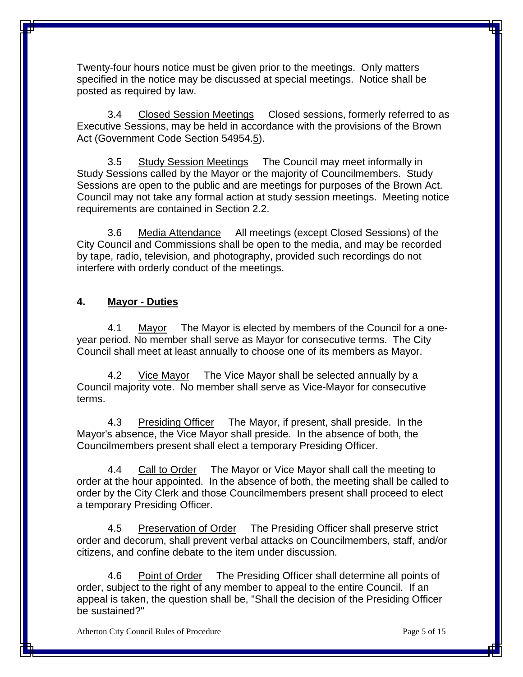Twenty-four hours notice must be given prior to the meetings. Only matters specified in the notice may be discussed at special meetings. Notice shall be posted as required by law.

3.4 Closed Session Meetings Closed sessions, formerly referred to as Executive Sessions, may be held in accordance with the provisions of the Brown Act (Government Code Section 54954.5).

3.5 Study Session Meetings The Council may meet informally in Study Sessions called by the Mayor or the majority of Councilmembers. Study Sessions are open to the public and are meetings for purposes of the Brown Act. Council may not take any formal action at study session meetings. Meeting notice requirements are contained in Section 2.2.

3.6 Media Attendance All meetings (except Closed Sessions) of the City Council and Commissions shall be open to the media, and may be recorded by tape, radio, television, and photography, provided such recordings do not interfere with orderly conduct of the meetings.

#### **4. Mayor - Duties**

4.1 Mayor The Mayor is elected by members of the Council for a oneyear period. No member shall serve as Mayor for consecutive terms. The City Council shall meet at least annually to choose one of its members as Mayor.

4.2 Vice Mayor The Vice Mayor shall be selected annually by a Council majority vote. No member shall serve as Vice-Mayor for consecutive terms.

4.3 Presiding Officer The Mayor, if present, shall preside. In the Mayor's absence, the Vice Mayor shall preside. In the absence of both, the Councilmembers present shall elect a temporary Presiding Officer.

4.4 Call to Order The Mayor or Vice Mayor shall call the meeting to order at the hour appointed. In the absence of both, the meeting shall be called to order by the City Clerk and those Councilmembers present shall proceed to elect a temporary Presiding Officer.

4.5 Preservation of Order The Presiding Officer shall preserve strict order and decorum, shall prevent verbal attacks on Councilmembers, staff, and/or citizens, and confine debate to the item under discussion.

4.6 Point of Order The Presiding Officer shall determine all points of order, subject to the right of any member to appeal to the entire Council. If an appeal is taken, the question shall be, "Shall the decision of the Presiding Officer be sustained?"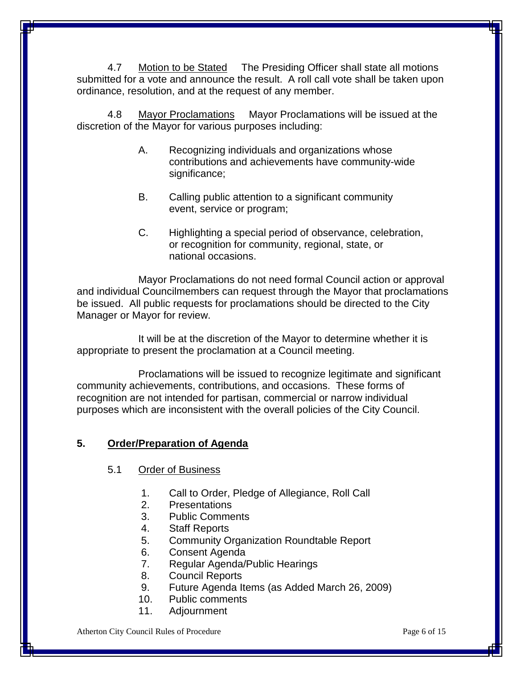4.7 Motion to be Stated The Presiding Officer shall state all motions submitted for a vote and announce the result. A roll call vote shall be taken upon ordinance, resolution, and at the request of any member.

4.8 Mayor Proclamations Mayor Proclamations will be issued at the discretion of the Mayor for various purposes including:

- A. Recognizing individuals and organizations whose contributions and achievements have community-wide significance;
- B. Calling public attention to a significant community event, service or program;
- C. Highlighting a special period of observance, celebration, or recognition for community, regional, state, or national occasions.

Mayor Proclamations do not need formal Council action or approval and individual Councilmembers can request through the Mayor that proclamations be issued. All public requests for proclamations should be directed to the City Manager or Mayor for review.

It will be at the discretion of the Mayor to determine whether it is appropriate to present the proclamation at a Council meeting.

Proclamations will be issued to recognize legitimate and significant community achievements, contributions, and occasions. These forms of recognition are not intended for partisan, commercial or narrow individual purposes which are inconsistent with the overall policies of the City Council.

#### **5. Order/Preparation of Agenda**

#### 5.1 Order of Business

- 1. Call to Order, Pledge of Allegiance, Roll Call
- 2. Presentations
- 3. Public Comments
- 4. Staff Reports
- 5. Community Organization Roundtable Report
- 6. Consent Agenda
- 7. Regular Agenda/Public Hearings
- 8. Council Reports
- 9. Future Agenda Items (as Added March 26, 2009)
- 10. Public comments
- 11. Adjournment

Atherton City Council Rules of Procedure **Page 6 of 15** Page 6 of 15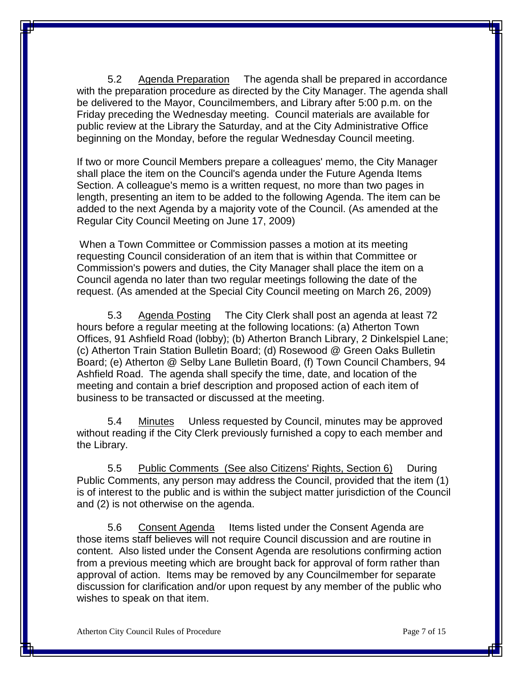5.2 Agenda Preparation The agenda shall be prepared in accordance with the preparation procedure as directed by the City Manager. The agenda shall be delivered to the Mayor, Councilmembers, and Library after 5:00 p.m. on the Friday preceding the Wednesday meeting. Council materials are available for public review at the Library the Saturday, and at the City Administrative Office beginning on the Monday, before the regular Wednesday Council meeting.

If two or more Council Members prepare a colleagues' memo, the City Manager shall place the item on the Council's agenda under the Future Agenda Items Section. A colleague's memo is a written request, no more than two pages in length, presenting an item to be added to the following Agenda. The item can be added to the next Agenda by a majority vote of the Council. (As amended at the Regular City Council Meeting on June 17, 2009)

When a Town Committee or Commission passes a motion at its meeting requesting Council consideration of an item that is within that Committee or Commission's powers and duties, the City Manager shall place the item on a Council agenda no later than two regular meetings following the date of the request. (As amended at the Special City Council meeting on March 26, 2009)

5.3 Agenda Posting The City Clerk shall post an agenda at least 72 hours before a regular meeting at the following locations: (a) Atherton Town Offices, 91 Ashfield Road (lobby); (b) Atherton Branch Library, 2 Dinkelspiel Lane; (c) Atherton Train Station Bulletin Board; (d) Rosewood @ Green Oaks Bulletin Board; (e) Atherton @ Selby Lane Bulletin Board, (f) Town Council Chambers, 94 Ashfield Road. The agenda shall specify the time, date, and location of the meeting and contain a brief description and proposed action of each item of business to be transacted or discussed at the meeting.

5.4 Minutes Unless requested by Council, minutes may be approved without reading if the City Clerk previously furnished a copy to each member and the Library.

5.5 Public Comments (See also Citizens' Rights, Section 6) During Public Comments, any person may address the Council, provided that the item (1) is of interest to the public and is within the subject matter jurisdiction of the Council and (2) is not otherwise on the agenda.

5.6 Consent Agenda Items listed under the Consent Agenda are those items staff believes will not require Council discussion and are routine in content. Also listed under the Consent Agenda are resolutions confirming action from a previous meeting which are brought back for approval of form rather than approval of action. Items may be removed by any Councilmember for separate discussion for clarification and/or upon request by any member of the public who wishes to speak on that item.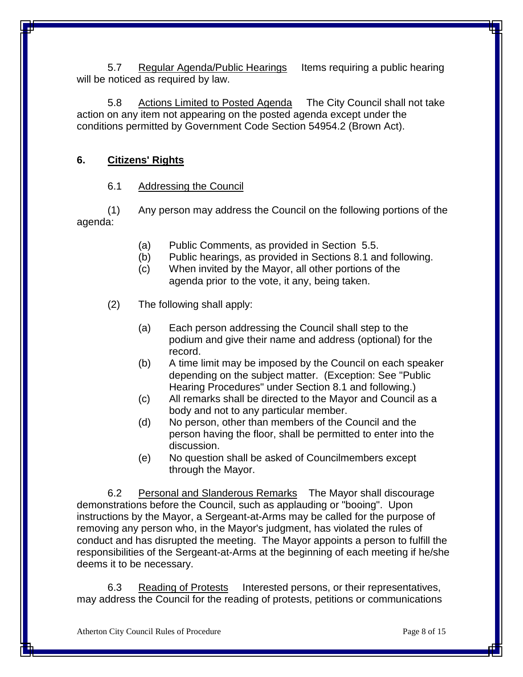5.7 Regular Agenda/Public Hearings Items requiring a public hearing will be noticed as required by law.

5.8 Actions Limited to Posted Agenda The City Council shall not take action on any item not appearing on the posted agenda except under the conditions permitted by Government Code Section 54954.2 (Brown Act).

#### **6. Citizens' Rights**

#### 6.1 Addressing the Council

(1) Any person may address the Council on the following portions of the agenda:

- (a) Public Comments, as provided in Section 5.5.
- (b) Public hearings, as provided in Sections 8.1 and following.
- (c) When invited by the Mayor, all other portions of the agenda prior to the vote, it any, being taken.
- (2) The following shall apply:
	- (a) Each person addressing the Council shall step to the podium and give their name and address (optional) for the record.
	- (b) A time limit may be imposed by the Council on each speaker depending on the subject matter. (Exception: See "Public Hearing Procedures" under Section 8.1 and following.)
	- (c) All remarks shall be directed to the Mayor and Council as a body and not to any particular member.
	- (d) No person, other than members of the Council and the person having the floor, shall be permitted to enter into the discussion.
	- (e) No question shall be asked of Councilmembers except through the Mayor.

6.2 Personal and Slanderous Remarks The Mayor shall discourage demonstrations before the Council, such as applauding or "booing". Upon instructions by the Mayor, a Sergeant-at-Arms may be called for the purpose of removing any person who, in the Mayor's judgment, has violated the rules of conduct and has disrupted the meeting. The Mayor appoints a person to fulfill the responsibilities of the Sergeant-at-Arms at the beginning of each meeting if he/she deems it to be necessary.

6.3 Reading of Protests Interested persons, or their representatives, may address the Council for the reading of protests, petitions or communications

Atherton City Council Rules of Procedure **Page 8 of 15** Page 8 of 15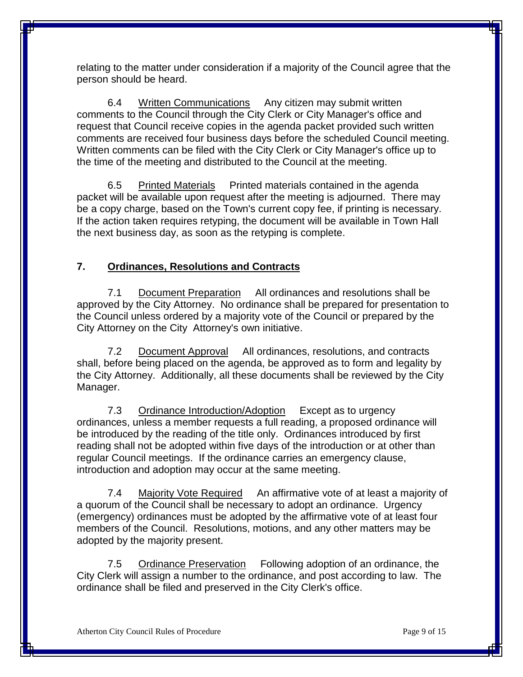relating to the matter under consideration if a majority of the Council agree that the person should be heard.

6.4 Written Communications Any citizen may submit written comments to the Council through the City Clerk or City Manager's office and request that Council receive copies in the agenda packet provided such written comments are received four business days before the scheduled Council meeting. Written comments can be filed with the City Clerk or City Manager's office up to the time of the meeting and distributed to the Council at the meeting.

6.5 Printed Materials Printed materials contained in the agenda packet will be available upon request after the meeting is adjourned. There may be a copy charge, based on the Town's current copy fee, if printing is necessary. If the action taken requires retyping, the document will be available in Town Hall the next business day, as soon as the retyping is complete.

#### **7. Ordinances, Resolutions and Contracts**

7.1 Document Preparation All ordinances and resolutions shall be approved by the City Attorney. No ordinance shall be prepared for presentation to the Council unless ordered by a majority vote of the Council or prepared by the City Attorney on the City Attorney's own initiative.

7.2 Document Approval All ordinances, resolutions, and contracts shall, before being placed on the agenda, be approved as to form and legality by the City Attorney. Additionally, all these documents shall be reviewed by the City Manager.

7.3 Ordinance Introduction/Adoption Except as to urgency ordinances, unless a member requests a full reading, a proposed ordinance will be introduced by the reading of the title only. Ordinances introduced by first reading shall not be adopted within five days of the introduction or at other than regular Council meetings. If the ordinance carries an emergency clause, introduction and adoption may occur at the same meeting.

7.4 Majority Vote Required An affirmative vote of at least a majority of a quorum of the Council shall be necessary to adopt an ordinance. Urgency (emergency) ordinances must be adopted by the affirmative vote of at least four members of the Council. Resolutions, motions, and any other matters may be adopted by the majority present.

7.5 Ordinance Preservation Following adoption of an ordinance, the City Clerk will assign a number to the ordinance, and post according to law. The ordinance shall be filed and preserved in the City Clerk's office.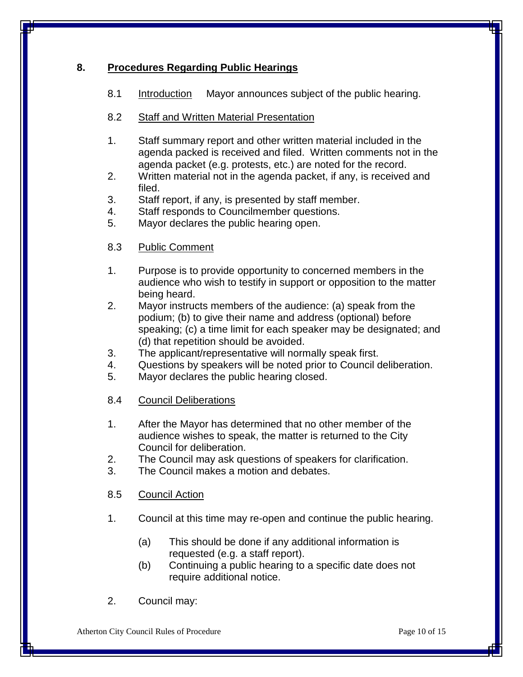#### **8. Procedures Regarding Public Hearings**

8.1 Introduction Mayor announces subject of the public hearing.

#### 8.2 Staff and Written Material Presentation

- 1. Staff summary report and other written material included in the agenda packed is received and filed. Written comments not in the agenda packet (e.g. protests, etc.) are noted for the record.
- 2. Written material not in the agenda packet, if any, is received and filed.
- 3. Staff report, if any, is presented by staff member.
- 4. Staff responds to Councilmember questions.
- 5. Mayor declares the public hearing open.
- 8.3 Public Comment
- 1. Purpose is to provide opportunity to concerned members in the audience who wish to testify in support or opposition to the matter being heard.
- 2. Mayor instructs members of the audience: (a) speak from the podium; (b) to give their name and address (optional) before speaking; (c) a time limit for each speaker may be designated; and (d) that repetition should be avoided.
- 3. The applicant/representative will normally speak first.
- 4. Questions by speakers will be noted prior to Council deliberation.
- 5. Mayor declares the public hearing closed.
- 8.4 Council Deliberations
- 1. After the Mayor has determined that no other member of the audience wishes to speak, the matter is returned to the City Council for deliberation.
- 2. The Council may ask questions of speakers for clarification.
- 3. The Council makes a motion and debates.

8.5 Council Action

- 1. Council at this time may re-open and continue the public hearing.
	- (a) This should be done if any additional information is requested (e.g. a staff report).
	- (b) Continuing a public hearing to a specific date does not require additional notice.
- 2. Council may: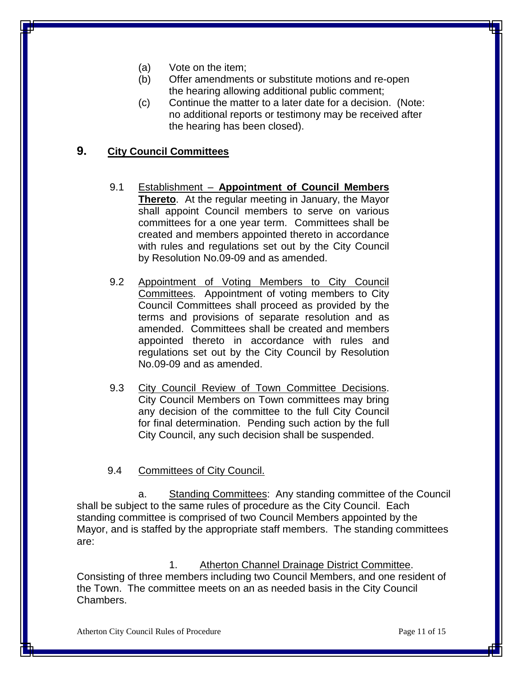- (a) Vote on the item;
- (b) Offer amendments or substitute motions and re-open the hearing allowing additional public comment;
- (c) Continue the matter to a later date for a decision. (Note: no additional reports or testimony may be received after the hearing has been closed).

#### **9. City Council Committees**

- 9.1 Establishment **Appointment of Council Members Thereto**. At the regular meeting in January, the Mayor shall appoint Council members to serve on various committees for a one year term. Committees shall be created and members appointed thereto in accordance with rules and regulations set out by the City Council by Resolution No.09-09 and as amended.
- 9.2 Appointment of Voting Members to City Council Committees. Appointment of voting members to City Council Committees shall proceed as provided by the terms and provisions of separate resolution and as amended. Committees shall be created and members appointed thereto in accordance with rules and regulations set out by the City Council by Resolution No.09-09 and as amended.
- 9.3 City Council Review of Town Committee Decisions. City Council Members on Town committees may bring any decision of the committee to the full City Council for final determination. Pending such action by the full City Council, any such decision shall be suspended.

#### 9.4 Committees of City Council.

a. Standing Committees: Any standing committee of the Council shall be subject to the same rules of procedure as the City Council. Each standing committee is comprised of two Council Members appointed by the Mayor, and is staffed by the appropriate staff members. The standing committees are:

1. Atherton Channel Drainage District Committee. Consisting of three members including two Council Members, and one resident of the Town. The committee meets on an as needed basis in the City Council Chambers.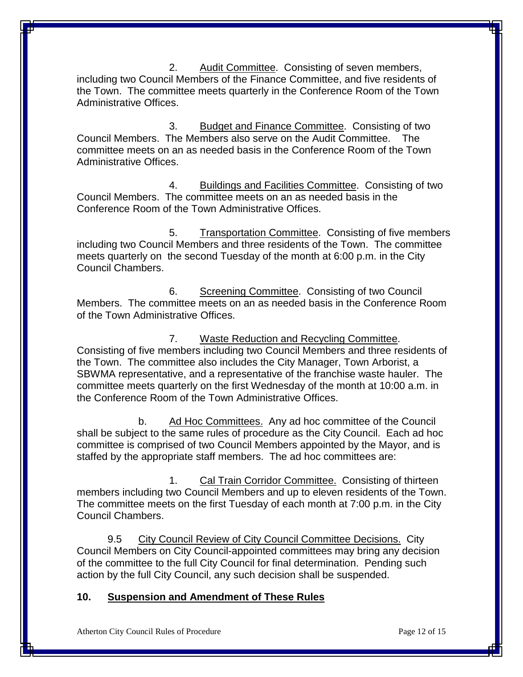2. Audit Committee. Consisting of seven members, including two Council Members of the Finance Committee, and five residents of the Town. The committee meets quarterly in the Conference Room of the Town Administrative Offices.

3. Budget and Finance Committee. Consisting of two Council Members. The Members also serve on the Audit Committee. committee meets on an as needed basis in the Conference Room of the Town Administrative Offices.

4. Buildings and Facilities Committee. Consisting of two Council Members. The committee meets on an as needed basis in the Conference Room of the Town Administrative Offices.

5. Transportation Committee. Consisting of five members including two Council Members and three residents of the Town. The committee meets quarterly on the second Tuesday of the month at 6:00 p.m. in the City Council Chambers.

6. Screening Committee. Consisting of two Council Members. The committee meets on an as needed basis in the Conference Room of the Town Administrative Offices.

7. Waste Reduction and Recycling Committee. Consisting of five members including two Council Members and three residents of the Town. The committee also includes the City Manager, Town Arborist, a SBWMA representative, and a representative of the franchise waste hauler. The committee meets quarterly on the first Wednesday of the month at 10:00 a.m. in the Conference Room of the Town Administrative Offices.

b. Ad Hoc Committees. Any ad hoc committee of the Council shall be subject to the same rules of procedure as the City Council. Each ad hoc committee is comprised of two Council Members appointed by the Mayor, and is staffed by the appropriate staff members. The ad hoc committees are:

1. Cal Train Corridor Committee. Consisting of thirteen members including two Council Members and up to eleven residents of the Town. The committee meets on the first Tuesday of each month at 7:00 p.m. in the City Council Chambers.

9.5 City Council Review of City Council Committee Decisions. City Council Members on City Council-appointed committees may bring any decision of the committee to the full City Council for final determination. Pending such action by the full City Council, any such decision shall be suspended.

#### **10. Suspension and Amendment of These Rules**

Atherton City Council Rules of Procedure **Page 12 of 15** Page 12 of 15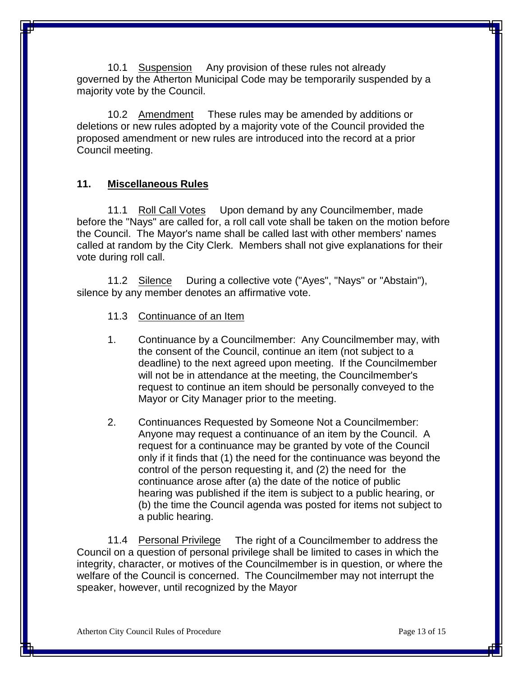10.1 Suspension Any provision of these rules not already governed by the Atherton Municipal Code may be temporarily suspended by a majority vote by the Council.

10.2 Amendment These rules may be amended by additions or deletions or new rules adopted by a majority vote of the Council provided the proposed amendment or new rules are introduced into the record at a prior Council meeting.

#### **11. Miscellaneous Rules**

11.1 Roll Call Votes Upon demand by any Councilmember, made before the "Nays" are called for, a roll call vote shall be taken on the motion before the Council. The Mayor's name shall be called last with other members' names called at random by the City Clerk. Members shall not give explanations for their vote during roll call.

11.2 Silence During a collective vote ("Ayes", "Nays" or "Abstain"), silence by any member denotes an affirmative vote.

- 11.3 Continuance of an Item
- 1. Continuance by a Councilmember: Any Councilmember may, with the consent of the Council, continue an item (not subject to a deadline) to the next agreed upon meeting. If the Councilmember will not be in attendance at the meeting, the Councilmember's request to continue an item should be personally conveyed to the Mayor or City Manager prior to the meeting.
- 2. Continuances Requested by Someone Not a Councilmember: Anyone may request a continuance of an item by the Council. A request for a continuance may be granted by vote of the Council only if it finds that (1) the need for the continuance was beyond the control of the person requesting it, and (2) the need for the continuance arose after (a) the date of the notice of public hearing was published if the item is subject to a public hearing, or (b) the time the Council agenda was posted for items not subject to a public hearing.

11.4 Personal Privilege The right of a Councilmember to address the Council on a question of personal privilege shall be limited to cases in which the integrity, character, or motives of the Councilmember is in question, or where the welfare of the Council is concerned. The Councilmember may not interrupt the speaker, however, until recognized by the Mayor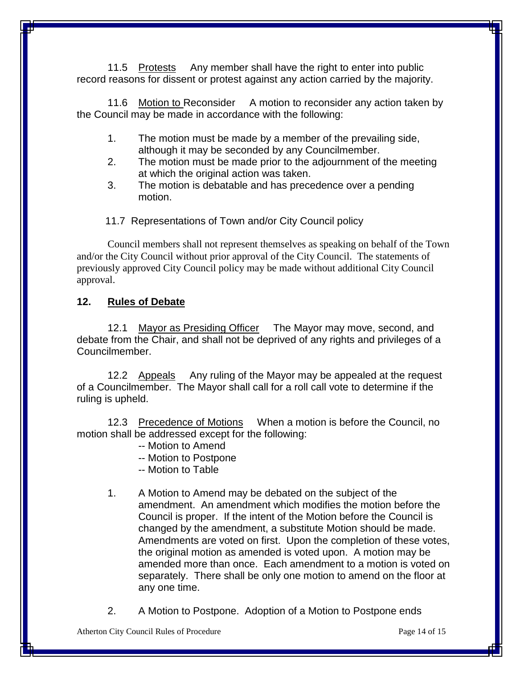11.5 Protests Any member shall have the right to enter into public record reasons for dissent or protest against any action carried by the majority.

11.6 Motion to Reconsider A motion to reconsider any action taken by the Council may be made in accordance with the following:

- 1. The motion must be made by a member of the prevailing side, although it may be seconded by any Councilmember.
- 2. The motion must be made prior to the adjournment of the meeting at which the original action was taken.
- 3. The motion is debatable and has precedence over a pending motion.

11.7 Representations of Town and/or City Council policy

Council members shall not represent themselves as speaking on behalf of the Town and/or the City Council without prior approval of the City Council. The statements of previously approved City Council policy may be made without additional City Council approval.

#### **12. Rules of Debate**

12.1 Mayor as Presiding Officer The Mayor may move, second, and debate from the Chair, and shall not be deprived of any rights and privileges of a Councilmember.

12.2 Appeals Any ruling of the Mayor may be appealed at the request of a Councilmember. The Mayor shall call for a roll call vote to determine if the ruling is upheld.

12.3 Precedence of Motions When a motion is before the Council, no motion shall be addressed except for the following:

- -- Motion to Amend
- -- Motion to Postpone
- -- Motion to Table
- 1. A Motion to Amend may be debated on the subject of the amendment. An amendment which modifies the motion before the Council is proper. If the intent of the Motion before the Council is changed by the amendment, a substitute Motion should be made. Amendments are voted on first. Upon the completion of these votes, the original motion as amended is voted upon. A motion may be amended more than once. Each amendment to a motion is voted on separately. There shall be only one motion to amend on the floor at any one time.
- 2. A Motion to Postpone. Adoption of a Motion to Postpone ends